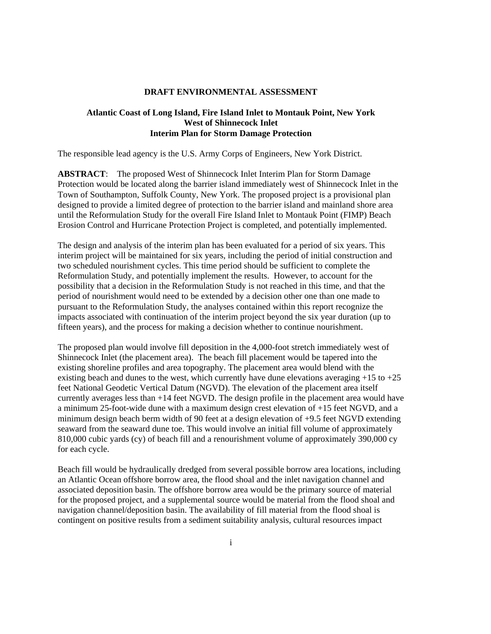#### **DRAFT ENVIRONMENTAL ASSESSMENT**

#### **Atlantic Coast of Long Island, Fire Island Inlet to Montauk Point, New York West of Shinnecock Inlet Interim Plan for Storm Damage Protection**

The responsible lead agency is the U.S. Army Corps of Engineers, New York District.

**ABSTRACT**: The proposed West of Shinnecock Inlet Interim Plan for Storm Damage Protection would be located along the barrier island immediately west of Shinnecock Inlet in the Town of Southampton, Suffolk County, New York. The proposed project is a provisional plan designed to provide a limited degree of protection to the barrier island and mainland shore area until the Reformulation Study for the overall Fire Island Inlet to Montauk Point (FIMP) Beach Erosion Control and Hurricane Protection Project is completed, and potentially implemented.

The design and analysis of the interim plan has been evaluated for a period of six years. This interim project will be maintained for six years, including the period of initial construction and two scheduled nourishment cycles. This time period should be sufficient to complete the Reformulation Study, and potentially implement the results. However, to account for the possibility that a decision in the Reformulation Study is not reached in this time, and that the period of nourishment would need to be extended by a decision other one than one made to pursuant to the Reformulation Study, the analyses contained within this report recognize the impacts associated with continuation of the interim project beyond the six year duration (up to fifteen years), and the process for making a decision whether to continue nourishment.

The proposed plan would involve fill deposition in the 4,000-foot stretch immediately west of Shinnecock Inlet (the placement area). The beach fill placement would be tapered into the existing shoreline profiles and area topography. The placement area would blend with the existing beach and dunes to the west, which currently have dune elevations averaging  $+15$  to  $+25$ feet National Geodetic Vertical Datum (NGVD). The elevation of the placement area itself currently averages less than +14 feet NGVD. The design profile in the placement area would have a minimum 25-foot-wide dune with a maximum design crest elevation of +15 feet NGVD, and a minimum design beach berm width of 90 feet at a design elevation of +9.5 feet NGVD extending seaward from the seaward dune toe. This would involve an initial fill volume of approximately 810,000 cubic yards (cy) of beach fill and a renourishment volume of approximately 390,000 cy for each cycle.

Beach fill would be hydraulically dredged from several possible borrow area locations, including an Atlantic Ocean offshore borrow area, the flood shoal and the inlet navigation channel and associated deposition basin. The offshore borrow area would be the primary source of material for the proposed project, and a supplemental source would be material from the flood shoal and navigation channel/deposition basin. The availability of fill material from the flood shoal is contingent on positive results from a sediment suitability analysis, cultural resources impact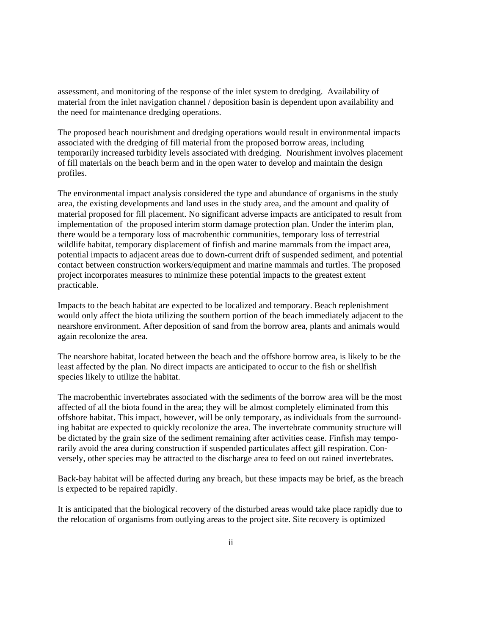assessment, and monitoring of the response of the inlet system to dredging. Availability of material from the inlet navigation channel / deposition basin is dependent upon availability and the need for maintenance dredging operations.

The proposed beach nourishment and dredging operations would result in environmental impacts associated with the dredging of fill material from the proposed borrow areas, including temporarily increased turbidity levels associated with dredging. Nourishment involves placement of fill materials on the beach berm and in the open water to develop and maintain the design profiles.

The environmental impact analysis considered the type and abundance of organisms in the study area, the existing developments and land uses in the study area, and the amount and quality of material proposed for fill placement. No significant adverse impacts are anticipated to result from implementation of the proposed interim storm damage protection plan. Under the interim plan, there would be a temporary loss of macrobenthic communities, temporary loss of terrestrial wildlife habitat, temporary displacement of finfish and marine mammals from the impact area, potential impacts to adjacent areas due to down-current drift of suspended sediment, and potential contact between construction workers/equipment and marine mammals and turtles. The proposed project incorporates measures to minimize these potential impacts to the greatest extent practicable.

Impacts to the beach habitat are expected to be localized and temporary. Beach replenishment would only affect the biota utilizing the southern portion of the beach immediately adjacent to the nearshore environment. After deposition of sand from the borrow area, plants and animals would again recolonize the area.

The nearshore habitat, located between the beach and the offshore borrow area, is likely to be the least affected by the plan. No direct impacts are anticipated to occur to the fish or shellfish species likely to utilize the habitat.

The macrobenthic invertebrates associated with the sediments of the borrow area will be the most affected of all the biota found in the area; they will be almost completely eliminated from this offshore habitat. This impact, however, will be only temporary, as individuals from the surrounding habitat are expected to quickly recolonize the area. The invertebrate community structure will be dictated by the grain size of the sediment remaining after activities cease. Finfish may temporarily avoid the area during construction if suspended particulates affect gill respiration. Conversely, other species may be attracted to the discharge area to feed on out rained invertebrates.

Back-bay habitat will be affected during any breach, but these impacts may be brief, as the breach is expected to be repaired rapidly.

It is anticipated that the biological recovery of the disturbed areas would take place rapidly due to the relocation of organisms from outlying areas to the project site. Site recovery is optimized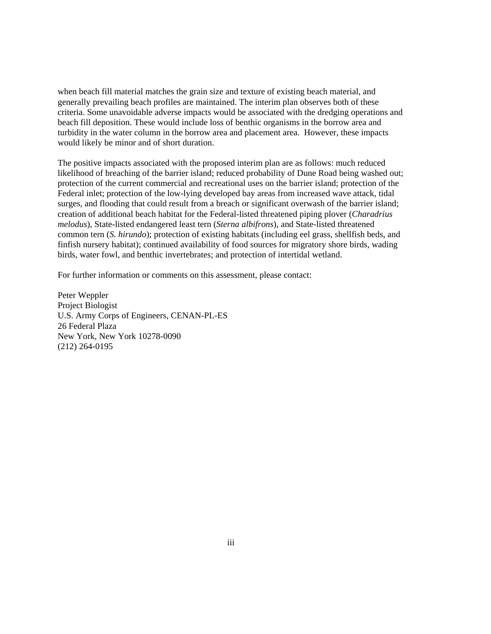when beach fill material matches the grain size and texture of existing beach material, and generally prevailing beach profiles are maintained. The interim plan observes both of these criteria. Some unavoidable adverse impacts would be associated with the dredging operations and beach fill deposition. These would include loss of benthic organisms in the borrow area and turbidity in the water column in the borrow area and placement area. However, these impacts would likely be minor and of short duration.

The positive impacts associated with the proposed interim plan are as follows: much reduced likelihood of breaching of the barrier island; reduced probability of Dune Road being washed out; protection of the current commercial and recreational uses on the barrier island; protection of the Federal inlet; protection of the low-lying developed bay areas from increased wave attack, tidal surges, and flooding that could result from a breach or significant overwash of the barrier island; creation of additional beach habitat for the Federal-listed threatened piping plover (*Charadrius melodus*), State-listed endangered least tern (*Sterna albifrons*), and State-listed threatened common tern (*S. hirundo*); protection of existing habitats (including eel grass, shellfish beds, and finfish nursery habitat); continued availability of food sources for migratory shore birds, wading birds, water fowl, and benthic invertebrates; and protection of intertidal wetland.

For further information or comments on this assessment, please contact:

Peter Weppler Project Biologist U.S. Army Corps of Engineers, CENAN-PL-ES 26 Federal Plaza New York, New York 10278-0090 (212) 264-0195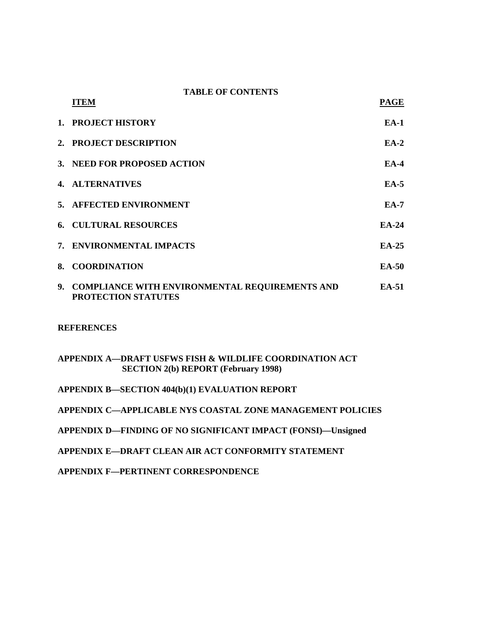#### **TABLE OF CONTENTS**

| <b>ITEM</b>                                                              | PAGE         |
|--------------------------------------------------------------------------|--------------|
| 1. PROJECT HISTORY                                                       | $EA-1$       |
| 2. PROJECT DESCRIPTION                                                   | $EA-2$       |
| 3. NEED FOR PROPOSED ACTION                                              | $EA-4$       |
| <b>4. ALTERNATIVES</b>                                                   | $EA-5$       |
| 5. AFFECTED ENVIRONMENT                                                  | $EA-7$       |
| <b>6. CULTURAL RESOURCES</b>                                             | $EA-24$      |
| 7. ENVIRONMENTAL IMPACTS                                                 | $EA-25$      |
| 8. COORDINATION                                                          | <b>EA-50</b> |
| 9. COMPLIANCE WITH ENVIRONMENTAL REQUIREMENTS AND<br>PROTECTION STATUTES | <b>EA-51</b> |

**REFERENCES** 

# **APPENDIX A—DRAFT USFWS FISH & WILDLIFE COORDINATION ACT SECTION 2(b) REPORT (February 1998)**

**APPENDIX B—SECTION 404(b)(1) EVALUATION REPORT** 

**APPENDIX C—APPLICABLE NYS COASTAL ZONE MANAGEMENT POLICIES** 

- **APPENDIX D—FINDING OF NO SIGNIFICANT IMPACT (FONSI)—Unsigned**
- **APPENDIX E—DRAFT CLEAN AIR ACT CONFORMITY STATEMENT**

**APPENDIX F—PERTINENT CORRESPONDENCE**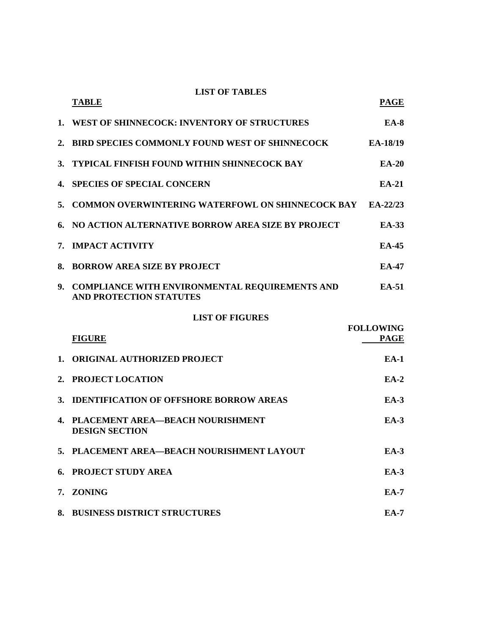|     | <b>LIST OF TABLES</b><br><b>TABLE</b>                                                   | <b>PAGE</b>                     |
|-----|-----------------------------------------------------------------------------------------|---------------------------------|
|     | 1. WEST OF SHINNECOCK: INVENTORY OF STRUCTURES                                          | $EA-8$                          |
| 2.  | <b>BIRD SPECIES COMMONLY FOUND WEST OF SHINNECOCK</b>                                   | EA-18/19                        |
| 3.  | <b>TYPICAL FINFISH FOUND WITHIN SHINNECOCK BAY</b>                                      | <b>EA-20</b>                    |
| 4.  | <b>SPECIES OF SPECIAL CONCERN</b>                                                       | $EA-21$                         |
| 5.  | <b>COMMON OVERWINTERING WATERFOWL ON SHINNECOCK BAY EA-22/23</b>                        |                                 |
| 6.  | NO ACTION ALTERNATIVE BORROW AREA SIZE BY PROJECT                                       | <b>EA-33</b>                    |
| 7.  | <b>IMPACT ACTIVITY</b>                                                                  | $EA-45$                         |
| 8.  | <b>BORROW AREA SIZE BY PROJECT</b>                                                      | <b>EA-47</b>                    |
| 9.1 | <b>COMPLIANCE WITH ENVIRONMENTAL REQUIREMENTS AND</b><br><b>AND PROTECTION STATUTES</b> | EA-51                           |
|     | <b>LIST OF FIGURES</b>                                                                  |                                 |
|     | <b>FIGURE</b>                                                                           | <b>FOLLOWING</b><br><b>PAGE</b> |
| 1.  | <b>ORIGINAL AUTHORIZED PROJECT</b>                                                      | $EA-1$                          |
| 2.  | PROJECT LOCATION                                                                        | $EA-2$                          |
| 3.  | <b>IDENTIFICATION OF OFFSHORE BORROW AREAS</b>                                          | $EA-3$                          |
|     | 4. PLACEMENT AREA-BEACH NOURISHMENT<br><b>DESIGN SECTION</b>                            | $EA-3$                          |
|     | 5. PLACEMENT AREA-BEACH NOURISHMENT LAYOUT                                              | <b>EA-3</b>                     |
|     | <b>6. PROJECT STUDY AREA</b>                                                            | $EA-3$                          |
|     | 7. ZONING                                                                               | <b>EA-7</b>                     |
| 8.  | <b>BUSINESS DISTRICT STRUCTURES</b>                                                     | <b>EA-7</b>                     |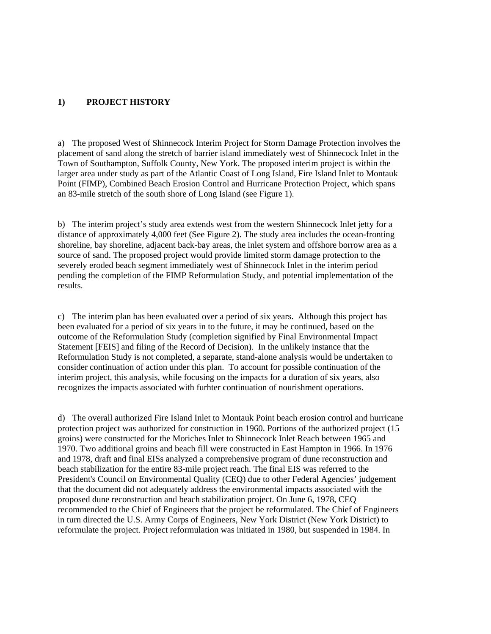#### **1) PROJECT HISTORY**

a) The proposed West of Shinnecock Interim Project for Storm Damage Protection involves the placement of sand along the stretch of barrier island immediately west of Shinnecock Inlet in the Town of Southampton, Suffolk County, New York. The proposed interim project is within the larger area under study as part of the Atlantic Coast of Long Island, Fire Island Inlet to Montauk Point (FIMP), Combined Beach Erosion Control and Hurricane Protection Project, which spans an 83-mile stretch of the south shore of Long Island (see Figure 1).

b) The interim project's study area extends west from the western Shinnecock Inlet jetty for a distance of approximately 4,000 feet (See Figure 2). The study area includes the ocean-fronting shoreline, bay shoreline, adjacent back-bay areas, the inlet system and offshore borrow area as a source of sand. The proposed project would provide limited storm damage protection to the severely eroded beach segment immediately west of Shinnecock Inlet in the interim period pending the completion of the FIMP Reformulation Study, and potential implementation of the results.

c) The interim plan has been evaluated over a period of six years. Although this project has been evaluated for a period of six years in to the future, it may be continued, based on the outcome of the Reformulation Study (completion signified by Final Environmental Impact Statement [FEIS] and filing of the Record of Decision). In the unlikely instance that the Reformulation Study is not completed, a separate, stand-alone analysis would be undertaken to consider continuation of action under this plan. To account for possible continuation of the interim project, this analysis, while focusing on the impacts for a duration of six years, also recognizes the impacts associated with furhter continuation of nourishment operations.

d) The overall authorized Fire Island Inlet to Montauk Point beach erosion control and hurricane protection project was authorized for construction in 1960. Portions of the authorized project (15 groins) were constructed for the Moriches Inlet to Shinnecock Inlet Reach between 1965 and 1970. Two additional groins and beach fill were constructed in East Hampton in 1966. In 1976 and 1978, draft and final EISs analyzed a comprehensive program of dune reconstruction and beach stabilization for the entire 83-mile project reach. The final EIS was referred to the President's Council on Environmental Quality (CEQ) due to other Federal Agencies' judgement that the document did not adequately address the environmental impacts associated with the proposed dune reconstruction and beach stabilization project. On June 6, 1978, CEQ recommended to the Chief of Engineers that the project be reformulated. The Chief of Engineers in turn directed the U.S. Army Corps of Engineers, New York District (New York District) to reformulate the project. Project reformulation was initiated in 1980, but suspended in 1984. In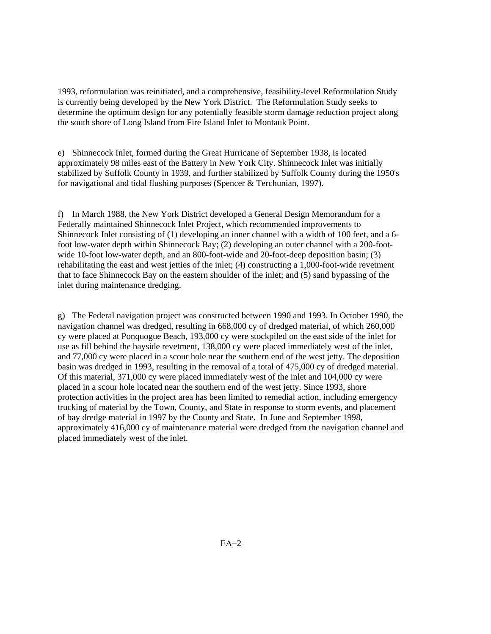1993, reformulation was reinitiated, and a comprehensive, feasibility-level Reformulation Study is currently being developed by the New York District. The Reformulation Study seeks to determine the optimum design for any potentially feasible storm damage reduction project along the south shore of Long Island from Fire Island Inlet to Montauk Point.

e) Shinnecock Inlet, formed during the Great Hurricane of September 1938, is located approximately 98 miles east of the Battery in New York City. Shinnecock Inlet was initially stabilized by Suffolk County in 1939, and further stabilized by Suffolk County during the 1950's for navigational and tidal flushing purposes (Spencer & Terchunian, 1997).

f) In March 1988, the New York District developed a General Design Memorandum for a Federally maintained Shinnecock Inlet Project, which recommended improvements to Shinnecock Inlet consisting of (1) developing an inner channel with a width of 100 feet, and a 6 foot low-water depth within Shinnecock Bay; (2) developing an outer channel with a 200-footwide 10-foot low-water depth, and an 800-foot-wide and 20-foot-deep deposition basin; (3) rehabilitating the east and west jetties of the inlet; (4) constructing a 1,000-foot-wide revetment that to face Shinnecock Bay on the eastern shoulder of the inlet; and (5) sand bypassing of the inlet during maintenance dredging.

g) The Federal navigation project was constructed between 1990 and 1993. In October 1990, the navigation channel was dredged, resulting in 668,000 cy of dredged material, of which 260,000 cy were placed at Ponquogue Beach, 193,000 cy were stockpiled on the east side of the inlet for use as fill behind the bayside revetment, 138,000 cy were placed immediately west of the inlet, and 77,000 cy were placed in a scour hole near the southern end of the west jetty. The deposition basin was dredged in 1993, resulting in the removal of a total of 475,000 cy of dredged material. Of this material, 371,000 cy were placed immediately west of the inlet and 104,000 cy were placed in a scour hole located near the southern end of the west jetty. Since 1993, shore protection activities in the project area has been limited to remedial action, including emergency trucking of material by the Town, County, and State in response to storm events, and placement of bay dredge material in 1997 by the County and State. In June and September 1998, approximately 416,000 cy of maintenance material were dredged from the navigation channel and placed immediately west of the inlet.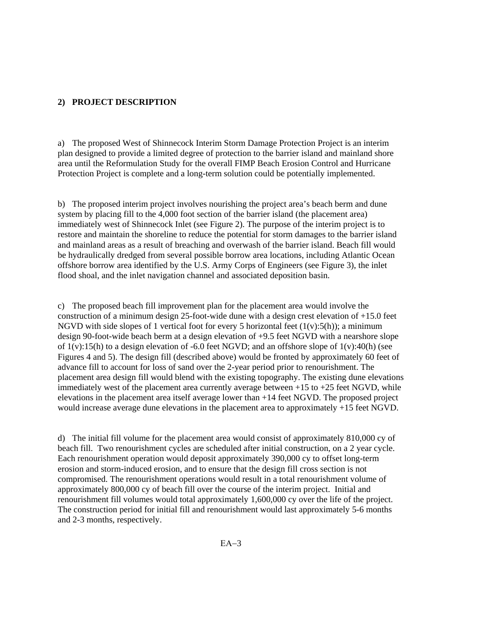#### **2) PROJECT DESCRIPTION**

a) The proposed West of Shinnecock Interim Storm Damage Protection Project is an interim plan designed to provide a limited degree of protection to the barrier island and mainland shore area until the Reformulation Study for the overall FIMP Beach Erosion Control and Hurricane Protection Project is complete and a long-term solution could be potentially implemented.

b) The proposed interim project involves nourishing the project area's beach berm and dune system by placing fill to the 4,000 foot section of the barrier island (the placement area) immediately west of Shinnecock Inlet (see Figure 2). The purpose of the interim project is to restore and maintain the shoreline to reduce the potential for storm damages to the barrier island and mainland areas as a result of breaching and overwash of the barrier island. Beach fill would be hydraulically dredged from several possible borrow area locations, including Atlantic Ocean offshore borrow area identified by the U.S. Army Corps of Engineers (see Figure 3), the inlet flood shoal, and the inlet navigation channel and associated deposition basin.

c) The proposed beach fill improvement plan for the placement area would involve the construction of a minimum design 25-foot-wide dune with a design crest elevation of +15.0 feet NGVD with side slopes of 1 vertical foot for every 5 horizontal feet  $(1(v):5(h))$ ; a minimum design 90-foot-wide beach berm at a design elevation of +9.5 feet NGVD with a nearshore slope of  $1(v)$ :15(h) to a design elevation of -6.0 feet NGVD; and an offshore slope of  $1(v)$ :40(h) (see Figures 4 and 5). The design fill (described above) would be fronted by approximately 60 feet of advance fill to account for loss of sand over the 2-year period prior to renourishment. The placement area design fill would blend with the existing topography. The existing dune elevations immediately west of the placement area currently average between +15 to +25 feet NGVD, while elevations in the placement area itself average lower than +14 feet NGVD. The proposed project would increase average dune elevations in the placement area to approximately +15 feet NGVD.

d) The initial fill volume for the placement area would consist of approximately 810,000 cy of beach fill. Two renourishment cycles are scheduled after initial construction, on a 2 year cycle. Each renourishment operation would deposit approximately 390,000 cy to offset long-term erosion and storm-induced erosion, and to ensure that the design fill cross section is not compromised. The renourishment operations would result in a total renourishment volume of approximately 800,000 cy of beach fill over the course of the interim project. Initial and renourishment fill volumes would total approximately 1,600,000 cy over the life of the project. The construction period for initial fill and renourishment would last approximately 5-6 months and 2-3 months, respectively.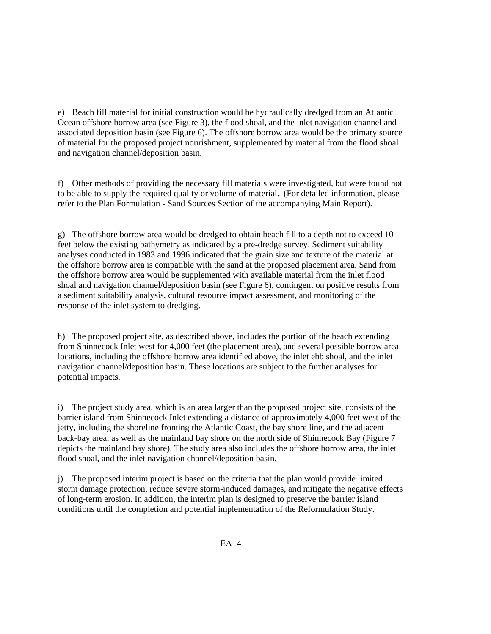e) Beach fill material for initial construction would be hydraulically dredged from an Atlantic Ocean offshore borrow area (see Figure 3), the flood shoal, and the inlet navigation channel and associated deposition basin (see Figure 6). The offshore borrow area would be the primary source of material for the proposed project nourishment, supplemented by material from the flood shoal and navigation channel/deposition basin.

f) Other methods of providing the necessary fill materials were investigated, but were found not to be able to supply the required quality or volume of material. (For detailed information, please refer to the Plan Formulation - Sand Sources Section of the accompanying Main Report).

g) The offshore borrow area would be dredged to obtain beach fill to a depth not to exceed 10 feet below the existing bathymetry as indicated by a pre-dredge survey. Sediment suitability analyses conducted in 1983 and 1996 indicated that the grain size and texture of the material at the offshore borrow area is compatible with the sand at the proposed placement area. Sand from the offshore borrow area would be supplemented with available material from the inlet flood shoal and navigation channel/deposition basin (see Figure 6), contingent on positive results from a sediment suitability analysis, cultural resource impact assessment, and monitoring of the response of the inlet system to dredging.

h) The proposed project site, as described above, includes the portion of the beach extending from Shinnecock Inlet west for 4,000 feet (the placement area), and several possible borrow area locations, including the offshore borrow area identified above, the inlet ebb shoal, and the inlet navigation channel/deposition basin. These locations are subject to the further analyses for potential impacts.

i) The project study area, which is an area larger than the proposed project site, consists of the barrier island from Shinnecock Inlet extending a distance of approximately 4,000 feet west of the jetty, including the shoreline fronting the Atlantic Coast, the bay shore line, and the adjacent back-bay area, as well as the mainland bay shore on the north side of Shinnecock Bay (Figure 7 depicts the mainland bay shore). The study area also includes the offshore borrow area, the inlet flood shoal, and the inlet navigation channel/deposition basin.

j) The proposed interim project is based on the criteria that the plan would provide limited storm damage protection, reduce severe storm-induced damages, and mitigate the negative effects of long-term erosion. In addition, the interim plan is designed to preserve the barrier island conditions until the completion and potential implementation of the Reformulation Study.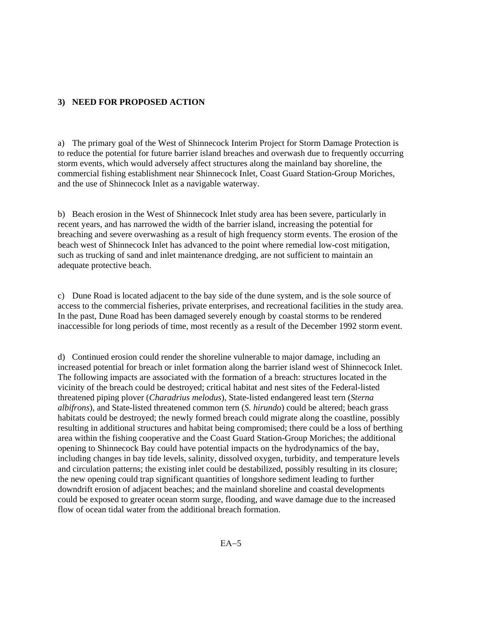#### **3) NEED FOR PROPOSED ACTION**

a) The primary goal of the West of Shinnecock Interim Project for Storm Damage Protection is to reduce the potential for future barrier island breaches and overwash due to frequently occurring storm events, which would adversely affect structures along the mainland bay shoreline, the commercial fishing establishment near Shinnecock Inlet, Coast Guard Station-Group Moriches, and the use of Shinnecock Inlet as a navigable waterway.

b) Beach erosion in the West of Shinnecock Inlet study area has been severe, particularly in recent years, and has narrowed the width of the barrier island, increasing the potential for breaching and severe overwashing as a result of high frequency storm events. The erosion of the beach west of Shinnecock Inlet has advanced to the point where remedial low-cost mitigation, such as trucking of sand and inlet maintenance dredging, are not sufficient to maintain an adequate protective beach.

c) Dune Road is located adjacent to the bay side of the dune system, and is the sole source of access to the commercial fisheries, private enterprises, and recreational facilities in the study area. In the past, Dune Road has been damaged severely enough by coastal storms to be rendered inaccessible for long periods of time, most recently as a result of the December 1992 storm event.

d) Continued erosion could render the shoreline vulnerable to major damage, including an increased potential for breach or inlet formation along the barrier island west of Shinnecock Inlet. The following impacts are associated with the formation of a breach: structures located in the vicinity of the breach could be destroyed; critical habitat and nest sites of the Federal-listed threatened piping plover (*Charadrius melodus*), State-listed endangered least tern (*Sterna albifrons*), and State-listed threatened common tern (*S. hirundo*) could be altered; beach grass habitats could be destroyed; the newly formed breach could migrate along the coastline, possibly resulting in additional structures and habitat being compromised; there could be a loss of berthing area within the fishing cooperative and the Coast Guard Station-Group Moriches; the additional opening to Shinnecock Bay could have potential impacts on the hydrodynamics of the bay, including changes in bay tide levels, salinity, dissolved oxygen, turbidity, and temperature levels and circulation patterns; the existing inlet could be destabilized, possibly resulting in its closure; the new opening could trap significant quantities of longshore sediment leading to further downdrift erosion of adjacent beaches; and the mainland shoreline and coastal developments could be exposed to greater ocean storm surge, flooding, and wave damage due to the increased flow of ocean tidal water from the additional breach formation.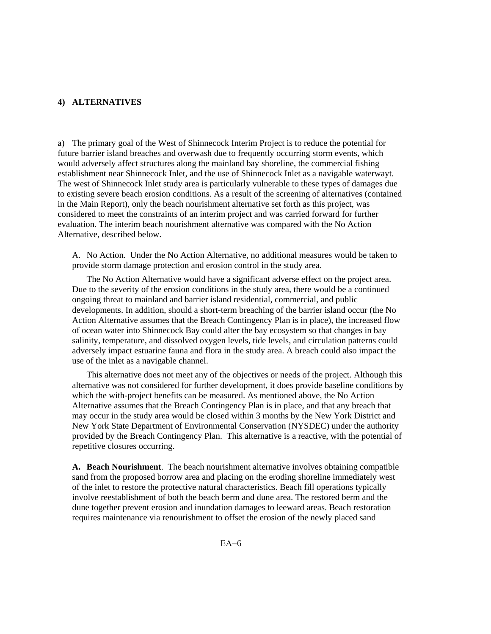#### **4) ALTERNATIVES**

a) The primary goal of the West of Shinnecock Interim Project is to reduce the potential for future barrier island breaches and overwash due to frequently occurring storm events, which would adversely affect structures along the mainland bay shoreline, the commercial fishing establishment near Shinnecock Inlet, and the use of Shinnecock Inlet as a navigable waterwayt. The west of Shinnecock Inlet study area is particularly vulnerable to these types of damages due to existing severe beach erosion conditions. As a result of the screening of alternatives (contained in the Main Report), only the beach nourishment alternative set forth as this project, was considered to meet the constraints of an interim project and was carried forward for further evaluation. The interim beach nourishment alternative was compared with the No Action Alternative, described below.

A. No Action. Under the No Action Alternative, no additional measures would be taken to provide storm damage protection and erosion control in the study area.

 The No Action Alternative would have a significant adverse effect on the project area. Due to the severity of the erosion conditions in the study area, there would be a continued ongoing threat to mainland and barrier island residential, commercial, and public developments. In addition, should a short-term breaching of the barrier island occur (the No Action Alternative assumes that the Breach Contingency Plan is in place), the increased flow of ocean water into Shinnecock Bay could alter the bay ecosystem so that changes in bay salinity, temperature, and dissolved oxygen levels, tide levels, and circulation patterns could adversely impact estuarine fauna and flora in the study area. A breach could also impact the use of the inlet as a navigable channel.

 This alternative does not meet any of the objectives or needs of the project. Although this alternative was not considered for further development, it does provide baseline conditions by which the with-project benefits can be measured. As mentioned above, the No Action Alternative assumes that the Breach Contingency Plan is in place, and that any breach that may occur in the study area would be closed within 3 months by the New York District and New York State Department of Environmental Conservation (NYSDEC) under the authority provided by the Breach Contingency Plan. This alternative is a reactive, with the potential of repetitive closures occurring.

**A. Beach Nourishment**. The beach nourishment alternative involves obtaining compatible sand from the proposed borrow area and placing on the eroding shoreline immediately west of the inlet to restore the protective natural characteristics. Beach fill operations typically involve reestablishment of both the beach berm and dune area. The restored berm and the dune together prevent erosion and inundation damages to leeward areas. Beach restoration requires maintenance via renourishment to offset the erosion of the newly placed sand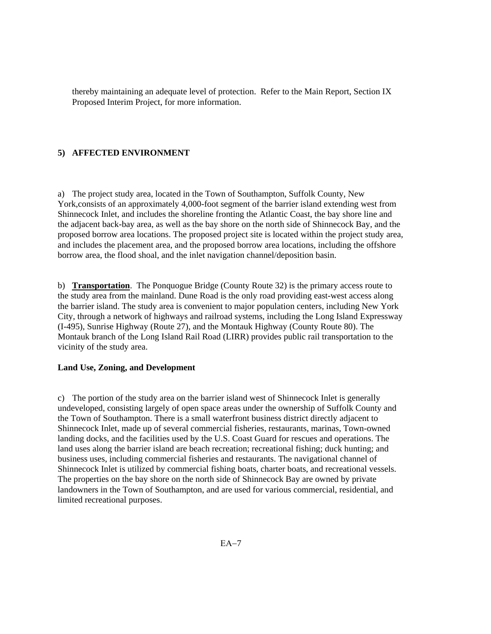thereby maintaining an adequate level of protection.Refer to the Main Report, Section IX Proposed Interim Project, for more information.

### **5) AFFECTED ENVIRONMENT**

a) The project study area, located in the Town of Southampton, Suffolk County, New York,consists of an approximately 4,000-foot segment of the barrier island extending west from Shinnecock Inlet, and includes the shoreline fronting the Atlantic Coast, the bay shore line and the adjacent back-bay area, as well as the bay shore on the north side of Shinnecock Bay, and the proposed borrow area locations. The proposed project site is located within the project study area, and includes the placement area, and the proposed borrow area locations, including the offshore borrow area, the flood shoal, and the inlet navigation channel/deposition basin.

b) **Transportation**. The Ponquogue Bridge (County Route 32) is the primary access route to the study area from the mainland. Dune Road is the only road providing east-west access along the barrier island. The study area is convenient to major population centers, including New York City, through a network of highways and railroad systems, including the Long Island Expressway (I-495), Sunrise Highway (Route 27), and the Montauk Highway (County Route 80). The Montauk branch of the Long Island Rail Road (LIRR) provides public rail transportation to the vicinity of the study area.

#### **Land Use, Zoning, and Development**

c) The portion of the study area on the barrier island west of Shinnecock Inlet is generally undeveloped, consisting largely of open space areas under the ownership of Suffolk County and the Town of Southampton. There is a small waterfront business district directly adjacent to Shinnecock Inlet, made up of several commercial fisheries, restaurants, marinas, Town-owned landing docks, and the facilities used by the U.S. Coast Guard for rescues and operations. The land uses along the barrier island are beach recreation; recreational fishing; duck hunting; and business uses, including commercial fisheries and restaurants. The navigational channel of Shinnecock Inlet is utilized by commercial fishing boats, charter boats, and recreational vessels. The properties on the bay shore on the north side of Shinnecock Bay are owned by private landowners in the Town of Southampton, and are used for various commercial, residential, and limited recreational purposes.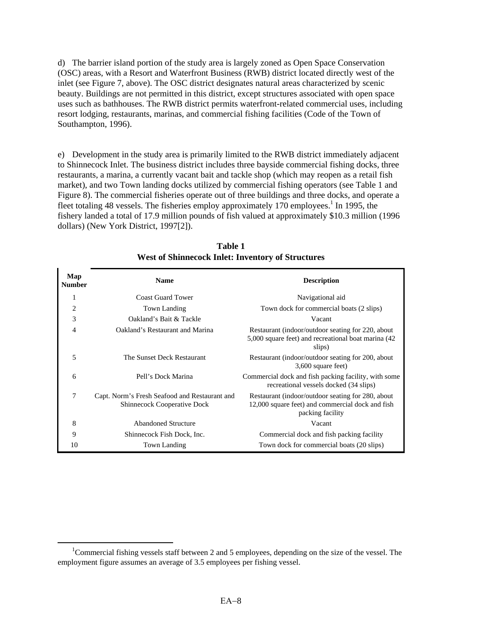d) The barrier island portion of the study area is largely zoned as Open Space Conservation (OSC) areas, with a Resort and Waterfront Business (RWB) district located directly west of the inlet (see Figure 7, above). The OSC district designates natural areas characterized by scenic beauty. Buildings are not permitted in this district, except structures associated with open space uses such as bathhouses. The RWB district permits waterfront-related commercial uses, including resort lodging, restaurants, marinas, and commercial fishing facilities (Code of the Town of Southampton, 1996).

e) Development in the study area is primarily limited to the RWB district immediately adjacent to Shinnecock Inlet. The business district includes three bayside commercial fishing docks, three restaurants, a marina, a currently vacant bait and tackle shop (which may reopen as a retail fish market), and two Town landing docks utilized by commercial fishing operators (see Table 1 and Figure 8). The commercial fisheries operate out of three buildings and three docks, and operate a fleet totaling 48 vessels. The fisheries employ approximately 170 employees.<sup>1</sup> In 1995, the fishery landed a total of 17.9 million pounds of fish valued at approximately \$10.3 million (1996 dollars) (New York District, 1997[2]).

| Map<br><b>Number</b> | <b>Name</b>                                                                  | <b>Description</b>                                                                                                        |
|----------------------|------------------------------------------------------------------------------|---------------------------------------------------------------------------------------------------------------------------|
| 1                    | <b>Coast Guard Tower</b>                                                     | Navigational aid                                                                                                          |
| $\overline{2}$       | Town Landing                                                                 | Town dock for commercial boats (2 slips)                                                                                  |
| 3                    | Oakland's Bait & Tackle                                                      | Vacant                                                                                                                    |
| 4                    | Oakland's Restaurant and Marina                                              | Restaurant (indoor/outdoor seating for 220, about<br>5,000 square feet) and recreational boat marina (42)<br>slips)       |
| 5                    | The Sunset Deck Restaurant                                                   | Restaurant (indoor/outdoor seating for 200, about<br>3,600 square feet)                                                   |
| 6                    | Pell's Dock Marina                                                           | Commercial dock and fish packing facility, with some<br>recreational vessels docked (34 slips)                            |
| $\tau$               | Capt. Norm's Fresh Seafood and Restaurant and<br>Shinnecock Cooperative Dock | Restaurant (indoor/outdoor seating for 280, about<br>12,000 square feet) and commercial dock and fish<br>packing facility |
| 8                    | <b>Abandoned Structure</b>                                                   | Vacant                                                                                                                    |
| 9                    | Shinnecock Fish Dock, Inc.                                                   | Commercial dock and fish packing facility                                                                                 |
| 10                   | Town Landing                                                                 | Town dock for commercial boats (20 slips)                                                                                 |

**Table 1 West of Shinnecock Inlet: Inventory of Structures** 

 <sup>1</sup> Commercial fishing vessels staff between 2 and 5 employees, depending on the size of the vessel. The employment figure assumes an average of 3.5 employees per fishing vessel.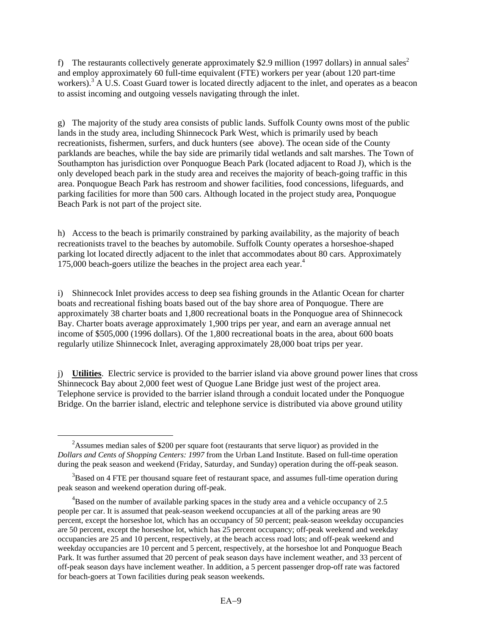f) The restaurants collectively generate approximately \$2.9 million (1997 dollars) in annual sales<sup>2</sup> and employ approximately 60 full-time equivalent (FTE) workers per year (about 120 part-time workers).<sup>3</sup> A U.S. Coast Guard tower is located directly adjacent to the inlet, and operates as a beacon to assist incoming and outgoing vessels navigating through the inlet.

g) The majority of the study area consists of public lands. Suffolk County owns most of the public lands in the study area, including Shinnecock Park West, which is primarily used by beach recreationists, fishermen, surfers, and duck hunters (see above). The ocean side of the County parklands are beaches, while the bay side are primarily tidal wetlands and salt marshes. The Town of Southampton has jurisdiction over Ponquogue Beach Park (located adjacent to Road J), which is the only developed beach park in the study area and receives the majority of beach-going traffic in this area. Ponquogue Beach Park has restroom and shower facilities, food concessions, lifeguards, and parking facilities for more than 500 cars. Although located in the project study area, Ponquogue Beach Park is not part of the project site.

h) Access to the beach is primarily constrained by parking availability, as the majority of beach recreationists travel to the beaches by automobile. Suffolk County operates a horseshoe-shaped parking lot located directly adjacent to the inlet that accommodates about 80 cars. Approximately  $175,000$  beach-goers utilize the beaches in the project area each year.<sup>4</sup>

i) Shinnecock Inlet provides access to deep sea fishing grounds in the Atlantic Ocean for charter boats and recreational fishing boats based out of the bay shore area of Ponquogue. There are approximately 38 charter boats and 1,800 recreational boats in the Ponquogue area of Shinnecock Bay. Charter boats average approximately 1,900 trips per year, and earn an average annual net income of \$505,000 (1996 dollars). Of the 1,800 recreational boats in the area, about 600 boats regularly utilize Shinnecock Inlet, averaging approximately 28,000 boat trips per year.

j) **Utilities**. Electric service is provided to the barrier island via above ground power lines that cross Shinnecock Bay about 2,000 feet west of Quogue Lane Bridge just west of the project area. Telephone service is provided to the barrier island through a conduit located under the Ponquogue Bridge. On the barrier island, electric and telephone service is distributed via above ground utility

 <sup>2</sup>  $2$ Assumes median sales of \$200 per square foot (restaurants that serve liquor) as provided in the *Dollars and Cents of Shopping Centers: 1997* from the Urban Land Institute. Based on full-time operation during the peak season and weekend (Friday, Saturday, and Sunday) operation during the off-peak season.

 $3B$ ased on 4 FTE per thousand square feet of restaurant space, and assumes full-time operation during peak season and weekend operation during off-peak.

 ${}^{4}$ Based on the number of available parking spaces in the study area and a vehicle occupancy of 2.5 people per car. It is assumed that peak-season weekend occupancies at all of the parking areas are 90 percent, except the horseshoe lot, which has an occupancy of 50 percent; peak-season weekday occupancies are 50 percent, except the horseshoe lot, which has 25 percent occupancy; off-peak weekend and weekday occupancies are 25 and 10 percent, respectively, at the beach access road lots; and off-peak weekend and weekday occupancies are 10 percent and 5 percent, respectively, at the horseshoe lot and Ponquogue Beach Park. It was further assumed that 20 percent of peak season days have inclement weather, and 33 percent of off-peak season days have inclement weather. In addition, a 5 percent passenger drop-off rate was factored for beach-goers at Town facilities during peak season weekends.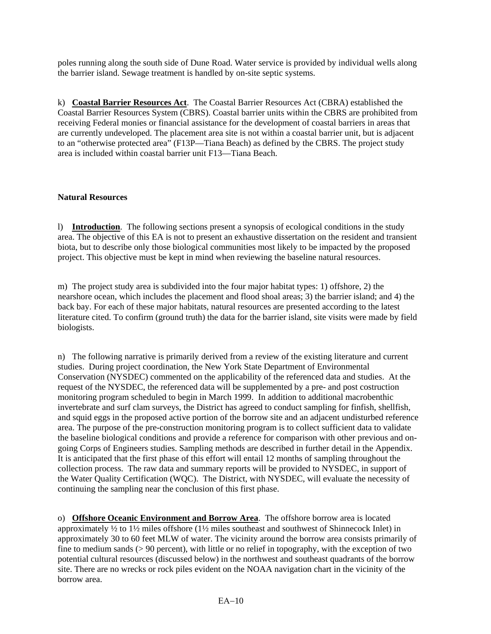poles running along the south side of Dune Road. Water service is provided by individual wells along the barrier island. Sewage treatment is handled by on-site septic systems.

k) **Coastal Barrier Resources Act**. The Coastal Barrier Resources Act (CBRA) established the Coastal Barrier Resources System (CBRS). Coastal barrier units within the CBRS are prohibited from receiving Federal monies or financial assistance for the development of coastal barriers in areas that are currently undeveloped. The placement area site is not within a coastal barrier unit, but is adjacent to an "otherwise protected area" (F13P—Tiana Beach) as defined by the CBRS. The project study area is included within coastal barrier unit F13—Tiana Beach.

#### **Natural Resources**

l) **Introduction**. The following sections present a synopsis of ecological conditions in the study area. The objective of this EA is not to present an exhaustive dissertation on the resident and transient biota, but to describe only those biological communities most likely to be impacted by the proposed project. This objective must be kept in mind when reviewing the baseline natural resources.

m) The project study area is subdivided into the four major habitat types: 1) offshore, 2) the nearshore ocean, which includes the placement and flood shoal areas; 3) the barrier island; and 4) the back bay. For each of these major habitats, natural resources are presented according to the latest literature cited. To confirm (ground truth) the data for the barrier island, site visits were made by field biologists.

n) The following narrative is primarily derived from a review of the existing literature and current studies. During project coordination, the New York State Department of Environmental Conservation (NYSDEC) commented on the applicability of the referenced data and studies. At the request of the NYSDEC, the referenced data will be supplemented by a pre- and post costruction monitoring program scheduled to begin in March 1999. In addition to additional macrobenthic invertebrate and surf clam surveys, the District has agreed to conduct sampling for finfish, shellfish, and squid eggs in the proposed active portion of the borrow site and an adjacent undisturbed reference area. The purpose of the pre-construction monitoring program is to collect sufficient data to validate the baseline biological conditions and provide a reference for comparison with other previous and ongoing Corps of Engineers studies. Sampling methods are described in further detail in the Appendix. It is anticipated that the first phase of this effort will entail 12 months of sampling throughout the collection process. The raw data and summary reports will be provided to NYSDEC, in support of the Water Quality Certification (WQC). The District, with NYSDEC, will evaluate the necessity of continuing the sampling near the conclusion of this first phase.

o) **Offshore Oceanic Environment and Borrow Area**. The offshore borrow area is located approximately ½ to 1½ miles offshore (1½ miles southeast and southwest of Shinnecock Inlet) in approximately 30 to 60 feet MLW of water. The vicinity around the borrow area consists primarily of fine to medium sands (> 90 percent), with little or no relief in topography, with the exception of two potential cultural resources (discussed below) in the northwest and southeast quadrants of the borrow site. There are no wrecks or rock piles evident on the NOAA navigation chart in the vicinity of the borrow area.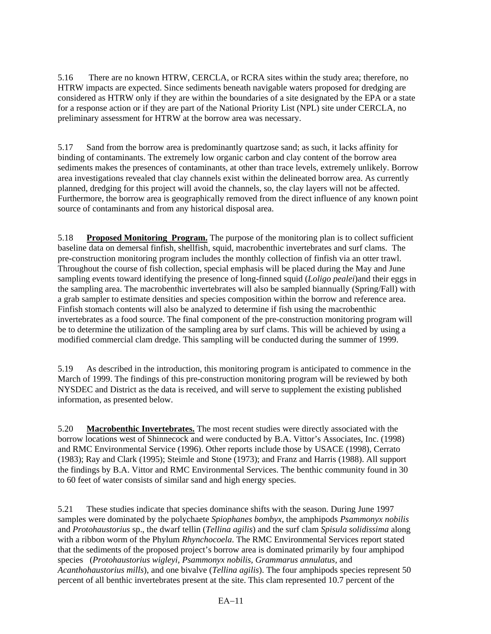5.16 There are no known HTRW, CERCLA, or RCRA sites within the study area; therefore, no HTRW impacts are expected. Since sediments beneath navigable waters proposed for dredging are considered as HTRW only if they are within the boundaries of a site designated by the EPA or a state for a response action or if they are part of the National Priority List (NPL) site under CERCLA, no preliminary assessment for HTRW at the borrow area was necessary.

5.17 Sand from the borrow area is predominantly quartzose sand; as such, it lacks affinity for binding of contaminants. The extremely low organic carbon and clay content of the borrow area sediments makes the presences of contaminants, at other than trace levels, extremely unlikely. Borrow area investigations revealed that clay channels exist within the delineated borrow area. As currently planned, dredging for this project will avoid the channels, so, the clay layers will not be affected. Furthermore, the borrow area is geographically removed from the direct influence of any known point source of contaminants and from any historical disposal area.

5.18 **Proposed Monitoring Program.** The purpose of the monitoring plan is to collect sufficient baseline data on demersal finfish, shellfish, squid, macrobenthic invertebrates and surf clams. The pre-construction monitoring program includes the monthly collection of finfish via an otter trawl. Throughout the course of fish collection, special emphasis will be placed during the May and June sampling events toward identifying the presence of long-finned squid (*Loligo pealei*)and their eggs in the sampling area. The macrobenthic invertebrates will also be sampled biannually (Spring/Fall) with a grab sampler to estimate densities and species composition within the borrow and reference area. Finfish stomach contents will also be analyzed to determine if fish using the macrobenthic invertebrates as a food source. The final component of the pre-construction monitoring program will be to determine the utilization of the sampling area by surf clams. This will be achieved by using a modified commercial clam dredge. This sampling will be conducted during the summer of 1999.

5.19 As described in the introduction, this monitoring program is anticipated to commence in the March of 1999. The findings of this pre-construction monitoring program will be reviewed by both NYSDEC and District as the data is received, and will serve to supplement the existing published information, as presented below.

5.20 **Macrobenthic Invertebrates.** The most recent studies were directly associated with the borrow locations west of Shinnecock and were conducted by B.A. Vittor's Associates, Inc. (1998) and RMC Environmental Service (1996). Other reports include those by USACE (1998), Cerrato (1983); Ray and Clark (1995); Steimle and Stone (1973); and Franz and Harris (1988). All support the findings by B.A. Vittor and RMC Environmental Services. The benthic community found in 30 to 60 feet of water consists of similar sand and high energy species.

5.21 These studies indicate that species dominance shifts with the season. During June 1997 samples were dominated by the polychaete *Spiophanes bombyx*, the amphipods *Psammonyx nobilis* and *Protohaustorius* sp., the dwarf tellin (*Tellina agilis*) and the surf clam *Spisula solidissima* along with a ribbon worm of the Phylum *Rhynchocoela*. The RMC Environmental Services report stated that the sediments of the proposed project's borrow area is dominated primarily by four amphipod species (*Protohaustorius wigleyi, Psammonyx nobilis, Grammarus annulatus,* and *Acanthohaustorius mills*), and one bivalve (*Tellina agilis*). The four amphipods species represent 50 percent of all benthic invertebrates present at the site. This clam represented 10.7 percent of the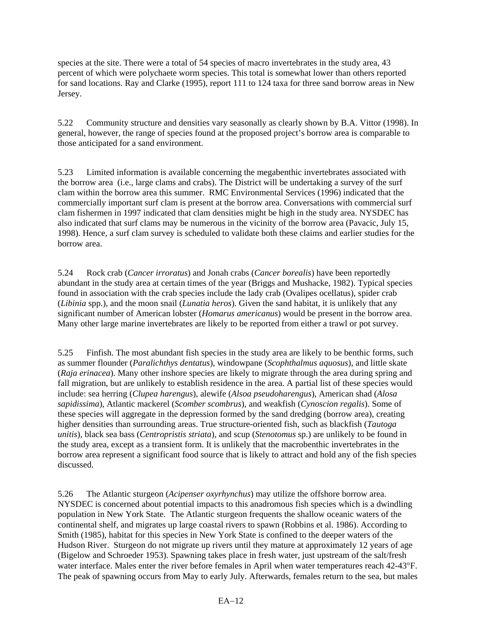species at the site. There were a total of 54 species of macro invertebrates in the study area, 43 percent of which were polychaete worm species. This total is somewhat lower than others reported for sand locations. Ray and Clarke (1995), report 111 to 124 taxa for three sand borrow areas in New Jersey.

5.22 Community structure and densities vary seasonally as clearly shown by B.A. Vittor (1998). In general, however, the range of species found at the proposed project's borrow area is comparable to those anticipated for a sand environment.

5.23 Limited information is available concerning the megabenthic invertebrates associated with the borrow area (i.e., large clams and crabs). The District will be undertaking a survey of the surf clam within the borrow area this summer. RMC Environmental Services (1996) indicated that the commercially important surf clam is present at the borrow area. Conversations with commercial surf clam fishermen in 1997 indicated that clam densities might be high in the study area. NYSDEC has also indicated that surf clams may be numerous in the vicinity of the borrow area (Pavacic, July 15, 1998). Hence, a surf clam survey is scheduled to validate both these claims and earlier studies for the borrow area.

5.24 Rock crab (*Cancer irroratus*) and Jonah crabs (*Cancer borealis*) have been reportedly abundant in the study area at certain times of the year (Briggs and Mushacke, 1982). Typical species found in association with the crab species include the lady crab (Ovalipes ocellatus), spider crab (*Libinia* spp.), and the moon snail (*Lunatia heros*). Given the sand habitat, it is unlikely that any significant number of American lobster (*Homarus americanus*) would be present in the borrow area. Many other large marine invertebrates are likely to be reported from either a trawl or pot survey.

5.25 Finfish. The most abundant fish species in the study area are likely to be benthic forms, such as summer flounder (*Paralichthys dentatus*), windowpane (*Scophthalmus aquosus*), and little skate (*Raja erinacea*). Many other inshore species are likely to migrate through the area during spring and fall migration, but are unlikely to establish residence in the area. A partial list of these species would include: sea herring (*Clupea harengus*), alewife (*Alsoa pseudoharengus*), American shad (*Alosa sapidissima*), Atlantic mackerel (*Scomber scombrus*), and weakfish (*Cynoscion regalis*). Some of these species will aggregate in the depression formed by the sand dredging (borrow area), creating higher densities than surrounding areas. True structure-oriented fish, such as blackfish (*Tautoga unitis*), black sea bass (*Centropristis striata*), and scup (*Stenotomus* sp.) are unlikely to be found in the study area, except as a transient form. It is unlikely that the macrobenthic invertebrates in the borrow area represent a significant food source that is likely to attract and hold any of the fish species discussed.

5.26 The Atlantic sturgeon (*Acipenser oxyrhynchus*) may utilize the offshore borrow area. NYSDEC is concerned about potential impacts to this anadromous fish species which is a dwindling population in New York State. The Atlantic sturgeon frequents the shallow oceanic waters of the continental shelf, and migrates up large coastal rivers to spawn (Robbins et al. 1986). According to Smith (1985), habitat for this species in New York State is confined to the deeper waters of the Hudson River. Sturgeon do not migrate up rivers until they mature at approximately 12 years of age (Bigelow and Schroeder 1953). Spawning takes place in fresh water, just upstream of the salt/fresh water interface. Males enter the river before females in April when water temperatures reach 42-43°F. The peak of spawning occurs from May to early July. Afterwards, females return to the sea, but males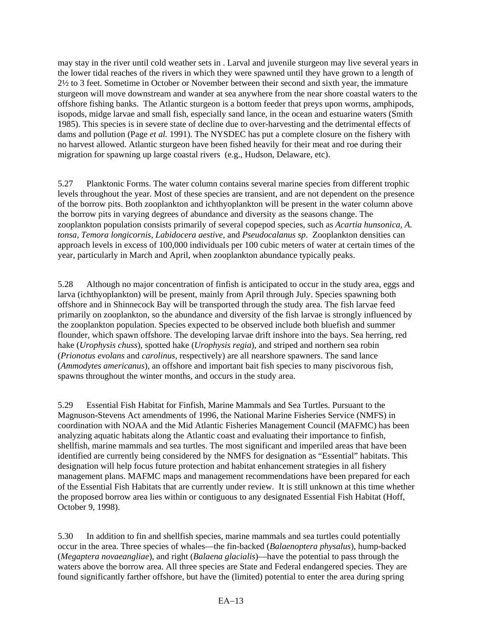may stay in the river until cold weather sets in . Larval and juvenile sturgeon may live several years in the lower tidal reaches of the rivers in which they were spawned until they have grown to a length of 2½ to 3 feet. Sometime in October or November between their second and sixth year, the immature sturgeon will move downstream and wander at sea anywhere from the near shore coastal waters to the offshore fishing banks. The Atlantic sturgeon is a bottom feeder that preys upon worms, amphipods, isopods, midge larvae and small fish, especially sand lance, in the ocean and estuarine waters (Smith 1985). This species is in severe state of decline due to over-harvesting and the detrimental effects of dams and pollution (Page *et al.* 1991). The NYSDEC has put a complete closure on the fishery with no harvest allowed. Atlantic sturgeon have been fished heavily for their meat and roe during their migration for spawning up large coastal rivers (e.g., Hudson, Delaware, etc).

5.27 Planktonic Forms. The water column contains several marine species from different trophic levels throughout the year. Most of these species are transient, and are not dependent on the presence of the borrow pits. Both zooplankton and ichthyoplankton will be present in the water column above the borrow pits in varying degrees of abundance and diversity as the seasons change. The zooplankton population consists primarily of several copepod species, such as *Acartia hunsonica, A. tonsa, Temora longicornis, Labidocera aestive,* and *Pseudocalanus sp*. Zooplankton densities can approach levels in excess of 100,000 individuals per 100 cubic meters of water at certain times of the year, particularly in March and April, when zooplankton abundance typically peaks.

5.28 Although no major concentration of finfish is anticipated to occur in the study area, eggs and larva (ichthyoplankton) will be present, mainly from April through July. Species spawning both offshore and in Shinnecock Bay will be transported through the study area. The fish larvae feed primarily on zooplankton, so the abundance and diversity of the fish larvae is strongly influenced by the zooplankton population. Species expected to be observed include both bluefish and summer flounder, which spawn offshore. The developing larvae drift inshore into the bays. Sea herring, red hake (*Urophysis chuss*), spotted hake (*Urophysis regia*), and striped and northern sea robin (*Prionotus evolans* and *carolinus*, respectively) are all nearshore spawners. The sand lance (*Ammodytes americanus*), an offshore and important bait fish species to many piscivorous fish, spawns throughout the winter months, and occurs in the study area.

5.29 Essential Fish Habitat for Finfish, Marine Mammals and Sea Turtles. Pursuant to the Magnuson-Stevens Act amendments of 1996, the National Marine Fisheries Service (NMFS) in coordination with NOAA and the Mid Atlantic Fisheries Management Council (MAFMC) has been analyzing aquatic habitats along the Atlantic coast and evaluating their importance to finfish, shellfish, marine mammals and sea turtles. The most significant and imperiled areas that have been identified are currently being considered by the NMFS for designation as "Essential" habitats. This designation will help focus future protection and habitat enhancement strategies in all fishery management plans. MAFMC maps and management recommendations have been prepared for each of the Essential Fish Habitats that are currently under review. It is still unknown at this time whether the proposed borrow area lies within or contiguous to any designated Essential Fish Habitat (Hoff, October 9, 1998).

5.30 In addition to fin and shellfish species, marine mammals and sea turtles could potentially occur in the area. Three species of whales—the fin-backed (*Balaenoptera physalus*), hump-backed (*Megaptera novaeangliae*), and right (*Balaena glacialis*)—have the potential to pass through the waters above the borrow area. All three species are State and Federal endangered species. They are found significantly farther offshore, but have the (limited) potential to enter the area during spring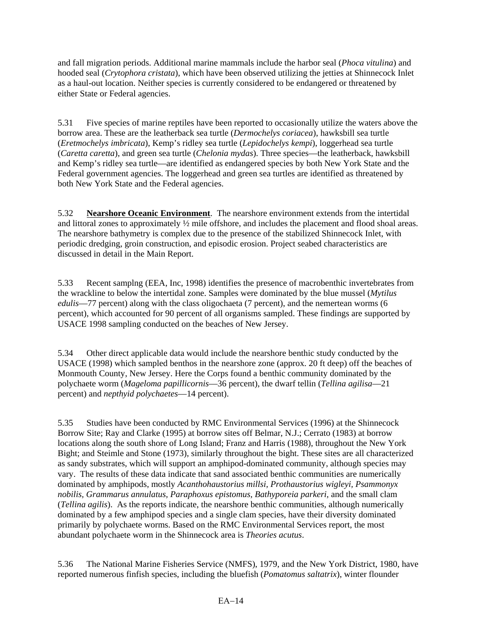and fall migration periods. Additional marine mammals include the harbor seal (*Phoca vitulina*) and hooded seal (*Crytophora cristata*), which have been observed utilizing the jetties at Shinnecock Inlet as a haul-out location. Neither species is currently considered to be endangered or threatened by either State or Federal agencies.

5.31 Five species of marine reptiles have been reported to occasionally utilize the waters above the borrow area. These are the leatherback sea turtle (*Dermochelys coriacea*), hawksbill sea turtle (*Eretmochelys imbricata*), Kemp's ridley sea turtle (*Lepidochelys kempi*), loggerhead sea turtle (*Caretta caretta*), and green sea turtle (*Chelonia mydas*). Three species—the leatherback, hawksbill and Kemp's ridley sea turtle—are identified as endangered species by both New York State and the Federal government agencies. The loggerhead and green sea turtles are identified as threatened by both New York State and the Federal agencies.

5.32 **Nearshore Oceanic Environment**. The nearshore environment extends from the intertidal and littoral zones to approximately ½ mile offshore, and includes the placement and flood shoal areas. The nearshore bathymetry is complex due to the presence of the stabilized Shinnecock Inlet, with periodic dredging, groin construction, and episodic erosion. Project seabed characteristics are discussed in detail in the Main Report.

5.33 Recent samplng (EEA, Inc, 1998) identifies the presence of macrobenthic invertebrates from the wrackline to below the intertidal zone. Samples were dominated by the blue mussel (*Mytilus edulis*—77 percent) along with the class oligochaeta (7 percent), and the nemertean worms (6 percent), which accounted for 90 percent of all organisms sampled. These findings are supported by USACE 1998 sampling conducted on the beaches of New Jersey.

5.34 Other direct applicable data would include the nearshore benthic study conducted by the USACE (1998) which sampled benthos in the nearshore zone (approx. 20 ft deep) off the beaches of Monmouth County, New Jersey. Here the Corps found a benthic community dominated by the polychaete worm (*Mageloma papillicornis*—36 percent), the dwarf tellin (*Tellina agilisa*—21 percent) and *nepthyid polychaetes*—14 percent).

5.35 Studies have been conducted by RMC Environmental Services (1996) at the Shinnecock Borrow Site; Ray and Clarke (1995) at borrow sites off Belmar, N.J.; Cerrato (1983) at borrow locations along the south shore of Long Island; Franz and Harris (1988), throughout the New York Bight; and Steimle and Stone (1973), similarly throughout the bight. These sites are all characterized as sandy substrates, which will support an amphipod-dominated community, although species may vary. The results of these data indicate that sand associated benthic communities are numerically dominated by amphipods, mostly *Acanthohaustorius millsi, Prothaustorius wigleyi, Psammonyx nobilis, Grammarus annulatus, Paraphoxus epistomus, Bathyporeia parkeri,* and the small clam (*Tellina agilis*). As the reports indicate, the nearshore benthic communities, although numerically dominated by a few amphipod species and a single clam species, have their diversity dominated primarily by polychaete worms. Based on the RMC Environmental Services report, the most abundant polychaete worm in the Shinnecock area is *Theories acutus*.

5.36 The National Marine Fisheries Service (NMFS), 1979, and the New York District, 1980, have reported numerous finfish species, including the bluefish (*Pomatomus saltatrix*), winter flounder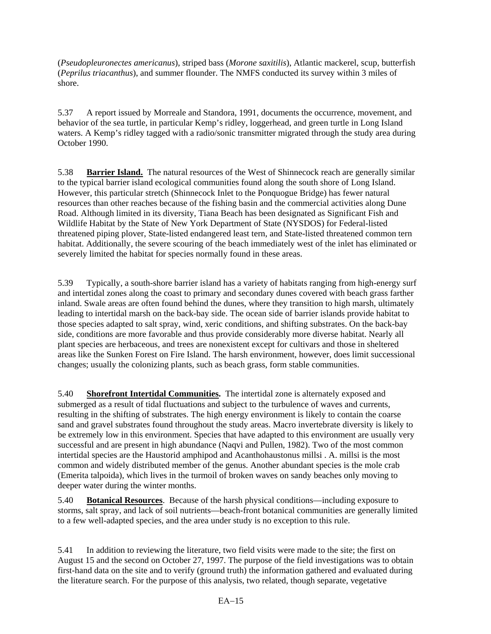(*Pseudopleuronectes americanus*), striped bass (*Morone saxitilis*), Atlantic mackerel, scup, butterfish (*Peprilus triacanthus*), and summer flounder. The NMFS conducted its survey within 3 miles of shore.

5.37 A report issued by Morreale and Standora, 1991, documents the occurrence, movement, and behavior of the sea turtle, in particular Kemp's ridley, loggerhead, and green turtle in Long Island waters. A Kemp's ridley tagged with a radio/sonic transmitter migrated through the study area during October 1990.

5.38 **Barrier Island.** The natural resources of the West of Shinnecock reach are generally similar to the typical barrier island ecological communities found along the south shore of Long Island. However, this particular stretch (Shinnecock Inlet to the Ponquogue Bridge) has fewer natural resources than other reaches because of the fishing basin and the commercial activities along Dune Road. Although limited in its diversity, Tiana Beach has been designated as Significant Fish and Wildlife Habitat by the State of New York Department of State (NYSDOS) for Federal-listed threatened piping plover, State-listed endangered least tern, and State-listed threatened common tern habitat. Additionally, the severe scouring of the beach immediately west of the inlet has eliminated or severely limited the habitat for species normally found in these areas.

5.39 Typically, a south-shore barrier island has a variety of habitats ranging from high-energy surf and intertidal zones along the coast to primary and secondary dunes covered with beach grass farther inland. Swale areas are often found behind the dunes, where they transition to high marsh, ultimately leading to intertidal marsh on the back-bay side. The ocean side of barrier islands provide habitat to those species adapted to salt spray, wind, xeric conditions, and shifting substrates. On the back-bay side, conditions are more favorable and thus provide considerably more diverse habitat. Nearly all plant species are herbaceous, and trees are nonexistent except for cultivars and those in sheltered areas like the Sunken Forest on Fire Island. The harsh environment, however, does limit successional changes; usually the colonizing plants, such as beach grass, form stable communities.

5.40 **Shorefront Intertidal Communities.** The intertidal zone is alternately exposed and submerged as a result of tidal fluctuations and subject to the turbulence of waves and currents, resulting in the shifting of substrates. The high energy environment is likely to contain the coarse sand and gravel substrates found throughout the study areas. Macro invertebrate diversity is likely to be extremely low in this environment. Species that have adapted to this environment are usually very successful and are present in high abundance (Naqvi and Pullen, 1982). Two of the most common intertidal species are the Haustorid amphipod and Acanthohaustonus millsi . A. millsi is the most common and widely distributed member of the genus. Another abundant species is the mole crab (Emerita talpoida), which lives in the turmoil of broken waves on sandy beaches only moving to deeper water during the winter months.

5.40 **Botanical Resources**. Because of the harsh physical conditions—including exposure to storms, salt spray, and lack of soil nutrients—beach-front botanical communities are generally limited to a few well-adapted species, and the area under study is no exception to this rule.

5.41 In addition to reviewing the literature, two field visits were made to the site; the first on August 15 and the second on October 27, 1997. The purpose of the field investigations was to obtain first-hand data on the site and to verify (ground truth) the information gathered and evaluated during the literature search. For the purpose of this analysis, two related, though separate, vegetative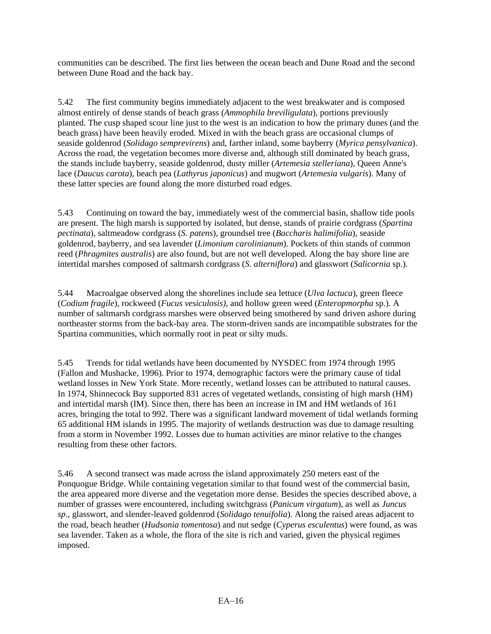communities can be described. The first lies between the ocean beach and Dune Road and the second between Dune Road and the back bay.

5.42 The first community begins immediately adjacent to the west breakwater and is composed almost entirely of dense stands of beach grass (*Ammophila breviligulata*), portions previously planted. The cusp shaped scour line just to the west is an indication to how the primary dunes (and the beach grass) have been heavily eroded. Mixed in with the beach grass are occasional clumps of seaside goldenrod (*Solidago semprevirens*) and, farther inland, some bayberry (*Myrica pensylvanica*). Across the road, the vegetation becomes more diverse and, although still dominated by beach grass, the stands include bayberry, seaside goldenrod, dusty miller (*Artemesia stelleriana*), Queen Anne's lace (*Daucus carota*), beach pea (*Lathyrus japonicus*) and mugwort (*Artemesia vulgaris*). Many of these latter species are found along the more disturbed road edges.

5.43 Continuing on toward the bay, immediately west of the commercial basin, shallow tide pools are present. The high marsh is supported by isolated, but dense, stands of prairie cordgrass (*Spartina pectinata*), saltmeadow cordgrass (*S. patens*), groundsel tree (*Baccharis halimifolia*), seaside goldenrod, bayberry, and sea lavender (*Limonium carolinianum*). Pockets of thin stands of common reed (*Phragmites australis*) are also found, but are not well developed. Along the bay shore line are intertidal marshes composed of saltmarsh cordgrass (*S. alterniflora*) and glasswort (*Salicornia* sp.).

5.44 Macroalgae observed along the shorelines include sea lettuce (*Ulva lactuca*), green fleece (*Codium fragile*), rockweed (*Fucus vesiculosis)*, and hollow green weed (*Enteropmorpha* sp.). A number of saltmarsh cordgrass marshes were observed being smothered by sand driven ashore during northeaster storms from the back-bay area. The storm-driven sands are incompatible substrates for the Spartina communities, which normally root in peat or silty muds.

5.45 Trends for tidal wetlands have been documented by NYSDEC from 1974 through 1995 (Fallon and Mushacke, 1996). Prior to 1974, demographic factors were the primary cause of tidal wetland losses in New York State. More recently, wetland losses can be attributed to natural causes. In 1974, Shinnecock Bay supported 831 acres of vegetated wetlands, consisting of high marsh (HM) and intertidal marsh (IM). Since then, there has been an increase in IM and HM wetlands of 161 acres, bringing the total to 992. There was a significant landward movement of tidal wetlands forming 65 additional HM islands in 1995. The majority of wetlands destruction was due to damage resulting from a storm in November 1992. Losses due to human activities are minor relative to the changes resulting from these other factors.

5.46 A second transect was made across the island approximately 250 meters east of the Ponquogue Bridge. While containing vegetation similar to that found west of the commercial basin, the area appeared more diverse and the vegetation more dense. Besides the species described above, a number of grasses were encountered, including switchgrass (*Panicum virgatum*), as well as *Juncus sp*., glasswort, and slender-leaved goldenrod (*Solidago tenuifolia*). Along the raised areas adjacent to the road, beach heather (*Hudsonia tomentosa*) and nut sedge (*Cyperus esculentus*) were found, as was sea lavender. Taken as a whole, the flora of the site is rich and varied, given the physical regimes imposed.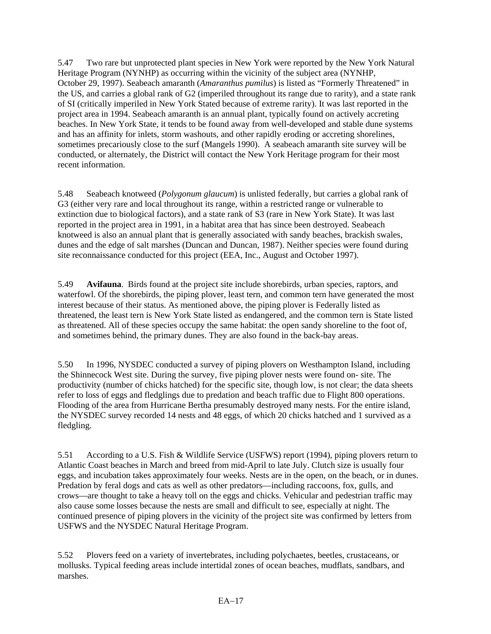5.47 Two rare but unprotected plant species in New York were reported by the New York Natural Heritage Program (NYNHP) as occurring within the vicinity of the subject area (NYNHP, October 29, 1997). Seabeach amaranth (*Amaranthus pumilus*) is listed as "Formerly Threatened" in the US, and carries a global rank of G2 (imperiled throughout its range due to rarity), and a state rank of SI (critically imperiled in New York Stated because of extreme rarity). It was last reported in the project area in 1994. Seabeach amaranth is an annual plant, typically found on actively accreting beaches. In New York State, it tends to be found away from well-developed and stable dune systems and has an affinity for inlets, storm washouts, and other rapidly eroding or accreting shorelines, sometimes precariously close to the surf (Mangels 1990). A seabeach amaranth site survey will be conducted, or alternately, the District will contact the New York Heritage program for their most recent information.

5.48 Seabeach knotweed (*Polygonum glaucum*) is unlisted federally, but carries a global rank of G3 (either very rare and local throughout its range, within a restricted range or vulnerable to extinction due to biological factors), and a state rank of S3 (rare in New York State). It was last reported in the project area in 1991, in a habitat area that has since been destroyed. Seabeach knotweed is also an annual plant that is generally associated with sandy beaches, brackish swales, dunes and the edge of salt marshes (Duncan and Duncan, 1987). Neither species were found during site reconnaissance conducted for this project (EEA, Inc., August and October 1997).

5.49 **Avifauna**. Birds found at the project site include shorebirds, urban species, raptors, and waterfowl. Of the shorebirds, the piping plover, least tern, and common tern have generated the most interest because of their status. As mentioned above, the piping plover is Federally listed as threatened, the least tern is New York State listed as endangered, and the common tern is State listed as threatened. All of these species occupy the same habitat: the open sandy shoreline to the foot of, and sometimes behind, the primary dunes. They are also found in the back-bay areas.

5.50 In 1996, NYSDEC conducted a survey of piping plovers on Westhampton Island, including the Shinnecock West site. During the survey, five piping plover nests were found on- site. The productivity (number of chicks hatched) for the specific site, though low, is not clear; the data sheets refer to loss of eggs and fledglings due to predation and beach traffic due to Flight 800 operations. Flooding of the area from Hurricane Bertha presumably destroyed many nests. For the entire island, the NYSDEC survey recorded 14 nests and 48 eggs, of which 20 chicks hatched and 1 survived as a fledgling.

5.51 According to a U.S. Fish & Wildlife Service (USFWS) report (1994), piping plovers return to Atlantic Coast beaches in March and breed from mid-April to late July. Clutch size is usually four eggs, and incubation takes approximately four weeks. Nests are in the open, on the beach, or in dunes. Predation by feral dogs and cats as well as other predators—including raccoons, fox, gulls, and crows—are thought to take a heavy toll on the eggs and chicks. Vehicular and pedestrian traffic may also cause some losses because the nests are small and difficult to see, especially at night. The continued presence of piping plovers in the vicinity of the project site was confirmed by letters from USFWS and the NYSDEC Natural Heritage Program.

5.52 Plovers feed on a variety of invertebrates, including polychaetes, beetles, crustaceans, or mollusks. Typical feeding areas include intertidal zones of ocean beaches, mudflats, sandbars, and marshes.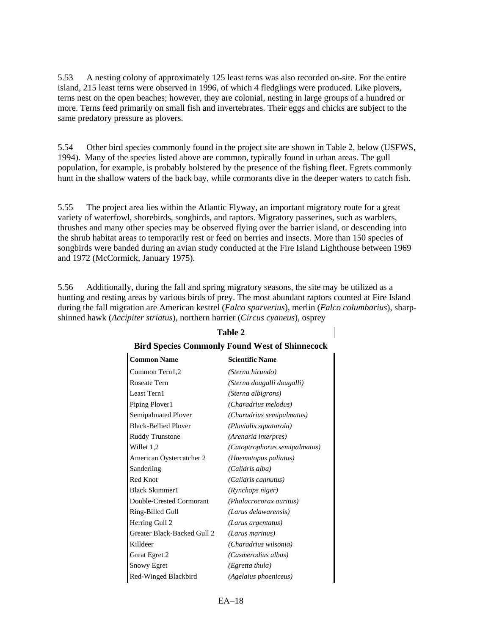5.53 A nesting colony of approximately 125 least terns was also recorded on-site. For the entire island, 215 least terns were observed in 1996, of which 4 fledglings were produced. Like plovers, terns nest on the open beaches; however, they are colonial, nesting in large groups of a hundred or more. Terns feed primarily on small fish and invertebrates. Their eggs and chicks are subject to the same predatory pressure as plovers.

5.54 Other bird species commonly found in the project site are shown in Table 2, below (USFWS, 1994). Many of the species listed above are common, typically found in urban areas. The gull population, for example, is probably bolstered by the presence of the fishing fleet. Egrets commonly hunt in the shallow waters of the back bay, while cormorants dive in the deeper waters to catch fish.

5.55 The project area lies within the Atlantic Flyway, an important migratory route for a great variety of waterfowl, shorebirds, songbirds, and raptors. Migratory passerines, such as warblers, thrushes and many other species may be observed flying over the barrier island, or descending into the shrub habitat areas to temporarily rest or feed on berries and insects. More than 150 species of songbirds were banded during an avian study conducted at the Fire Island Lighthouse between 1969 and 1972 (McCormick, January 1975).

5.56 Additionally, during the fall and spring migratory seasons, the site may be utilized as a hunting and resting areas by various birds of prey. The most abundant raptors counted at Fire Island during the fall migration are American kestrel (*Falco sparverius*), merlin (*Falco columbarius*), sharpshinned hawk (*Accipiter striatus*), northern harrier (*Circus cyaneus*), osprey

| <b>Common Name</b>          | <b>Scientific Name</b>        |
|-----------------------------|-------------------------------|
| Common Tern1,2              | (Sterna hirundo)              |
| Roseate Tern                | (Sterna dougalli dougalli)    |
| Least Tern1                 | (Sterna albigrons)            |
| Piping Plover1              | (Charadrius melodus)          |
| Semipalmated Plover         | (Charadrius semipalmatus)     |
| <b>Black-Bellied Plover</b> | (Pluvialis squatarola)        |
| <b>Ruddy Trunstone</b>      | (Arenaria interpres)          |
| Willet 1,2                  | (Catoptrophorus semipalmatus) |
| American Oystercatcher 2    | (Haematopus paliatus)         |
| Sanderling                  | (Calidris alba)               |
| Red Knot                    | (Calidris cannutus)           |
| <b>Black Skimmer1</b>       | (Rynchops niger)              |
| Double-Crested Cormorant    | (Phalacrocorax auritus)       |
| Ring-Billed Gull            | (Larus delawarensis)          |
| Herring Gull 2              | (Larus argentatus)            |
| Greater Black-Backed Gull 2 | (Larus marinus)               |
| Killdeer                    | (Charadrius wilsonia)         |
| Great Egret 2               | (Casmerodius albus)           |
| <b>Snowy Egret</b>          | (Egretta thula)               |
| Red-Winged Blackbird        | (Agelaius phoeniceus)         |

# **Table 2 Bird Species Commonly Found West of Shinnecock**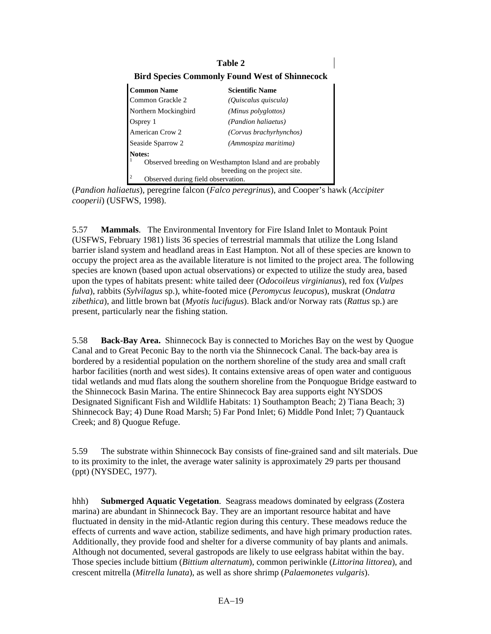## **Table 2**

#### **Bird Species Commonly Found West of Shinnecock**

| <b>Common Name</b>                                       | <b>Scientific Name</b>         |  |
|----------------------------------------------------------|--------------------------------|--|
| Common Grackle 2                                         | (Quiscalus quiscula)           |  |
| Northern Mockingbird                                     | (Minus polyglottos)            |  |
| Osprey 1                                                 | <i>(Pandion haliaetus)</i>     |  |
| American Crow 2                                          | <i>(Corvus brachyrhynchos)</i> |  |
| Seaside Sparrow 2                                        | (Ammospiza maritima)           |  |
| Notes:                                                   |                                |  |
| Observed breeding on Westhampton Island and are probably |                                |  |
| breeding on the project site.                            |                                |  |
| $\overline{2}$<br>Observed during field observation.     |                                |  |

(*Pandion haliaetus*), peregrine falcon (*Falco peregrinus*), and Cooper's hawk (*Accipiter cooperii*) (USFWS, 1998).

5.57 **Mammals**. The Environmental Inventory for Fire Island Inlet to Montauk Point (USFWS, February 1981) lists 36 species of terrestrial mammals that utilize the Long Island barrier island system and headland areas in East Hampton. Not all of these species are known to occupy the project area as the available literature is not limited to the project area. The following species are known (based upon actual observations) or expected to utilize the study area, based upon the types of habitats present: white tailed deer (*Odocoileus virginianus*), red fox (*Vulpes fulva*), rabbits (*Sylvilagus* sp.), white-footed mice (*Peromycus leucopus*), muskrat (*Ondatra zibethica*), and little brown bat (*Myotis lucifugus*). Black and/or Norway rats (*Rattus* sp.) are present, particularly near the fishing station.

5.58 **Back-Bay Area.** Shinnecock Bay is connected to Moriches Bay on the west by Quogue Canal and to Great Peconic Bay to the north via the Shinnecock Canal. The back-bay area is bordered by a residential population on the northern shoreline of the study area and small craft harbor facilities (north and west sides). It contains extensive areas of open water and contiguous tidal wetlands and mud flats along the southern shoreline from the Ponquogue Bridge eastward to the Shinnecock Basin Marina. The entire Shinnecock Bay area supports eight NYSDOS Designated Significant Fish and Wildlife Habitats: 1) Southampton Beach; 2) Tiana Beach; 3) Shinnecock Bay; 4) Dune Road Marsh; 5) Far Pond Inlet; 6) Middle Pond Inlet; 7) Quantauck Creek; and 8) Quogue Refuge.

5.59 The substrate within Shinnecock Bay consists of fine-grained sand and silt materials. Due to its proximity to the inlet, the average water salinity is approximately 29 parts per thousand (ppt) (NYSDEC, 1977).

hhh) **Submerged Aquatic Vegetation**. Seagrass meadows dominated by eelgrass (Zostera marina) are abundant in Shinnecock Bay. They are an important resource habitat and have fluctuated in density in the mid-Atlantic region during this century. These meadows reduce the effects of currents and wave action, stabilize sediments, and have high primary production rates. Additionally, they provide food and shelter for a diverse community of bay plants and animals. Although not documented, several gastropods are likely to use eelgrass habitat within the bay. Those species include bittium (*Bittium alternatum*), common periwinkle (*Littorina littorea*), and crescent mitrella (*Mitrella lunata*), as well as shore shrimp (*Palaemonetes vulgaris*).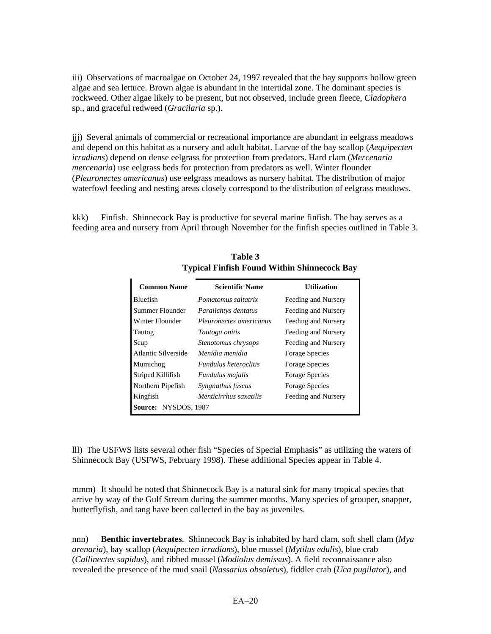iii) Observations of macroalgae on October 24, 1997 revealed that the bay supports hollow green algae and sea lettuce. Brown algae is abundant in the intertidal zone. The dominant species is rockweed. Other algae likely to be present, but not observed, include green fleece, *Cladophera* sp., and graceful redweed (*Gracilaria* sp.).

jjj) Several animals of commercial or recreational importance are abundant in eelgrass meadows and depend on this habitat as a nursery and adult habitat. Larvae of the bay scallop (*Aequipecten irradians*) depend on dense eelgrass for protection from predators. Hard clam (*Mercenaria mercenaria*) use eelgrass beds for protection from predators as well. Winter flounder (*Pleuronectes americanus*) use eelgrass meadows as nursery habitat. The distribution of major waterfowl feeding and nesting areas closely correspond to the distribution of eelgrass meadows.

kkk) Finfish. Shinnecock Bay is productive for several marine finfish. The bay serves as a feeding area and nursery from April through November for the finfish species outlined in Table 3.

| <b>Common Name</b>   | <b>Scientific Name</b>       | <b>Utilization</b>    |
|----------------------|------------------------------|-----------------------|
| <b>Bluefish</b>      | Pomatomus saltatrix          | Feeding and Nursery   |
| Summer Flounder      | Paralichtys dentatus         | Feeding and Nursery   |
| Winter Flounder      | Pleuronectes americanus      | Feeding and Nursery   |
| Tautog               | Tautoga onitis               | Feeding and Nursery   |
| Scup                 | Stenotomus chrysops          | Feeding and Nursery   |
| Atlantic Silverside  | Menidia menidia              | <b>Forage Species</b> |
| Mumichog             | <i>Fundulus heteroclitis</i> | <b>Forage Species</b> |
| Striped Killifish    | <i>Fundulus majalis</i>      | <b>Forage Species</b> |
| Northern Pipefish    | Syngnathus fuscus            | Forage Species        |
| Kingfish             | Menticirrhus saxatilis       | Feeding and Nursery   |
| Source: NYSDOS, 1987 |                              |                       |

**Table 3 Typical Finfish Found Within Shinnecock Bay** 

lll) The USFWS lists several other fish "Species of Special Emphasis" as utilizing the waters of Shinnecock Bay (USFWS, February 1998). These additional Species appear in Table 4.

mmm) It should be noted that Shinnecock Bay is a natural sink for many tropical species that arrive by way of the Gulf Stream during the summer months. Many species of grouper, snapper, butterflyfish, and tang have been collected in the bay as juveniles.

nnn) **Benthic invertebrates**. Shinnecock Bay is inhabited by hard clam, soft shell clam (*Mya arenaria*), bay scallop (*Aequipecten irradians*), blue mussel (*Mytilus edulis*), blue crab (*Callinectes sapidus*), and ribbed mussel (*Modiolus demissus*). A field reconnaissance also revealed the presence of the mud snail (*Nassarius obsoletus*), fiddler crab (*Uca pugilator*), and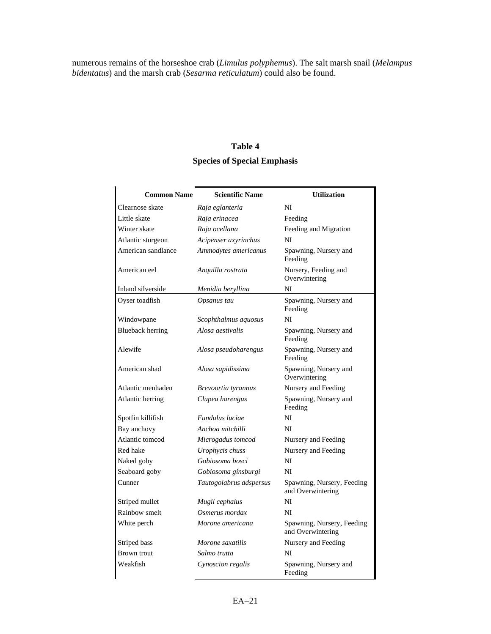numerous remains of the horseshoe crab (*Limulus polyphemus*). The salt marsh snail (*Melampus bidentatus*) and the marsh crab (*Sesarma reticulatum*) could also be found.

# **Table 4 Species of Special Emphasis**

| <b>Common Name</b>      | <b>Scientific Name</b>  | <b>Utilization</b>                              |
|-------------------------|-------------------------|-------------------------------------------------|
| Clearnose skate         | Raja eglanteria         | NI                                              |
| Little skate            | Raja erinacea           | Feeding                                         |
| Winter skate            | Raja ocellana           | Feeding and Migration                           |
| Atlantic sturgeon       | Acipenser axyrinchus    | NI                                              |
| American sandlance      | Ammodytes americanus    | Spawning, Nursery and<br>Feeding                |
| American eel            | Anquilla rostrata       | Nursery, Feeding and<br>Overwintering           |
| Inland silverside       | Menidia beryllina       | NI                                              |
| Oyser toadfish          | Opsanus tau             | Spawning, Nursery and<br>Feeding                |
| Windowpane              | Scophthalmus aquosus    | NI                                              |
| <b>Blueback herring</b> | Alosa aestivalis        | Spawning, Nursery and<br>Feeding                |
| Alewife                 | Alosa pseudoharengus    | Spawning, Nursery and<br>Feeding                |
| American shad           | Alosa sapidissima       | Spawning, Nursery and<br>Overwintering          |
| Atlantic menhaden       | Brevoortia tyrannus     | Nursery and Feeding                             |
| Atlantic herring        | Clupea harengus         | Spawning, Nursery and<br>Feeding                |
| Spotfin killifish       | Fundulus luciae         | NI                                              |
| Bay anchovy             | Anchoa mitchilli        | NI                                              |
| Atlantic tomcod         | Microgadus tomcod       | Nursery and Feeding                             |
| Red hake                | Urophycis chuss         | Nursery and Feeding                             |
| Naked goby              | Gobiosoma bosci         | NI                                              |
| Seaboard goby           | Gobiosoma ginsburgi     | NI                                              |
| Cunner                  | Tautogolabrus adspersus | Spawning, Nursery, Feeding<br>and Overwintering |
| Striped mullet          | Mugil cephalus          | NI                                              |
| Rainbow smelt           | Osmerus mordax          | NI                                              |
| White perch             | Morone americana        | Spawning, Nursery, Feeding<br>and Overwintering |
| Striped bass            | Morone saxatilis        | Nursery and Feeding                             |
| Brown trout             | Salmo trutta            | NI                                              |
| Weakfish                | Cynoscion regalis       | Spawning, Nursery and<br>Feeding                |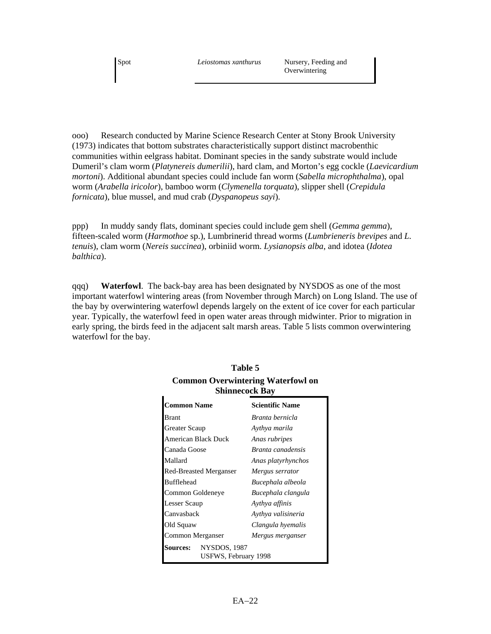ooo) Research conducted by Marine Science Research Center at Stony Brook University (1973) indicates that bottom substrates characteristically support distinct macrobenthic communities within eelgrass habitat. Dominant species in the sandy substrate would include Dumeril's clam worm (*Platynereis dumerilii*), hard clam, and Morton's egg cockle (*Laevicardium mortoni*). Additional abundant species could include fan worm (*Sabella microphthalma*), opal worm (*Arabella iricolor*), bamboo worm (*Clymenella torquata*), slipper shell (*Crepidula fornicata*), blue mussel, and mud crab (*Dyspanopeus sayi*).

ppp) In muddy sandy flats, dominant species could include gem shell (*Gemma gemma*), fifteen-scaled worm (*Harmothoe* sp.), Lumbrinerid thread worms (*Lumbrieneris brevipes* and *L. tenuis*), clam worm (*Nereis succinea*), orbiniid worm. *Lysianopsis alba*, and idotea (*Idotea balthica*).

qqq) **Waterfowl**. The back-bay area has been designated by NYSDOS as one of the most important waterfowl wintering areas (from November through March) on Long Island. The use of the bay by overwintering waterfowl depends largely on the extent of ice cover for each particular year. Typically, the waterfowl feed in open water areas through midwinter. Prior to migration in early spring, the birds feed in the adjacent salt marsh areas. Table 5 lists common overwintering waterfowl for the bay.

| ЭШШССОСК DAY                                            |                     |                          |  |  |
|---------------------------------------------------------|---------------------|--------------------------|--|--|
| <b>Common Name</b>                                      |                     | <b>Scientific Name</b>   |  |  |
| <b>Brant</b>                                            |                     | Branta bernicla          |  |  |
| Greater Scaup                                           |                     | Aythya marila            |  |  |
|                                                         | American Black Duck | Anas rubripes            |  |  |
| Canada Goose                                            |                     | <i>Branta canadensis</i> |  |  |
| Mallard                                                 |                     | Anas platyrhynchos       |  |  |
| <b>Red-Breasted Merganser</b>                           |                     | Mergus serrator          |  |  |
| <b>Bufflehead</b>                                       |                     | Bucephala albeola        |  |  |
| Common Goldeneye                                        |                     | Bucephala clangula       |  |  |
| Lesser Scaup                                            |                     | Aythya affinis           |  |  |
| Canvashack                                              |                     | Aythya valisineria       |  |  |
| Old Squaw                                               |                     | Clangula hyemalis        |  |  |
| Common Merganser                                        |                     | Mergus merganser         |  |  |
| NYSDOS, 1987<br><b>Sources:</b><br>USFWS, February 1998 |                     |                          |  |  |

# **Table 5 Common Overwintering Waterfowl on Shinnecock Bay**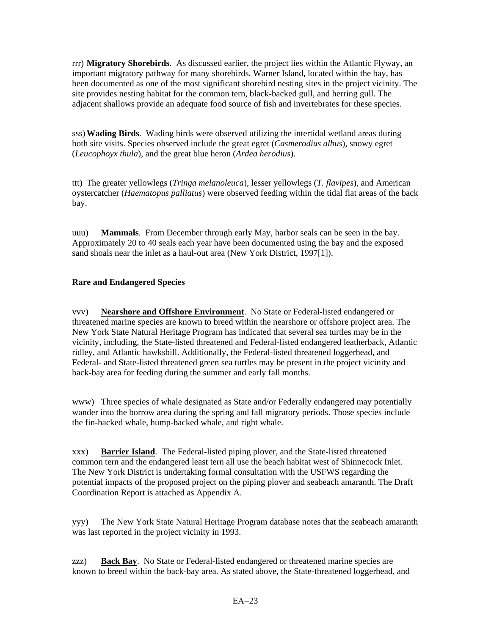rrr) **Migratory Shorebirds**. As discussed earlier, the project lies within the Atlantic Flyway, an important migratory pathway for many shorebirds. Warner Island, located within the bay, has been documented as one of the most significant shorebird nesting sites in the project vicinity. The site provides nesting habitat for the common tern, black-backed gull, and herring gull. The adjacent shallows provide an adequate food source of fish and invertebrates for these species.

sss) **Wading Birds**. Wading birds were observed utilizing the intertidal wetland areas during both site visits. Species observed include the great egret (*Casmerodius albus*), snowy egret (*Leucophoyx thula*), and the great blue heron (*Ardea herodius*).

ttt) The greater yellowlegs (*Tringa melanoleuca*), lesser yellowlegs (*T. flavipes*), and American oystercatcher (*Haematopus palliatus*) were observed feeding within the tidal flat areas of the back bay.

uuu) **Mammals**. From December through early May, harbor seals can be seen in the bay. Approximately 20 to 40 seals each year have been documented using the bay and the exposed sand shoals near the inlet as a haul-out area (New York District, 1997[1]).

# **Rare and Endangered Species**

vvv) **Nearshore and Offshore Environment**. No State or Federal-listed endangered or threatened marine species are known to breed within the nearshore or offshore project area. The New York State Natural Heritage Program has indicated that several sea turtles may be in the vicinity, including, the State-listed threatened and Federal-listed endangered leatherback, Atlantic ridley, and Atlantic hawksbill. Additionally, the Federal-listed threatened loggerhead, and Federal- and State-listed threatened green sea turtles may be present in the project vicinity and back-bay area for feeding during the summer and early fall months.

www) Three species of whale designated as State and/or Federally endangered may potentially wander into the borrow area during the spring and fall migratory periods. Those species include the fin-backed whale, hump-backed whale, and right whale.

xxx) **Barrier Island**. The Federal-listed piping plover, and the State-listed threatened common tern and the endangered least tern all use the beach habitat west of Shinnecock Inlet. The New York District is undertaking formal consultation with the USFWS regarding the potential impacts of the proposed project on the piping plover and seabeach amaranth. The Draft Coordination Report is attached as Appendix A.

yyy) The New York State Natural Heritage Program database notes that the seabeach amaranth was last reported in the project vicinity in 1993.

zzz) **Back Bay**. No State or Federal-listed endangered or threatened marine species are known to breed within the back-bay area. As stated above, the State-threatened loggerhead, and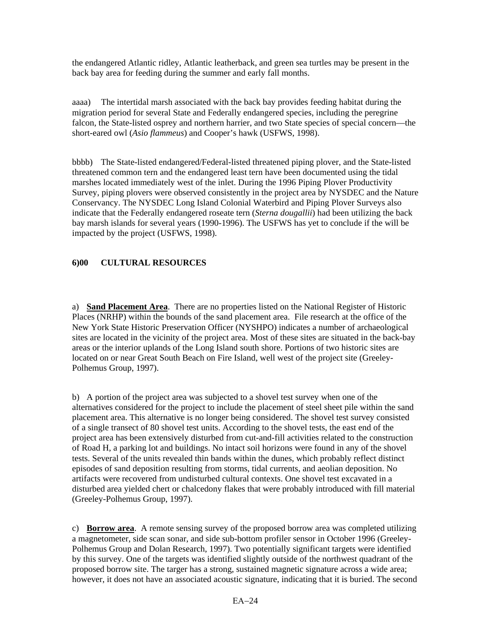the endangered Atlantic ridley, Atlantic leatherback, and green sea turtles may be present in the back bay area for feeding during the summer and early fall months.

aaaa) The intertidal marsh associated with the back bay provides feeding habitat during the migration period for several State and Federally endangered species, including the peregrine falcon, the State-listed osprey and northern harrier, and two State species of special concern—the short-eared owl (*Asio flammeus*) and Cooper's hawk (USFWS, 1998).

bbbb) The State-listed endangered/Federal-listed threatened piping plover, and the State-listed threatened common tern and the endangered least tern have been documented using the tidal marshes located immediately west of the inlet. During the 1996 Piping Plover Productivity Survey, piping plovers were observed consistently in the project area by NYSDEC and the Nature Conservancy. The NYSDEC Long Island Colonial Waterbird and Piping Plover Surveys also indicate that the Federally endangered roseate tern (*Sterna dougallii*) had been utilizing the back bay marsh islands for several years (1990-1996). The USFWS has yet to conclude if the will be impacted by the project (USFWS, 1998).

# **6)00 CULTURAL RESOURCES**

a) **Sand Placement Area**. There are no properties listed on the National Register of Historic Places (NRHP) within the bounds of the sand placement area. File research at the office of the New York State Historic Preservation Officer (NYSHPO) indicates a number of archaeological sites are located in the vicinity of the project area. Most of these sites are situated in the back-bay areas or the interior uplands of the Long Island south shore. Portions of two historic sites are located on or near Great South Beach on Fire Island, well west of the project site (Greeley-Polhemus Group, 1997).

b) A portion of the project area was subjected to a shovel test survey when one of the alternatives considered for the project to include the placement of steel sheet pile within the sand placement area. This alternative is no longer being considered. The shovel test survey consisted of a single transect of 80 shovel test units. According to the shovel tests, the east end of the project area has been extensively disturbed from cut-and-fill activities related to the construction of Road H, a parking lot and buildings. No intact soil horizons were found in any of the shovel tests. Several of the units revealed thin bands within the dunes, which probably reflect distinct episodes of sand deposition resulting from storms, tidal currents, and aeolian deposition. No artifacts were recovered from undisturbed cultural contexts. One shovel test excavated in a disturbed area yielded chert or chalcedony flakes that were probably introduced with fill material (Greeley-Polhemus Group, 1997).

c) **Borrow area**. A remote sensing survey of the proposed borrow area was completed utilizing a magnetometer, side scan sonar, and side sub-bottom profiler sensor in October 1996 (Greeley-Polhemus Group and Dolan Research, 1997). Two potentially significant targets were identified by this survey. One of the targets was identified slightly outside of the northwest quadrant of the proposed borrow site. The targer has a strong, sustained magnetic signature across a wide area; however, it does not have an associated acoustic signature, indicating that it is buried. The second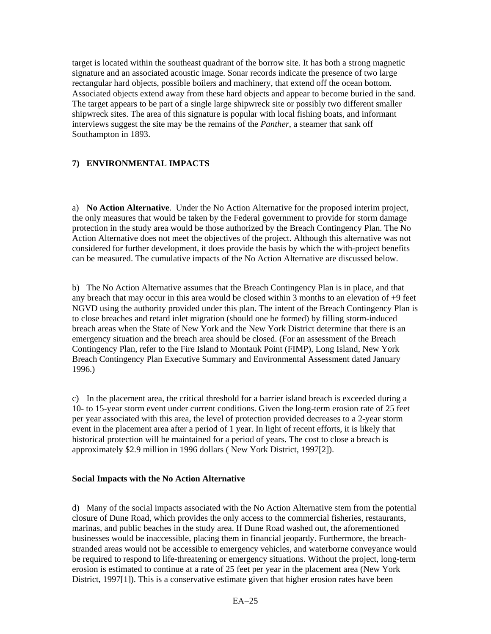target is located within the southeast quadrant of the borrow site. It has both a strong magnetic signature and an associated acoustic image. Sonar records indicate the presence of two large rectangular hard objects, possible boilers and machinery, that extend off the ocean bottom. Associated objects extend away from these hard objects and appear to become buried in the sand. The target appears to be part of a single large shipwreck site or possibly two different smaller shipwreck sites. The area of this signature is popular with local fishing boats, and informant interviews suggest the site may be the remains of the *Panther*, a steamer that sank off Southampton in 1893.

# **7) ENVIRONMENTAL IMPACTS**

a) **No Action Alternative**. Under the No Action Alternative for the proposed interim project, the only measures that would be taken by the Federal government to provide for storm damage protection in the study area would be those authorized by the Breach Contingency Plan. The No Action Alternative does not meet the objectives of the project. Although this alternative was not considered for further development, it does provide the basis by which the with-project benefits can be measured. The cumulative impacts of the No Action Alternative are discussed below.

b) The No Action Alternative assumes that the Breach Contingency Plan is in place, and that any breach that may occur in this area would be closed within 3 months to an elevation of +9 feet NGVD using the authority provided under this plan. The intent of the Breach Contingency Plan is to close breaches and retard inlet migration (should one be formed) by filling storm-induced breach areas when the State of New York and the New York District determine that there is an emergency situation and the breach area should be closed. (For an assessment of the Breach Contingency Plan, refer to the Fire Island to Montauk Point (FIMP), Long Island, New York Breach Contingency Plan Executive Summary and Environmental Assessment dated January 1996.)

c) In the placement area, the critical threshold for a barrier island breach is exceeded during a 10- to 15-year storm event under current conditions. Given the long-term erosion rate of 25 feet per year associated with this area, the level of protection provided decreases to a 2-year storm event in the placement area after a period of 1 year. In light of recent efforts, it is likely that historical protection will be maintained for a period of years. The cost to close a breach is approximately \$2.9 million in 1996 dollars ( New York District, 1997[2]).

#### **Social Impacts with the No Action Alternative**

d) Many of the social impacts associated with the No Action Alternative stem from the potential closure of Dune Road, which provides the only access to the commercial fisheries, restaurants, marinas, and public beaches in the study area. If Dune Road washed out, the aforementioned businesses would be inaccessible, placing them in financial jeopardy. Furthermore, the breachstranded areas would not be accessible to emergency vehicles, and waterborne conveyance would be required to respond to life-threatening or emergency situations. Without the project, long-term erosion is estimated to continue at a rate of 25 feet per year in the placement area (New York District, 1997[1]). This is a conservative estimate given that higher erosion rates have been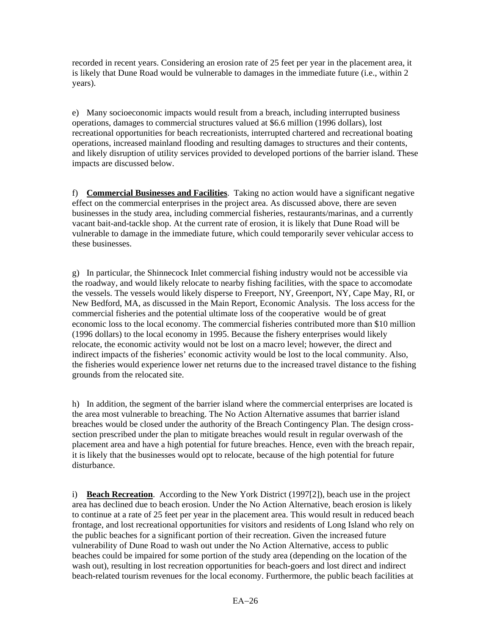recorded in recent years. Considering an erosion rate of 25 feet per year in the placement area, it is likely that Dune Road would be vulnerable to damages in the immediate future (i.e., within 2 years).

e) Many socioeconomic impacts would result from a breach, including interrupted business operations, damages to commercial structures valued at \$6.6 million (1996 dollars), lost recreational opportunities for beach recreationists, interrupted chartered and recreational boating operations, increased mainland flooding and resulting damages to structures and their contents, and likely disruption of utility services provided to developed portions of the barrier island. These impacts are discussed below.

f) **Commercial Businesses and Facilities**. Taking no action would have a significant negative effect on the commercial enterprises in the project area. As discussed above, there are seven businesses in the study area, including commercial fisheries, restaurants/marinas, and a currently vacant bait-and-tackle shop. At the current rate of erosion, it is likely that Dune Road will be vulnerable to damage in the immediate future, which could temporarily sever vehicular access to these businesses.

g) In particular, the Shinnecock Inlet commercial fishing industry would not be accessible via the roadway, and would likely relocate to nearby fishing facilities, with the space to accomodate the vessels. The vessels would likely disperse to Freeport, NY, Greenport, NY, Cape May, RI, or New Bedford, MA, as discussed in the Main Report, Economic Analysis. The loss access for the commercial fisheries and the potential ultimate loss of the cooperative would be of great economic loss to the local economy. The commercial fisheries contributed more than \$10 million (1996 dollars) to the local economy in 1995. Because the fishery enterprises would likely relocate, the economic activity would not be lost on a macro level; however, the direct and indirect impacts of the fisheries' economic activity would be lost to the local community. Also, the fisheries would experience lower net returns due to the increased travel distance to the fishing grounds from the relocated site.

h) In addition, the segment of the barrier island where the commercial enterprises are located is the area most vulnerable to breaching. The No Action Alternative assumes that barrier island breaches would be closed under the authority of the Breach Contingency Plan. The design crosssection prescribed under the plan to mitigate breaches would result in regular overwash of the placement area and have a high potential for future breaches. Hence, even with the breach repair, it is likely that the businesses would opt to relocate, because of the high potential for future disturbance.

i) **Beach Recreation**. According to the New York District (1997[2]), beach use in the project area has declined due to beach erosion. Under the No Action Alternative, beach erosion is likely to continue at a rate of 25 feet per year in the placement area. This would result in reduced beach frontage, and lost recreational opportunities for visitors and residents of Long Island who rely on the public beaches for a significant portion of their recreation. Given the increased future vulnerability of Dune Road to wash out under the No Action Alternative, access to public beaches could be impaired for some portion of the study area (depending on the location of the wash out), resulting in lost recreation opportunities for beach-goers and lost direct and indirect beach-related tourism revenues for the local economy. Furthermore, the public beach facilities at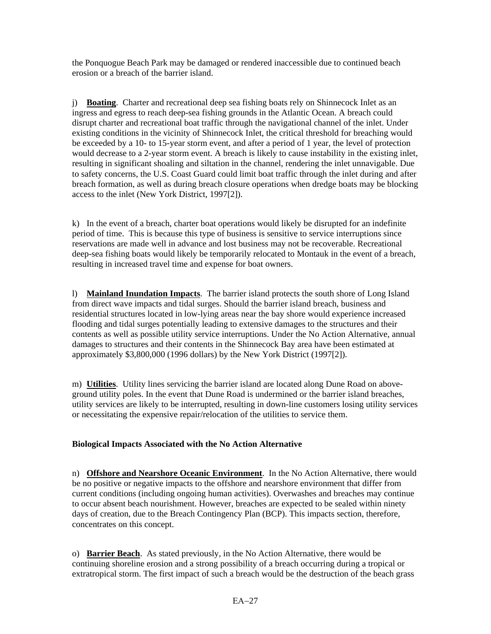the Ponquogue Beach Park may be damaged or rendered inaccessible due to continued beach erosion or a breach of the barrier island.

j) **Boating**. Charter and recreational deep sea fishing boats rely on Shinnecock Inlet as an ingress and egress to reach deep-sea fishing grounds in the Atlantic Ocean. A breach could disrupt charter and recreational boat traffic through the navigational channel of the inlet. Under existing conditions in the vicinity of Shinnecock Inlet, the critical threshold for breaching would be exceeded by a 10- to 15-year storm event, and after a period of 1 year, the level of protection would decrease to a 2-year storm event. A breach is likely to cause instability in the existing inlet, resulting in significant shoaling and siltation in the channel, rendering the inlet unnavigable. Due to safety concerns, the U.S. Coast Guard could limit boat traffic through the inlet during and after breach formation, as well as during breach closure operations when dredge boats may be blocking access to the inlet (New York District, 1997[2]).

k) In the event of a breach, charter boat operations would likely be disrupted for an indefinite period of time. This is because this type of business is sensitive to service interruptions since reservations are made well in advance and lost business may not be recoverable. Recreational deep-sea fishing boats would likely be temporarily relocated to Montauk in the event of a breach, resulting in increased travel time and expense for boat owners.

l) **Mainland Inundation Impacts**. The barrier island protects the south shore of Long Island from direct wave impacts and tidal surges. Should the barrier island breach, business and residential structures located in low-lying areas near the bay shore would experience increased flooding and tidal surges potentially leading to extensive damages to the structures and their contents as well as possible utility service interruptions. Under the No Action Alternative, annual damages to structures and their contents in the Shinnecock Bay area have been estimated at approximately \$3,800,000 (1996 dollars) by the New York District (1997[2]).

m) **Utilities**. Utility lines servicing the barrier island are located along Dune Road on aboveground utility poles. In the event that Dune Road is undermined or the barrier island breaches, utility services are likely to be interrupted, resulting in down-line customers losing utility services or necessitating the expensive repair/relocation of the utilities to service them.

#### **Biological Impacts Associated with the No Action Alternative**

n) **Offshore and Nearshore Oceanic Environment**. In the No Action Alternative, there would be no positive or negative impacts to the offshore and nearshore environment that differ from current conditions (including ongoing human activities). Overwashes and breaches may continue to occur absent beach nourishment. However, breaches are expected to be sealed within ninety days of creation, due to the Breach Contingency Plan (BCP). This impacts section, therefore, concentrates on this concept.

o) **Barrier Beach**. As stated previously, in the No Action Alternative, there would be continuing shoreline erosion and a strong possibility of a breach occurring during a tropical or extratropical storm. The first impact of such a breach would be the destruction of the beach grass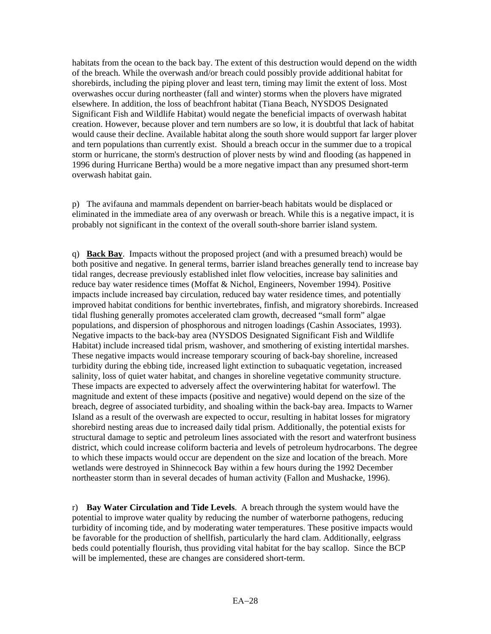habitats from the ocean to the back bay. The extent of this destruction would depend on the width of the breach. While the overwash and/or breach could possibly provide additional habitat for shorebirds, including the piping plover and least tern, timing may limit the extent of loss. Most overwashes occur during northeaster (fall and winter) storms when the plovers have migrated elsewhere. In addition, the loss of beachfront habitat (Tiana Beach, NYSDOS Designated Significant Fish and Wildlife Habitat) would negate the beneficial impacts of overwash habitat creation. However, because plover and tern numbers are so low, it is doubtful that lack of habitat would cause their decline. Available habitat along the south shore would support far larger plover and tern populations than currently exist. Should a breach occur in the summer due to a tropical storm or hurricane, the storm's destruction of plover nests by wind and flooding (as happened in 1996 during Hurricane Bertha) would be a more negative impact than any presumed short-term overwash habitat gain.

p) The avifauna and mammals dependent on barrier-beach habitats would be displaced or eliminated in the immediate area of any overwash or breach. While this is a negative impact, it is probably not significant in the context of the overall south-shore barrier island system.

q) **Back Bay**. Impacts without the proposed project (and with a presumed breach) would be both positive and negative. In general terms, barrier island breaches generally tend to increase bay tidal ranges, decrease previously established inlet flow velocities, increase bay salinities and reduce bay water residence times (Moffat & Nichol, Engineers, November 1994). Positive impacts include increased bay circulation, reduced bay water residence times, and potentially improved habitat conditions for benthic invertebrates, finfish, and migratory shorebirds. Increased tidal flushing generally promotes accelerated clam growth, decreased "small form" algae populations, and dispersion of phosphorous and nitrogen loadings (Cashin Associates, 1993). Negative impacts to the back-bay area (NYSDOS Designated Significant Fish and Wildlife Habitat) include increased tidal prism, washover, and smothering of existing intertidal marshes. These negative impacts would increase temporary scouring of back-bay shoreline, increased turbidity during the ebbing tide, increased light extinction to subaquatic vegetation, increased salinity, loss of quiet water habitat, and changes in shoreline vegetative community structure. These impacts are expected to adversely affect the overwintering habitat for waterfowl. The magnitude and extent of these impacts (positive and negative) would depend on the size of the breach, degree of associated turbidity, and shoaling within the back-bay area. Impacts to Warner Island as a result of the overwash are expected to occur, resulting in habitat losses for migratory shorebird nesting areas due to increased daily tidal prism. Additionally, the potential exists for structural damage to septic and petroleum lines associated with the resort and waterfront business district, which could increase coliform bacteria and levels of petroleum hydrocarbons. The degree to which these impacts would occur are dependent on the size and location of the breach. More wetlands were destroyed in Shinnecock Bay within a few hours during the 1992 December northeaster storm than in several decades of human activity (Fallon and Mushacke, 1996).

r) **Bay Water Circulation and Tide Levels**. A breach through the system would have the potential to improve water quality by reducing the number of waterborne pathogens, reducing turbidity of incoming tide, and by moderating water temperatures. These positive impacts would be favorable for the production of shellfish, particularly the hard clam. Additionally, eelgrass beds could potentially flourish, thus providing vital habitat for the bay scallop. Since the BCP will be implemented, these are changes are considered short-term.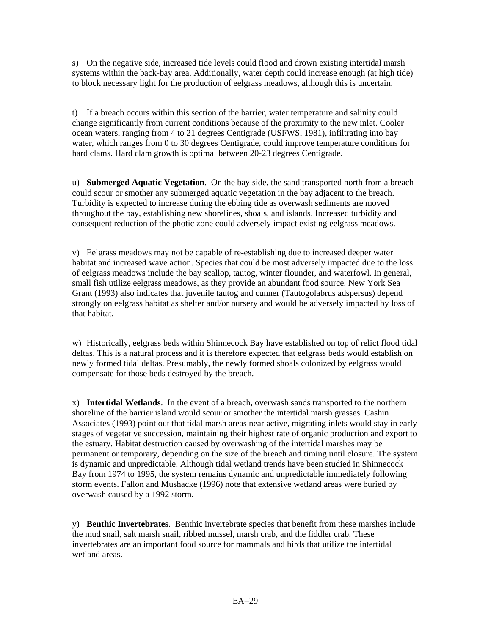s) On the negative side, increased tide levels could flood and drown existing intertidal marsh systems within the back-bay area. Additionally, water depth could increase enough (at high tide) to block necessary light for the production of eelgrass meadows, although this is uncertain.

t) If a breach occurs within this section of the barrier, water temperature and salinity could change significantly from current conditions because of the proximity to the new inlet. Cooler ocean waters, ranging from 4 to 21 degrees Centigrade (USFWS, 1981), infiltrating into bay water, which ranges from 0 to 30 degrees Centigrade, could improve temperature conditions for hard clams. Hard clam growth is optimal between 20-23 degrees Centigrade.

u) **Submerged Aquatic Vegetation**. On the bay side, the sand transported north from a breach could scour or smother any submerged aquatic vegetation in the bay adjacent to the breach. Turbidity is expected to increase during the ebbing tide as overwash sediments are moved throughout the bay, establishing new shorelines, shoals, and islands. Increased turbidity and consequent reduction of the photic zone could adversely impact existing eelgrass meadows.

v) Eelgrass meadows may not be capable of re-establishing due to increased deeper water habitat and increased wave action. Species that could be most adversely impacted due to the loss of eelgrass meadows include the bay scallop, tautog, winter flounder, and waterfowl. In general, small fish utilize eelgrass meadows, as they provide an abundant food source. New York Sea Grant (1993) also indicates that juvenile tautog and cunner (Tautogolabrus adspersus) depend strongly on eelgrass habitat as shelter and/or nursery and would be adversely impacted by loss of that habitat.

w) Historically, eelgrass beds within Shinnecock Bay have established on top of relict flood tidal deltas. This is a natural process and it is therefore expected that eelgrass beds would establish on newly formed tidal deltas. Presumably, the newly formed shoals colonized by eelgrass would compensate for those beds destroyed by the breach.

x) **Intertidal Wetlands**. In the event of a breach, overwash sands transported to the northern shoreline of the barrier island would scour or smother the intertidal marsh grasses. Cashin Associates (1993) point out that tidal marsh areas near active, migrating inlets would stay in early stages of vegetative succession, maintaining their highest rate of organic production and export to the estuary. Habitat destruction caused by overwashing of the intertidal marshes may be permanent or temporary, depending on the size of the breach and timing until closure. The system is dynamic and unpredictable. Although tidal wetland trends have been studied in Shinnecock Bay from 1974 to 1995, the system remains dynamic and unpredictable immediately following storm events. Fallon and Mushacke (1996) note that extensive wetland areas were buried by overwash caused by a 1992 storm.

y) **Benthic Invertebrates**. Benthic invertebrate species that benefit from these marshes include the mud snail, salt marsh snail, ribbed mussel, marsh crab, and the fiddler crab. These invertebrates are an important food source for mammals and birds that utilize the intertidal wetland areas.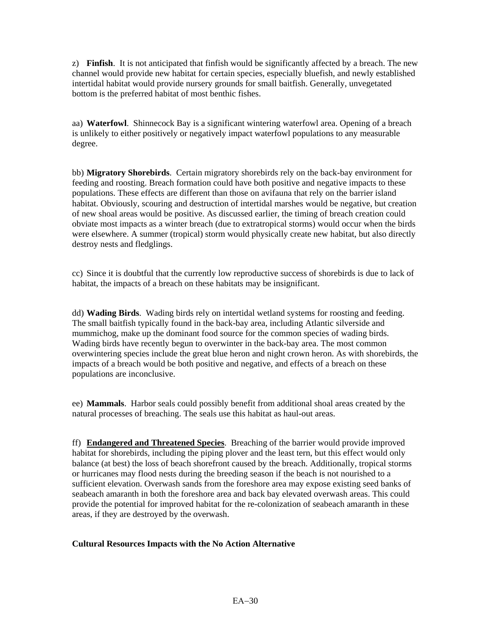z) **Finfish**. It is not anticipated that finfish would be significantly affected by a breach. The new channel would provide new habitat for certain species, especially bluefish, and newly established intertidal habitat would provide nursery grounds for small baitfish. Generally, unvegetated bottom is the preferred habitat of most benthic fishes.

aa) **Waterfowl**. Shinnecock Bay is a significant wintering waterfowl area. Opening of a breach is unlikely to either positively or negatively impact waterfowl populations to any measurable degree.

bb) **Migratory Shorebirds**. Certain migratory shorebirds rely on the back-bay environment for feeding and roosting. Breach formation could have both positive and negative impacts to these populations. These effects are different than those on avifauna that rely on the barrier island habitat. Obviously, scouring and destruction of intertidal marshes would be negative, but creation of new shoal areas would be positive. As discussed earlier, the timing of breach creation could obviate most impacts as a winter breach (due to extratropical storms) would occur when the birds were elsewhere. A summer (tropical) storm would physically create new habitat, but also directly destroy nests and fledglings.

cc) Since it is doubtful that the currently low reproductive success of shorebirds is due to lack of habitat, the impacts of a breach on these habitats may be insignificant.

dd) **Wading Birds**. Wading birds rely on intertidal wetland systems for roosting and feeding. The small baitfish typically found in the back-bay area, including Atlantic silverside and mummichog, make up the dominant food source for the common species of wading birds. Wading birds have recently begun to overwinter in the back-bay area. The most common overwintering species include the great blue heron and night crown heron. As with shorebirds, the impacts of a breach would be both positive and negative, and effects of a breach on these populations are inconclusive.

ee) **Mammals**. Harbor seals could possibly benefit from additional shoal areas created by the natural processes of breaching. The seals use this habitat as haul-out areas.

ff) **Endangered and Threatened Species**. Breaching of the barrier would provide improved habitat for shorebirds, including the piping plover and the least tern, but this effect would only balance (at best) the loss of beach shorefront caused by the breach. Additionally, tropical storms or hurricanes may flood nests during the breeding season if the beach is not nourished to a sufficient elevation. Overwash sands from the foreshore area may expose existing seed banks of seabeach amaranth in both the foreshore area and back bay elevated overwash areas. This could provide the potential for improved habitat for the re-colonization of seabeach amaranth in these areas, if they are destroyed by the overwash.

#### **Cultural Resources Impacts with the No Action Alternative**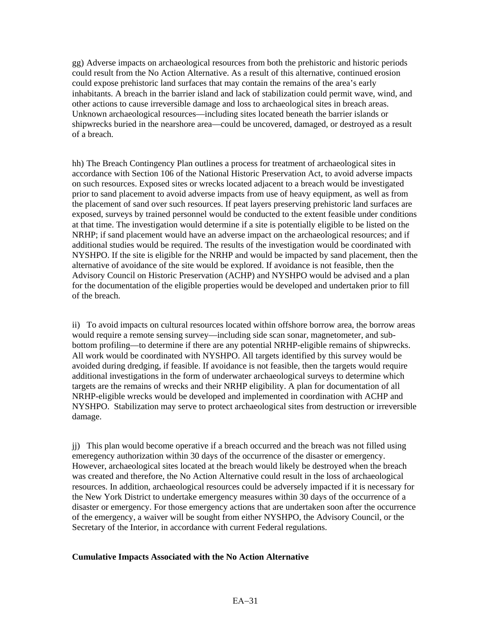gg) Adverse impacts on archaeological resources from both the prehistoric and historic periods could result from the No Action Alternative. As a result of this alternative, continued erosion could expose prehistoric land surfaces that may contain the remains of the area's early inhabitants. A breach in the barrier island and lack of stabilization could permit wave, wind, and other actions to cause irreversible damage and loss to archaeological sites in breach areas. Unknown archaeological resources—including sites located beneath the barrier islands or shipwrecks buried in the nearshore area—could be uncovered, damaged, or destroyed as a result of a breach.

hh) The Breach Contingency Plan outlines a process for treatment of archaeological sites in accordance with Section 106 of the National Historic Preservation Act, to avoid adverse impacts on such resources. Exposed sites or wrecks located adjacent to a breach would be investigated prior to sand placement to avoid adverse impacts from use of heavy equipment, as well as from the placement of sand over such resources. If peat layers preserving prehistoric land surfaces are exposed, surveys by trained personnel would be conducted to the extent feasible under conditions at that time. The investigation would determine if a site is potentially eligible to be listed on the NRHP; if sand placement would have an adverse impact on the archaeological resources; and if additional studies would be required. The results of the investigation would be coordinated with NYSHPO. If the site is eligible for the NRHP and would be impacted by sand placement, then the alternative of avoidance of the site would be explored. If avoidance is not feasible, then the Advisory Council on Historic Preservation (ACHP) and NYSHPO would be advised and a plan for the documentation of the eligible properties would be developed and undertaken prior to fill of the breach.

ii) To avoid impacts on cultural resources located within offshore borrow area, the borrow areas would require a remote sensing survey—including side scan sonar, magnetometer, and subbottom profiling—to determine if there are any potential NRHP-eligible remains of shipwrecks. All work would be coordinated with NYSHPO. All targets identified by this survey would be avoided during dredging, if feasible. If avoidance is not feasible, then the targets would require additional investigations in the form of underwater archaeological surveys to determine which targets are the remains of wrecks and their NRHP eligibility. A plan for documentation of all NRHP-eligible wrecks would be developed and implemented in coordination with ACHP and NYSHPO. Stabilization may serve to protect archaeological sites from destruction or irreversible damage.

jj) This plan would become operative if a breach occurred and the breach was not filled using emeregency authorization within 30 days of the occurrence of the disaster or emergency. However, archaeological sites located at the breach would likely be destroyed when the breach was created and therefore, the No Action Alternative could result in the loss of archaeological resources. In addition, archaeological resources could be adversely impacted if it is necessary for the New York District to undertake emergency measures within 30 days of the occurrence of a disaster or emergency. For those emergency actions that are undertaken soon after the occurrence of the emergency, a waiver will be sought from either NYSHPO, the Advisory Council, or the Secretary of the Interior, in accordance with current Federal regulations.

#### **Cumulative Impacts Associated with the No Action Alternative**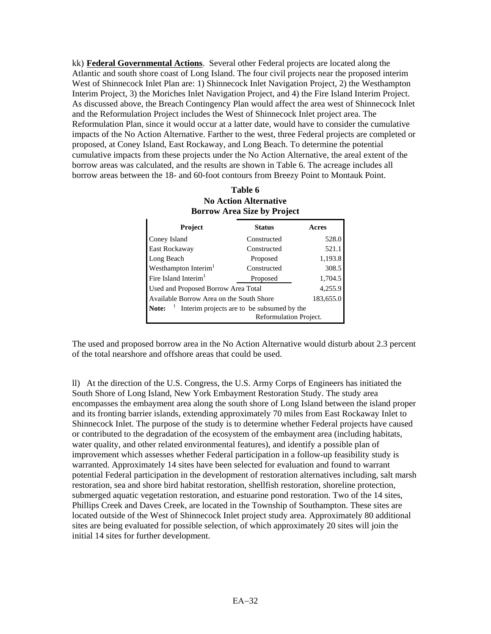kk) **Federal Governmental Actions**. Several other Federal projects are located along the Atlantic and south shore coast of Long Island. The four civil projects near the proposed interim West of Shinnecock Inlet Plan are: 1) Shinnecock Inlet Navigation Project, 2) the Westhampton Interim Project, 3) the Moriches Inlet Navigation Project, and 4) the Fire Island Interim Project. As discussed above, the Breach Contingency Plan would affect the area west of Shinnecock Inlet and the Reformulation Project includes the West of Shinnecock Inlet project area. The Reformulation Plan, since it would occur at a latter date, would have to consider the cumulative impacts of the No Action Alternative. Farther to the west, three Federal projects are completed or proposed, at Coney Island, East Rockaway, and Long Beach. To determine the potential cumulative impacts from these projects under the No Action Alternative, the areal extent of the borrow areas was calculated, and the results are shown in Table 6. The acreage includes all borrow areas between the 18- and 60-foot contours from Breezy Point to Montauk Point.

| <b>Borrow Area Size by Project</b>                                                                 |               |         |  |
|----------------------------------------------------------------------------------------------------|---------------|---------|--|
| Project                                                                                            | <b>Status</b> | Acres   |  |
| Coney Island                                                                                       | Constructed   | 528.0   |  |
| East Rockaway                                                                                      | Constructed   | 521.1   |  |
| Long Beach                                                                                         | Proposed      | 1,193.8 |  |
| Westhampton Interim <sup>1</sup>                                                                   | Constructed   | 308.5   |  |
| Fire Island Interim <sup>1</sup>                                                                   | Proposed      | 1,704.5 |  |
| 4,255.9<br>Used and Proposed Borrow Area Total                                                     |               |         |  |
| 183,655.0<br>Available Borrow Area on the South Shore                                              |               |         |  |
| Interim projects are to be subsumed by the<br>Note: $\frac{1}{1}$<br><b>Reformulation Project.</b> |               |         |  |

# **Table 6 No Action Alternative**

The used and proposed borrow area in the No Action Alternative would disturb about 2.3 percent of the total nearshore and offshore areas that could be used.

ll) At the direction of the U.S. Congress, the U.S. Army Corps of Engineers has initiated the South Shore of Long Island, New York Embayment Restoration Study. The study area encompasses the embayment area along the south shore of Long Island between the island proper and its fronting barrier islands, extending approximately 70 miles from East Rockaway Inlet to Shinnecock Inlet. The purpose of the study is to determine whether Federal projects have caused or contributed to the degradation of the ecosystem of the embayment area (including habitats, water quality, and other related environmental features), and identify a possible plan of improvement which assesses whether Federal participation in a follow-up feasibility study is warranted. Approximately 14 sites have been selected for evaluation and found to warrant potential Federal participation in the development of restoration alternatives including, salt marsh restoration, sea and shore bird habitat restoration, shellfish restoration, shoreline protection, submerged aquatic vegetation restoration, and estuarine pond restoration. Two of the 14 sites, Phillips Creek and Daves Creek, are located in the Township of Southampton. These sites are located outside of the West of Shinnecock Inlet project study area. Approximately 80 additional sites are being evaluated for possible selection, of which approximately 20 sites will join the initial 14 sites for further development.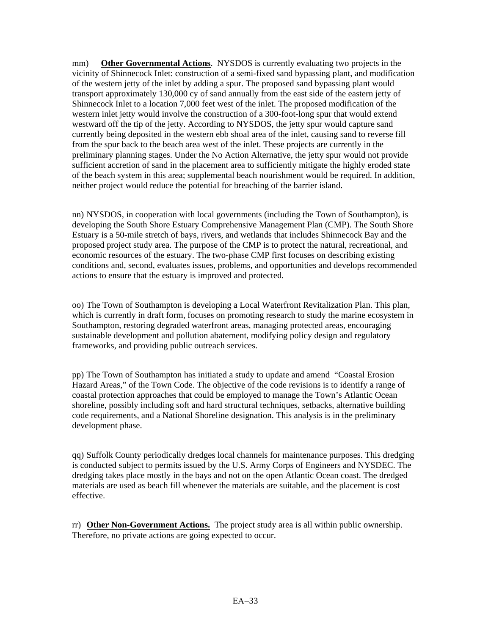mm) **Other Governmental Actions**. NYSDOS is currently evaluating two projects in the vicinity of Shinnecock Inlet: construction of a semi-fixed sand bypassing plant, and modification of the western jetty of the inlet by adding a spur. The proposed sand bypassing plant would transport approximately 130,000 cy of sand annually from the east side of the eastern jetty of Shinnecock Inlet to a location 7,000 feet west of the inlet. The proposed modification of the western inlet jetty would involve the construction of a 300-foot-long spur that would extend westward off the tip of the jetty. According to NYSDOS, the jetty spur would capture sand currently being deposited in the western ebb shoal area of the inlet, causing sand to reverse fill from the spur back to the beach area west of the inlet. These projects are currently in the preliminary planning stages. Under the No Action Alternative, the jetty spur would not provide sufficient accretion of sand in the placement area to sufficiently mitigate the highly eroded state of the beach system in this area; supplemental beach nourishment would be required. In addition, neither project would reduce the potential for breaching of the barrier island.

nn) NYSDOS, in cooperation with local governments (including the Town of Southampton), is developing the South Shore Estuary Comprehensive Management Plan (CMP). The South Shore Estuary is a 50-mile stretch of bays, rivers, and wetlands that includes Shinnecock Bay and the proposed project study area. The purpose of the CMP is to protect the natural, recreational, and economic resources of the estuary. The two-phase CMP first focuses on describing existing conditions and, second, evaluates issues, problems, and opportunities and develops recommended actions to ensure that the estuary is improved and protected.

oo) The Town of Southampton is developing a Local Waterfront Revitalization Plan. This plan, which is currently in draft form, focuses on promoting research to study the marine ecosystem in Southampton, restoring degraded waterfront areas, managing protected areas, encouraging sustainable development and pollution abatement, modifying policy design and regulatory frameworks, and providing public outreach services.

pp) The Town of Southampton has initiated a study to update and amend "Coastal Erosion Hazard Areas," of the Town Code. The objective of the code revisions is to identify a range of coastal protection approaches that could be employed to manage the Town's Atlantic Ocean shoreline, possibly including soft and hard structural techniques, setbacks, alternative building code requirements, and a National Shoreline designation. This analysis is in the preliminary development phase.

qq) Suffolk County periodically dredges local channels for maintenance purposes. This dredging is conducted subject to permits issued by the U.S. Army Corps of Engineers and NYSDEC. The dredging takes place mostly in the bays and not on the open Atlantic Ocean coast. The dredged materials are used as beach fill whenever the materials are suitable, and the placement is cost effective.

rr) **Other Non-Government Actions.** The project study area is all within public ownership. Therefore, no private actions are going expected to occur.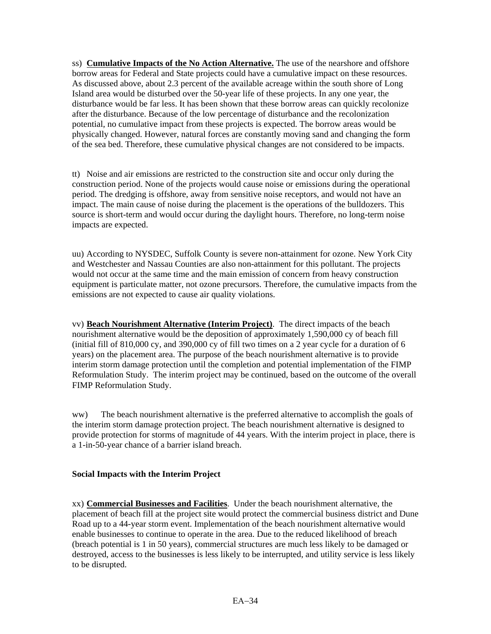ss) **Cumulative Impacts of the No Action Alternative.** The use of the nearshore and offshore borrow areas for Federal and State projects could have a cumulative impact on these resources. As discussed above, about 2.3 percent of the available acreage within the south shore of Long Island area would be disturbed over the 50-year life of these projects. In any one year, the disturbance would be far less. It has been shown that these borrow areas can quickly recolonize after the disturbance. Because of the low percentage of disturbance and the recolonization potential, no cumulative impact from these projects is expected. The borrow areas would be physically changed. However, natural forces are constantly moving sand and changing the form of the sea bed. Therefore, these cumulative physical changes are not considered to be impacts.

tt) Noise and air emissions are restricted to the construction site and occur only during the construction period. None of the projects would cause noise or emissions during the operational period. The dredging is offshore, away from sensitive noise receptors, and would not have an impact. The main cause of noise during the placement is the operations of the bulldozers. This source is short-term and would occur during the daylight hours. Therefore, no long-term noise impacts are expected.

uu) According to NYSDEC, Suffolk County is severe non-attainment for ozone. New York City and Westchester and Nassau Counties are also non-attainment for this pollutant. The projects would not occur at the same time and the main emission of concern from heavy construction equipment is particulate matter, not ozone precursors. Therefore, the cumulative impacts from the emissions are not expected to cause air quality violations.

vv) **Beach Nourishment Alternative (Interim Project)**. The direct impacts of the beach nourishment alternative would be the deposition of approximately 1,590,000 cy of beach fill (initial fill of 810,000 cy, and 390,000 cy of fill two times on a 2 year cycle for a duration of 6 years) on the placement area. The purpose of the beach nourishment alternative is to provide interim storm damage protection until the completion and potential implementation of the FIMP Reformulation Study. The interim project may be continued, based on the outcome of the overall FIMP Reformulation Study.

ww) The beach nourishment alternative is the preferred alternative to accomplish the goals of the interim storm damage protection project. The beach nourishment alternative is designed to provide protection for storms of magnitude of 44 years. With the interim project in place, there is a 1-in-50-year chance of a barrier island breach.

# **Social Impacts with the Interim Project**

xx) **Commercial Businesses and Facilities**. Under the beach nourishment alternative, the placement of beach fill at the project site would protect the commercial business district and Dune Road up to a 44-year storm event. Implementation of the beach nourishment alternative would enable businesses to continue to operate in the area. Due to the reduced likelihood of breach (breach potential is 1 in 50 years), commercial structures are much less likely to be damaged or destroyed, access to the businesses is less likely to be interrupted, and utility service is less likely to be disrupted.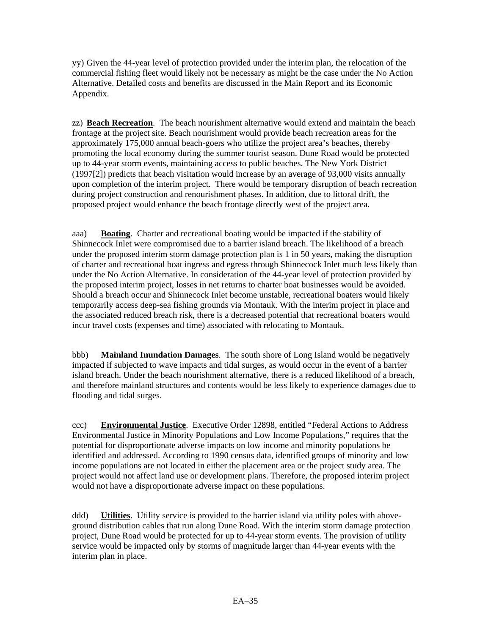yy) Given the 44-year level of protection provided under the interim plan, the relocation of the commercial fishing fleet would likely not be necessary as might be the case under the No Action Alternative. Detailed costs and benefits are discussed in the Main Report and its Economic Appendix.

zz) **Beach Recreation**. The beach nourishment alternative would extend and maintain the beach frontage at the project site. Beach nourishment would provide beach recreation areas for the approximately 175,000 annual beach-goers who utilize the project area's beaches, thereby promoting the local economy during the summer tourist season. Dune Road would be protected up to 44-year storm events, maintaining access to public beaches. The New York District (1997[2]) predicts that beach visitation would increase by an average of 93,000 visits annually upon completion of the interim project. There would be temporary disruption of beach recreation during project construction and renourishment phases. In addition, due to littoral drift, the proposed project would enhance the beach frontage directly west of the project area.

aaa) **Boating**. Charter and recreational boating would be impacted if the stability of Shinnecock Inlet were compromised due to a barrier island breach. The likelihood of a breach under the proposed interim storm damage protection plan is 1 in 50 years, making the disruption of charter and recreational boat ingress and egress through Shinnecock Inlet much less likely than under the No Action Alternative. In consideration of the 44-year level of protection provided by the proposed interim project, losses in net returns to charter boat businesses would be avoided. Should a breach occur and Shinnecock Inlet become unstable, recreational boaters would likely temporarily access deep-sea fishing grounds via Montauk. With the interim project in place and the associated reduced breach risk, there is a decreased potential that recreational boaters would incur travel costs (expenses and time) associated with relocating to Montauk.

bbb) **Mainland Inundation Damages**. The south shore of Long Island would be negatively impacted if subjected to wave impacts and tidal surges, as would occur in the event of a barrier island breach. Under the beach nourishment alternative, there is a reduced likelihood of a breach, and therefore mainland structures and contents would be less likely to experience damages due to flooding and tidal surges.

ccc) **Environmental Justice**. Executive Order 12898, entitled "Federal Actions to Address Environmental Justice in Minority Populations and Low Income Populations," requires that the potential for disproportionate adverse impacts on low income and minority populations be identified and addressed. According to 1990 census data, identified groups of minority and low income populations are not located in either the placement area or the project study area. The project would not affect land use or development plans. Therefore, the proposed interim project would not have a disproportionate adverse impact on these populations.

ddd) **Utilities**. Utility service is provided to the barrier island via utility poles with aboveground distribution cables that run along Dune Road. With the interim storm damage protection project, Dune Road would be protected for up to 44-year storm events. The provision of utility service would be impacted only by storms of magnitude larger than 44-year events with the interim plan in place.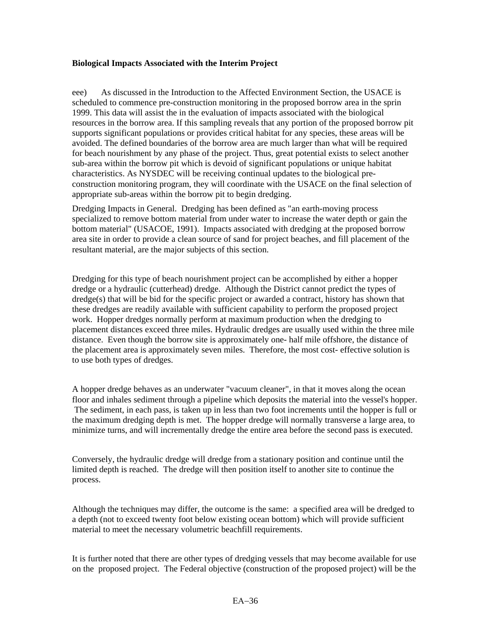#### **Biological Impacts Associated with the Interim Project**

eee) As discussed in the Introduction to the Affected Environment Section, the USACE is scheduled to commence pre-construction monitoring in the proposed borrow area in the sprin 1999. This data will assist the in the evaluation of impacts associated with the biological resources in the borrow area. If this sampling reveals that any portion of the proposed borrow pit supports significant populations or provides critical habitat for any species, these areas will be avoided. The defined boundaries of the borrow area are much larger than what will be required for beach nourishment by any phase of the project. Thus, great potential exists to select another sub-area within the borrow pit which is devoid of significant populations or unique habitat characteristics. As NYSDEC will be receiving continual updates to the biological preconstruction monitoring program, they will coordinate with the USACE on the final selection of appropriate sub-areas within the borrow pit to begin dredging.

Dredging Impacts in General. Dredging has been defined as "an earth-moving process specialized to remove bottom material from under water to increase the water depth or gain the bottom material" (USACOE, 1991). Impacts associated with dredging at the proposed borrow area site in order to provide a clean source of sand for project beaches, and fill placement of the resultant material, are the major subjects of this section.

Dredging for this type of beach nourishment project can be accomplished by either a hopper dredge or a hydraulic (cutterhead) dredge. Although the District cannot predict the types of dredge(s) that will be bid for the specific project or awarded a contract, history has shown that these dredges are readily available with sufficient capability to perform the proposed project work. Hopper dredges normally perform at maximum production when the dredging to placement distances exceed three miles. Hydraulic dredges are usually used within the three mile distance. Even though the borrow site is approximately one- half mile offshore, the distance of the placement area is approximately seven miles. Therefore, the most cost- effective solution is to use both types of dredges.

A hopper dredge behaves as an underwater "vacuum cleaner", in that it moves along the ocean floor and inhales sediment through a pipeline which deposits the material into the vessel's hopper. The sediment, in each pass, is taken up in less than two foot increments until the hopper is full or the maximum dredging depth is met. The hopper dredge will normally transverse a large area, to minimize turns, and will incrementally dredge the entire area before the second pass is executed.

Conversely, the hydraulic dredge will dredge from a stationary position and continue until the limited depth is reached. The dredge will then position itself to another site to continue the process.

Although the techniques may differ, the outcome is the same: a specified area will be dredged to a depth (not to exceed twenty foot below existing ocean bottom) which will provide sufficient material to meet the necessary volumetric beachfill requirements.

It is further noted that there are other types of dredging vessels that may become available for use on the proposed project. The Federal objective (construction of the proposed project) will be the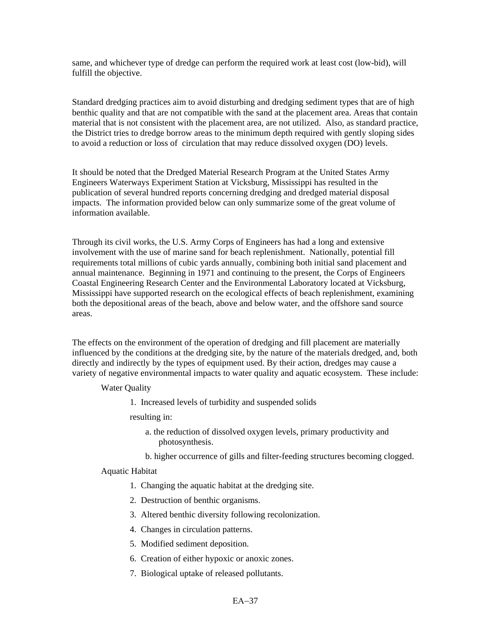same, and whichever type of dredge can perform the required work at least cost (low-bid), will fulfill the objective.

Standard dredging practices aim to avoid disturbing and dredging sediment types that are of high benthic quality and that are not compatible with the sand at the placement area. Areas that contain material that is not consistent with the placement area, are not utilized. Also, as standard practice, the District tries to dredge borrow areas to the minimum depth required with gently sloping sides to avoid a reduction or loss of circulation that may reduce dissolved oxygen (DO) levels.

It should be noted that the Dredged Material Research Program at the United States Army Engineers Waterways Experiment Station at Vicksburg, Mississippi has resulted in the publication of several hundred reports concerning dredging and dredged material disposal impacts. The information provided below can only summarize some of the great volume of information available.

Through its civil works, the U.S. Army Corps of Engineers has had a long and extensive involvement with the use of marine sand for beach replenishment. Nationally, potential fill requirements total millions of cubic yards annually, combining both initial sand placement and annual maintenance. Beginning in 1971 and continuing to the present, the Corps of Engineers Coastal Engineering Research Center and the Environmental Laboratory located at Vicksburg, Mississippi have supported research on the ecological effects of beach replenishment, examining both the depositional areas of the beach, above and below water, and the offshore sand source areas.

The effects on the environment of the operation of dredging and fill placement are materially influenced by the conditions at the dredging site, by the nature of the materials dredged, and, both directly and indirectly by the types of equipment used. By their action, dredges may cause a variety of negative environmental impacts to water quality and aquatic ecosystem. These include:

#### Water Quality

1. Increased levels of turbidity and suspended solids

resulting in:

- a. the reduction of dissolved oxygen levels, primary productivity and photosynthesis.
- b. higher occurrence of gills and filter-feeding structures becoming clogged.

#### Aquatic Habitat

- 1. Changing the aquatic habitat at the dredging site.
- 2. Destruction of benthic organisms.
- 3. Altered benthic diversity following recolonization.
- 4. Changes in circulation patterns.
- 5. Modified sediment deposition.
- 6. Creation of either hypoxic or anoxic zones.
- 7. Biological uptake of released pollutants.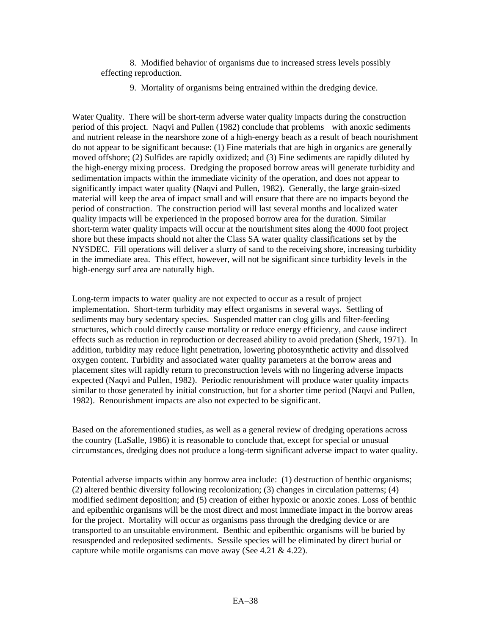8. Modified behavior of organisms due to increased stress levels possibly effecting reproduction.

9. Mortality of organisms being entrained within the dredging device.

Water Quality. There will be short-term adverse water quality impacts during the construction period of this project. Naqvi and Pullen (1982) conclude that problems with anoxic sediments and nutrient release in the nearshore zone of a high-energy beach as a result of beach nourishment do not appear to be significant because: (1) Fine materials that are high in organics are generally moved offshore; (2) Sulfides are rapidly oxidized; and (3) Fine sediments are rapidly diluted by the high-energy mixing process. Dredging the proposed borrow areas will generate turbidity and sedimentation impacts within the immediate vicinity of the operation, and does not appear to significantly impact water quality (Naqvi and Pullen, 1982). Generally, the large grain-sized material will keep the area of impact small and will ensure that there are no impacts beyond the period of construction. The construction period will last several months and localized water quality impacts will be experienced in the proposed borrow area for the duration. Similar short-term water quality impacts will occur at the nourishment sites along the 4000 foot project shore but these impacts should not alter the Class SA water quality classifications set by the NYSDEC. Fill operations will deliver a slurry of sand to the receiving shore, increasing turbidity in the immediate area. This effect, however, will not be significant since turbidity levels in the high-energy surf area are naturally high.

Long-term impacts to water quality are not expected to occur as a result of project implementation. Short-term turbidity may effect organisms in several ways. Settling of sediments may bury sedentary species. Suspended matter can clog gills and filter-feeding structures, which could directly cause mortality or reduce energy efficiency, and cause indirect effects such as reduction in reproduction or decreased ability to avoid predation (Sherk, 1971). In addition, turbidity may reduce light penetration, lowering photosynthetic activity and dissolved oxygen content. Turbidity and associated water quality parameters at the borrow areas and placement sites will rapidly return to preconstruction levels with no lingering adverse impacts expected (Naqvi and Pullen, 1982). Periodic renourishment will produce water quality impacts similar to those generated by initial construction, but for a shorter time period (Naqvi and Pullen, 1982). Renourishment impacts are also not expected to be significant.

Based on the aforementioned studies, as well as a general review of dredging operations across the country (LaSalle, 1986) it is reasonable to conclude that, except for special or unusual circumstances, dredging does not produce a long-term significant adverse impact to water quality.

Potential adverse impacts within any borrow area include: (1) destruction of benthic organisms; (2) altered benthic diversity following recolonization; (3) changes in circulation patterns; (4) modified sediment deposition; and (5) creation of either hypoxic or anoxic zones. Loss of benthic and epibenthic organisms will be the most direct and most immediate impact in the borrow areas for the project. Mortality will occur as organisms pass through the dredging device or are transported to an unsuitable environment. Benthic and epibenthic organisms will be buried by resuspended and redeposited sediments. Sessile species will be eliminated by direct burial or capture while motile organisms can move away (See 4.21 & 4.22).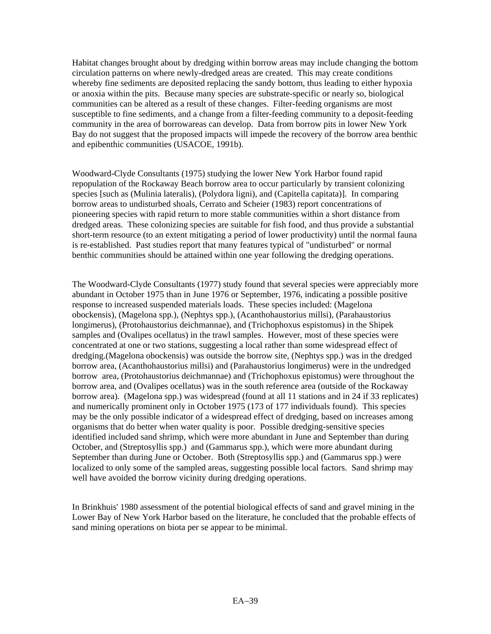Habitat changes brought about by dredging within borrow areas may include changing the bottom circulation patterns on where newly-dredged areas are created. This may create conditions whereby fine sediments are deposited replacing the sandy bottom, thus leading to either hypoxia or anoxia within the pits. Because many species are substrate-specific or nearly so, biological communities can be altered as a result of these changes. Filter-feeding organisms are most susceptible to fine sediments, and a change from a filter-feeding community to a deposit-feeding community in the area of borrowareas can develop. Data from borrow pits in lower New York Bay do not suggest that the proposed impacts will impede the recovery of the borrow area benthic and epibenthic communities (USACOE, 1991b).

Woodward-Clyde Consultants (1975) studying the lower New York Harbor found rapid repopulation of the Rockaway Beach borrow area to occur particularly by transient colonizing species [such as (Mulinia lateralis), (Polydora ligni), and (Capitella capitata)]. In comparing borrow areas to undisturbed shoals, Cerrato and Scheier (1983) report concentrations of pioneering species with rapid return to more stable communities within a short distance from dredged areas. These colonizing species are suitable for fish food, and thus provide a substantial short-term resource (to an extent mitigating a period of lower productivity) until the normal fauna is re-established. Past studies report that many features typical of "undisturbed" or normal benthic communities should be attained within one year following the dredging operations.

The Woodward-Clyde Consultants (1977) study found that several species were appreciably more abundant in October 1975 than in June 1976 or September, 1976, indicating a possible positive response to increased suspended materials loads. These species included: (Magelona obockensis), (Magelona spp.), (Nephtys spp.), (Acanthohaustorius millsi), (Parahaustorius longimerus), (Protohaustorius deichmannae), and (Trichophoxus espistomus) in the Shipek samples and (Ovalipes ocellatus) in the trawl samples. However, most of these species were concentrated at one or two stations, suggesting a local rather than some widespread effect of dredging.(Magelona obockensis) was outside the borrow site, (Nephtys spp.) was in the dredged borrow area, (Acanthohaustorius millsi) and (Parahaustorius longimerus) were in the undredged borrow area, (Protohaustorius deichmannae) and (Trichophoxus epistomus) were throughout the borrow area, and (Ovalipes ocellatus) was in the south reference area (outside of the Rockaway borrow area). (Magelona spp.) was widespread (found at all 11 stations and in 24 if 33 replicates) and numerically prominent only in October 1975 (173 of 177 individuals found). This species may be the only possible indicator of a widespread effect of dredging, based on increases among organisms that do better when water quality is poor. Possible dredging-sensitive species identified included sand shrimp, which were more abundant in June and September than during October, and (Streptosyllis spp.) and (Gammarus spp.), which were more abundant during September than during June or October. Both (Streptosyllis spp.) and (Gammarus spp.) were localized to only some of the sampled areas, suggesting possible local factors. Sand shrimp may well have avoided the borrow vicinity during dredging operations.

In Brinkhuis' 1980 assessment of the potential biological effects of sand and gravel mining in the Lower Bay of New York Harbor based on the literature, he concluded that the probable effects of sand mining operations on biota per se appear to be minimal.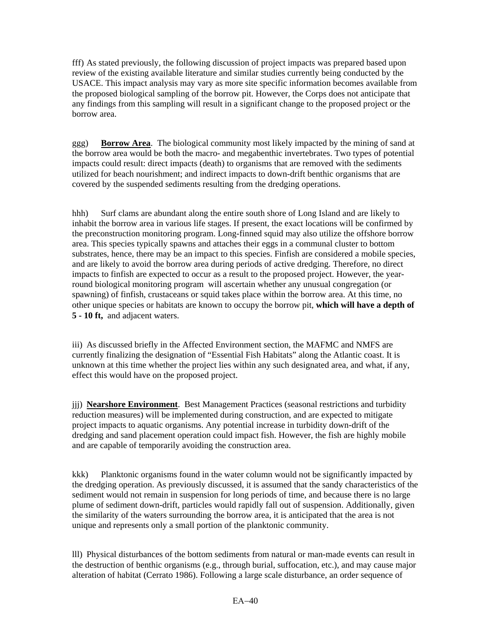fff) As stated previously, the following discussion of project impacts was prepared based upon review of the existing available literature and similar studies currently being conducted by the USACE. This impact analysis may vary as more site specific information becomes available from the proposed biological sampling of the borrow pit. However, the Corps does not anticipate that any findings from this sampling will result in a significant change to the proposed project or the borrow area.

ggg) **Borrow Area**. The biological community most likely impacted by the mining of sand at the borrow area would be both the macro- and megabenthic invertebrates. Two types of potential impacts could result: direct impacts (death) to organisms that are removed with the sediments utilized for beach nourishment; and indirect impacts to down-drift benthic organisms that are covered by the suspended sediments resulting from the dredging operations.

hhh) Surf clams are abundant along the entire south shore of Long Island and are likely to inhabit the borrow area in various life stages. If present, the exact locations will be confirmed by the preconstruction monitoring program. Long-finned squid may also utilize the offshore borrow area. This species typically spawns and attaches their eggs in a communal cluster to bottom substrates, hence, there may be an impact to this species. Finfish are considered a mobile species, and are likely to avoid the borrow area during periods of active dredging. Therefore, no direct impacts to finfish are expected to occur as a result to the proposed project. However, the yearround biological monitoring program will ascertain whether any unusual congregation (or spawning) of finfish, crustaceans or squid takes place within the borrow area. At this time, no other unique species or habitats are known to occupy the borrow pit, **which will have a depth of 5 - 10 ft,** and adjacent waters.

iii) As discussed briefly in the Affected Environment section, the MAFMC and NMFS are currently finalizing the designation of "Essential Fish Habitats" along the Atlantic coast. It is unknown at this time whether the project lies within any such designated area, and what, if any, effect this would have on the proposed project.

jjj) **Nearshore Environment**. Best Management Practices (seasonal restrictions and turbidity reduction measures) will be implemented during construction, and are expected to mitigate project impacts to aquatic organisms. Any potential increase in turbidity down-drift of the dredging and sand placement operation could impact fish. However, the fish are highly mobile and are capable of temporarily avoiding the construction area.

kkk) Planktonic organisms found in the water column would not be significantly impacted by the dredging operation. As previously discussed, it is assumed that the sandy characteristics of the sediment would not remain in suspension for long periods of time, and because there is no large plume of sediment down-drift, particles would rapidly fall out of suspension. Additionally, given the similarity of the waters surrounding the borrow area, it is anticipated that the area is not unique and represents only a small portion of the planktonic community.

lll) Physical disturbances of the bottom sediments from natural or man-made events can result in the destruction of benthic organisms (e.g., through burial, suffocation, etc.), and may cause major alteration of habitat (Cerrato 1986). Following a large scale disturbance, an order sequence of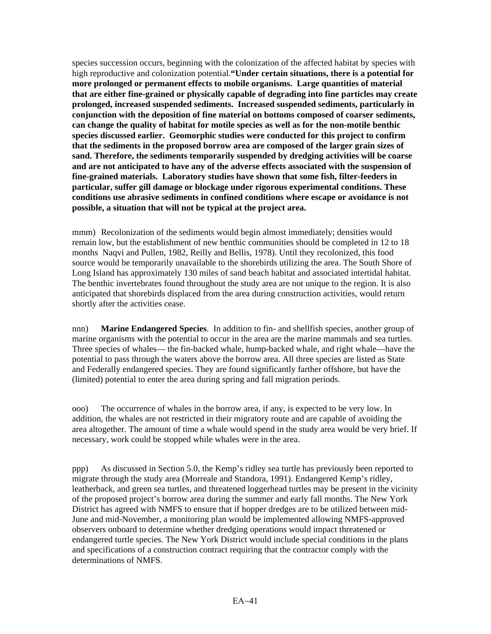species succession occurs, beginning with the colonization of the affected habitat by species with high reproductive and colonization potential.**"Under certain situations, there is a potential for more prolonged or permanent effects to mobile organisms. Large quantities of material that are either fine-grained or physically capable of degrading into fine particles may create prolonged, increased suspended sediments. Increased suspended sediments, particularly in conjunction with the deposition of fine material on bottoms composed of coarser sediments, can change the quality of habitat for motile species as well as for the non-motile benthic species discussed earlier. Geomorphic studies were conducted for this project to confirm that the sediments in the proposed borrow area are composed of the larger grain sizes of sand. Therefore, the sediments temporarily suspended by dredging activities will be coarse and are not anticipated to have any of the adverse effects associated with the suspension of fine-grained materials. Laboratory studies have shown that some fish, filter-feeders in particular, suffer gill damage or blockage under rigorous experimental conditions. These conditions use abrasive sediments in confined conditions where escape or avoidance is not possible, a situation that will not be typical at the project area.** 

mmm) Recolonization of the sediments would begin almost immediately; densities would remain low, but the establishment of new benthic communities should be completed in 12 to 18 months Naqvi and Pullen, 1982, Reilly and Bellis, 1978). Until they recolonized, this food source would be temporarily unavailable to the shorebirds utilizing the area. The South Shore of Long Island has approximately 130 miles of sand beach habitat and associated intertidal habitat. The benthic invertebrates found throughout the study area are not unique to the region. It is also anticipated that shorebirds displaced from the area during construction activities, would return shortly after the activities cease.

nnn) **Marine Endangered Species**. In addition to fin- and shellfish species, another group of marine organisms with the potential to occur in the area are the marine mammals and sea turtles. Three species of whales— the fin-backed whale, hump-backed whale, and right whale—have the potential to pass through the waters above the borrow area. All three species are listed as State and Federally endangered species. They are found significantly farther offshore, but have the (limited) potential to enter the area during spring and fall migration periods.

ooo) The occurrence of whales in the borrow area, if any, is expected to be very low. In addition, the whales are not restricted in their migratory route and are capable of avoiding the area altogether. The amount of time a whale would spend in the study area would be very brief. If necessary, work could be stopped while whales were in the area.

ppp) As discussed in Section 5.0, the Kemp's ridley sea turtle has previously been reported to migrate through the study area (Morreale and Standora, 1991). Endangered Kemp's ridley, leatherback, and green sea turtles, and threatened loggerhead turtles may be present in the vicinity of the proposed project's borrow area during the summer and early fall months. The New York District has agreed with NMFS to ensure that if hopper dredges are to be utilized between mid-June and mid-November, a monitoring plan would be implemented allowing NMFS-approved observers onboard to determine whether dredging operations would impact threatened or endangered turtle species. The New York District would include special conditions in the plans and specifications of a construction contract requiring that the contractor comply with the determinations of NMFS.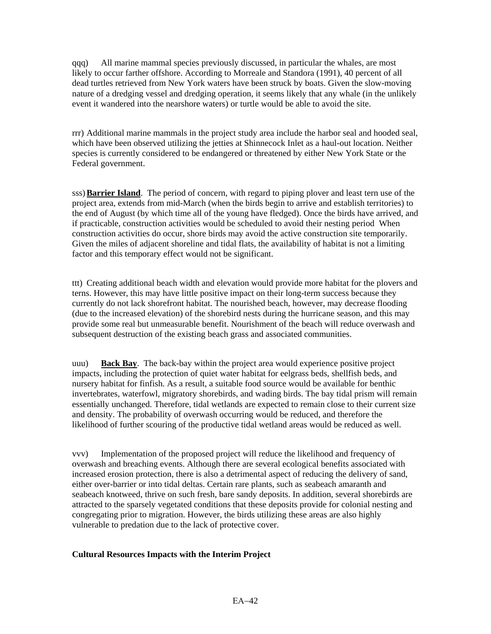qqq) All marine mammal species previously discussed, in particular the whales, are most likely to occur farther offshore. According to Morreale and Standora (1991), 40 percent of all dead turtles retrieved from New York waters have been struck by boats. Given the slow-moving nature of a dredging vessel and dredging operation, it seems likely that any whale (in the unlikely event it wandered into the nearshore waters) or turtle would be able to avoid the site.

rrr) Additional marine mammals in the project study area include the harbor seal and hooded seal, which have been observed utilizing the jetties at Shinnecock Inlet as a haul-out location. Neither species is currently considered to be endangered or threatened by either New York State or the Federal government.

sss) **Barrier Island**. The period of concern, with regard to piping plover and least tern use of the project area, extends from mid-March (when the birds begin to arrive and establish territories) to the end of August (by which time all of the young have fledged). Once the birds have arrived, and if practicable, construction activities would be scheduled to avoid their nesting period When construction activities do occur, shore birds may avoid the active construction site temporarily. Given the miles of adjacent shoreline and tidal flats, the availability of habitat is not a limiting factor and this temporary effect would not be significant.

ttt) Creating additional beach width and elevation would provide more habitat for the plovers and terns. However, this may have little positive impact on their long-term success because they currently do not lack shorefront habitat. The nourished beach, however, may decrease flooding (due to the increased elevation) of the shorebird nests during the hurricane season, and this may provide some real but unmeasurable benefit. Nourishment of the beach will reduce overwash and subsequent destruction of the existing beach grass and associated communities.

uuu) **Back Bay**. The back-bay within the project area would experience positive project impacts, including the protection of quiet water habitat for eelgrass beds, shellfish beds, and nursery habitat for finfish. As a result, a suitable food source would be available for benthic invertebrates, waterfowl, migratory shorebirds, and wading birds. The bay tidal prism will remain essentially unchanged. Therefore, tidal wetlands are expected to remain close to their current size and density. The probability of overwash occurring would be reduced, and therefore the likelihood of further scouring of the productive tidal wetland areas would be reduced as well.

vvv) Implementation of the proposed project will reduce the likelihood and frequency of overwash and breaching events. Although there are several ecological benefits associated with increased erosion protection, there is also a detrimental aspect of reducing the delivery of sand, either over-barrier or into tidal deltas. Certain rare plants, such as seabeach amaranth and seabeach knotweed, thrive on such fresh, bare sandy deposits. In addition, several shorebirds are attracted to the sparsely vegetated conditions that these deposits provide for colonial nesting and congregating prior to migration. However, the birds utilizing these areas are also highly vulnerable to predation due to the lack of protective cover.

#### **Cultural Resources Impacts with the Interim Project**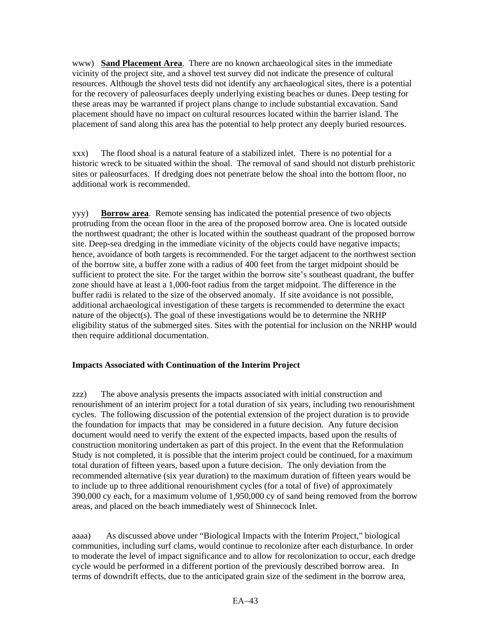www) **Sand Placement Area**. There are no known archaeological sites in the immediate vicinity of the project site, and a shovel test survey did not indicate the presence of cultural resources. Although the shovel tests did not identify any archaeological sites, there is a potential for the recovery of paleosurfaces deeply underlying existing beaches or dunes. Deep testing for these areas may be warranted if project plans change to include substantial excavation. Sand placement should have no impact on cultural resources located within the barrier island. The placement of sand along this area has the potential to help protect any deeply buried resources.

xxx) The flood shoal is a natural feature of a stabilized inlet. There is no potential for a historic wreck to be situated within the shoal. The removal of sand should not disturb prehistoric sites or paleosurfaces. If dredging does not penetrate below the shoal into the bottom floor, no additional work is recommended.

yyy) **Borrow area**. Remote sensing has indicated the potential presence of two objects protruding from the ocean floor in the area of the proposed borrow area. One is located outside the northwest quadrant; the other is located within the southeast quadrant of the proposed borrow site. Deep-sea dredging in the immediate vicinity of the objects could have negative impacts; hence, avoidance of both targets is recommended. For the target adjacent to the northwest section of the borrow site, a buffer zone with a radius of 400 feet from the target midpoint should be sufficient to protect the site. For the target within the borrow site's southeast quadrant, the buffer zone should have at least a 1,000-foot radius from the target midpoint. The difference in the buffer radii is related to the size of the observed anomaly. If site avoidance is not possible, additional archaeological investigation of these targets is recommended to determine the exact nature of the object(s). The goal of these investigations would be to determine the NRHP eligibility status of the submerged sites. Sites with the potential for inclusion on the NRHP would then require additional documentation.

#### **Impacts Associated with Continuation of the Interim Project**

zzz) The above analysis presents the impacts associated with initial construction and renourishment of an interim project for a total duration of six years, including two renourishment cycles. The following discussion of the potential extension of the project duration is to provide the foundation for impacts that may be considered in a future decision. Any future decision document would need to verify the extent of the expected impacts, based upon the results of construction monitoring undertaken as part of this project. In the event that the Reformulation Study is not completed, it is possible that the interim project could be continued, for a maximum total duration of fifteen years, based upon a future decision. The only deviation from the recommended alternative (six year duration) to the maximum duration of fifteen years would be to include up to three additional renourishment cycles (for a total of five) of approximately 390,000 cy each, for a maximum volume of 1,950,000 cy of sand being removed from the borrow areas, and placed on the beach immediately west of Shinnecock Inlet.

aaaa) As discussed above under "Biological Impacts with the Interim Project," biological communities, including surf clams, would continue to recolonize after each disturbance. In order to moderate the level of impact significance and to allow for recolonization to occur, each dredge cycle would be performed in a different portion of the previously described borrow area. In terms of downdrift effects, due to the anticipated grain size of the sediment in the borrow area,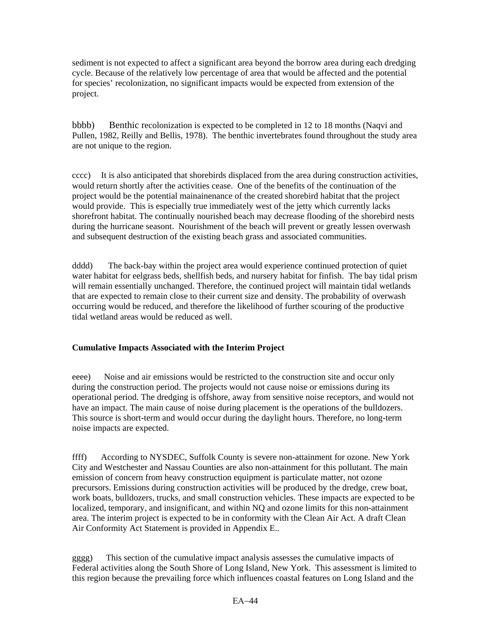sediment is not expected to affect a significant area beyond the borrow area during each dredging cycle. Because of the relatively low percentage of area that would be affected and the potential for species' recolonization, no significant impacts would be expected from extension of the project.

bbbb) Benthic recolonization is expected to be completed in 12 to 18 months (Naqvi and Pullen, 1982, Reilly and Bellis, 1978). The benthic invertebrates found throughout the study area are not unique to the region.

cccc) It is also anticipated that shorebirds displaced from the area during construction activities, would return shortly after the activities cease. One of the benefits of the continuation of the project would be the potential mainainenance of the created shorebird habitat that the project would provide. This is especially true immediately west of the jetty which currently lacks shorefront habitat. The continually nourished beach may decrease flooding of the shorebird nests during the hurricane seasont. Nourishment of the beach will prevent or greatly lessen overwash and subsequent destruction of the existing beach grass and associated communities.

dddd) The back-bay within the project area would experience continued protection of quiet water habitat for eelgrass beds, shellfish beds, and nursery habitat for finfish. The bay tidal prism will remain essentially unchanged. Therefore, the continued project will maintain tidal wetlands that are expected to remain close to their current size and density. The probability of overwash occurring would be reduced, and therefore the likelihood of further scouring of the productive tidal wetland areas would be reduced as well.

# **Cumulative Impacts Associated with the Interim Project**

eeee) Noise and air emissions would be restricted to the construction site and occur only during the construction period. The projects would not cause noise or emissions during its operational period. The dredging is offshore, away from sensitive noise receptors, and would not have an impact. The main cause of noise during placement is the operations of the bulldozers. This source is short-term and would occur during the daylight hours. Therefore, no long-term noise impacts are expected.

ffff) According to NYSDEC, Suffolk County is severe non-attainment for ozone. New York City and Westchester and Nassau Counties are also non-attainment for this pollutant. The main emission of concern from heavy construction equipment is particulate matter, not ozone precursors. Emissions during construction activities will be produced by the dredge, crew boat, work boats, bulldozers, trucks, and small construction vehicles. These impacts are expected to be localized, temporary, and insignificant, and within NQ and ozone limits for this non-attainment area. The interim project is expected to be in conformity with the Clean Air Act. A draft Clean Air Conformity Act Statement is provided in Appendix E..

gggg) This section of the cumulative impact analysis assesses the cumulative impacts of Federal activities along the South Shore of Long Island, New York. This assessment is limited to this region because the prevailing force which influences coastal features on Long Island and the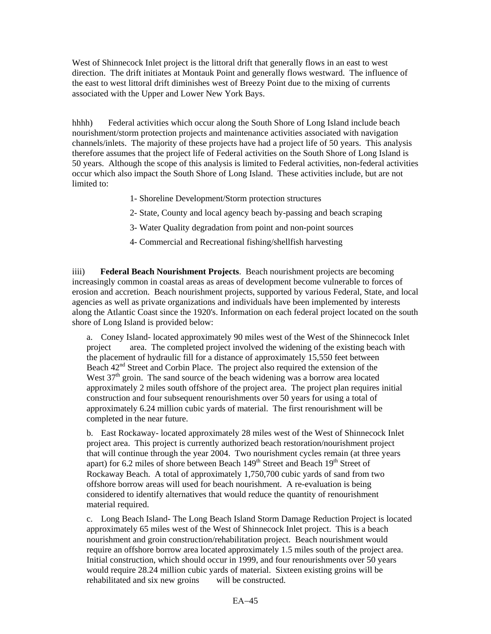West of Shinnecock Inlet project is the littoral drift that generally flows in an east to west direction. The drift initiates at Montauk Point and generally flows westward. The influence of the east to west littoral drift diminishes west of Breezy Point due to the mixing of currents associated with the Upper and Lower New York Bays.

hhhh) Federal activities which occur along the South Shore of Long Island include beach nourishment/storm protection projects and maintenance activities associated with navigation channels/inlets. The majority of these projects have had a project life of 50 years. This analysis therefore assumes that the project life of Federal activities on the South Shore of Long Island is 50 years. Although the scope of this analysis is limited to Federal activities, non-federal activities occur which also impact the South Shore of Long Island. These activities include, but are not limited to:

- 1- Shoreline Development/Storm protection structures
- 2- State, County and local agency beach by-passing and beach scraping
- 3- Water Quality degradation from point and non-point sources
- 4- Commercial and Recreational fishing/shellfish harvesting

iiii) **Federal Beach Nourishment Projects**. Beach nourishment projects are becoming increasingly common in coastal areas as areas of development become vulnerable to forces of erosion and accretion. Beach nourishment projects, supported by various Federal, State, and local agencies as well as private organizations and individuals have been implemented by interests along the Atlantic Coast since the 1920's. Information on each federal project located on the south shore of Long Island is provided below:

a. Coney Island- located approximately 90 miles west of the West of the Shinnecock Inlet project area. The completed project involved the widening of the existing beach with the placement of hydraulic fill for a distance of approximately 15,550 feet between Beach 42<sup>nd</sup> Street and Corbin Place. The project also required the extension of the West  $37<sup>th</sup>$  groin. The sand source of the beach widening was a borrow area located approximately 2 miles south offshore of the project area. The project plan requires initial construction and four subsequent renourishments over 50 years for using a total of approximately 6.24 million cubic yards of material. The first renourishment will be completed in the near future.

b. East Rockaway- located approximately 28 miles west of the West of Shinnecock Inlet project area. This project is currently authorized beach restoration/nourishment project that will continue through the year 2004. Two nourishment cycles remain (at three years apart) for 6.2 miles of shore between Beach 149<sup>th</sup> Street and Beach 19<sup>th</sup> Street of Rockaway Beach. A total of approximately 1,750,700 cubic yards of sand from two offshore borrow areas will used for beach nourishment. A re-evaluation is being considered to identify alternatives that would reduce the quantity of renourishment material required.

c. Long Beach Island- The Long Beach Island Storm Damage Reduction Project is located approximately 65 miles west of the West of Shinnecock Inlet project. This is a beach nourishment and groin construction/rehabilitation project. Beach nourishment would require an offshore borrow area located approximately 1.5 miles south of the project area. Initial construction, which should occur in 1999, and four renourishments over 50 years would require 28.24 million cubic yards of material. Sixteen existing groins will be rehabilitated and six new groins will be constructed.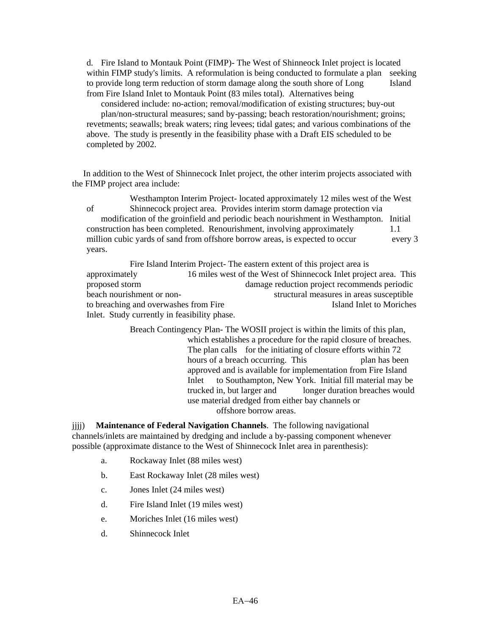d. Fire Island to Montauk Point (FIMP)- The West of Shinneock Inlet project is located within FIMP study's limits. A reformulation is being conducted to formulate a plan seeking to provide long term reduction of storm damage along the south shore of Long Island from Fire Island Inlet to Montauk Point (83 miles total). Alternatives being

 considered include: no-action; removal/modification of existing structures; buy-out plan/non-structural measures; sand by-passing; beach restoration/nourishment; groins; revetments; seawalls; break waters; ring levees; tidal gates; and various combinations of the above. The study is presently in the feasibility phase with a Draft EIS scheduled to be completed by 2002.

 In addition to the West of Shinnecock Inlet project, the other interim projects associated with the FIMP project area include:

Westhampton Interim Project- located approximately 12 miles west of the West of Shinnecock project area. Provides interim storm damage protection via modification of the groinfield and periodic beach nourishment in Westhampton. Initial construction has been completed. Renourishment, involving approximately 1.1 million cubic yards of sand from offshore borrow areas, is expected to occur every 3 years.

Fire Island Interim Project- The eastern extent of this project area is approximately 16 miles west of the West of Shinnecock Inlet project area. This proposed storm damage reduction project recommends periodic beach nourishment or non- structural measures in areas susceptible to breaching and overwashes from Fire **Island Inlet to Moriches** Inlet. Study currently in feasibility phase.

> Breach Contingency Plan- The WOSII project is within the limits of this plan, which establishes a procedure for the rapid closure of breaches. The plan calls for the initiating of closure efforts within 72 hours of a breach occurring. This plan has been approved and is available for implementation from Fire Island Inlet to Southampton, New York. Initial fill material may be trucked in, but larger and longer duration breaches would use material dredged from either bay channels or offshore borrow areas.

jjjj) **Maintenance of Federal Navigation Channels**. The following navigational channels/inlets are maintained by dredging and include a by-passing component whenever possible (approximate distance to the West of Shinnecock Inlet area in parenthesis):

- a. Rockaway Inlet (88 miles west)
- b. East Rockaway Inlet (28 miles west)
- c. Jones Inlet (24 miles west)
- d. Fire Island Inlet (19 miles west)
- e. Moriches Inlet (16 miles west)
- d. Shinnecock Inlet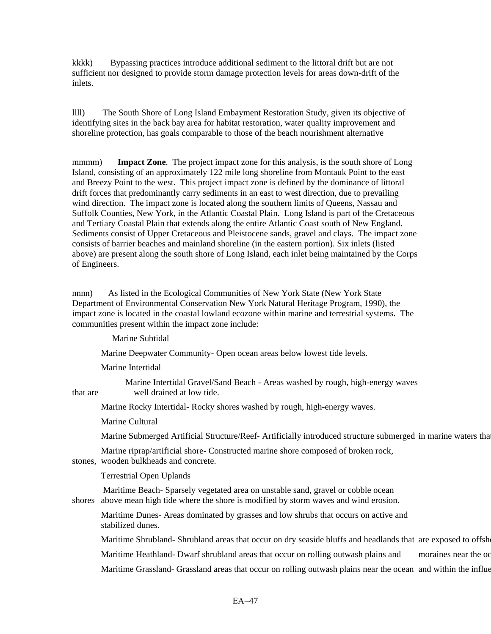kkkk) Bypassing practices introduce additional sediment to the littoral drift but are not sufficient nor designed to provide storm damage protection levels for areas down-drift of the inlets.

llll) The South Shore of Long Island Embayment Restoration Study, given its objective of identifying sites in the back bay area for habitat restoration, water quality improvement and shoreline protection, has goals comparable to those of the beach nourishment alternative

mmmm) **Impact Zone**. The project impact zone for this analysis, is the south shore of Long Island, consisting of an approximately 122 mile long shoreline from Montauk Point to the east and Breezy Point to the west. This project impact zone is defined by the dominance of littoral drift forces that predominantly carry sediments in an east to west direction, due to prevailing wind direction. The impact zone is located along the southern limits of Queens, Nassau and Suffolk Counties, New York, in the Atlantic Coastal Plain. Long Island is part of the Cretaceous and Tertiary Coastal Plain that extends along the entire Atlantic Coast south of New England. Sediments consist of Upper Cretaceous and Pleistocene sands, gravel and clays. The impact zone consists of barrier beaches and mainland shoreline (in the eastern portion). Six inlets (listed above) are present along the south shore of Long Island, each inlet being maintained by the Corps of Engineers.

nnnn) As listed in the Ecological Communities of New York State (New York State Department of Environmental Conservation New York Natural Heritage Program, 1990), the impact zone is located in the coastal lowland ecozone within marine and terrestrial systems. The communities present within the impact zone include:

Marine Subtidal

Marine Deepwater Community- Open ocean areas below lowest tide levels.

Marine Intertidal

 Marine Intertidal Gravel/Sand Beach - Areas washed by rough, high-energy waves that are well drained at low tide.

Marine Rocky Intertidal- Rocky shores washed by rough, high-energy waves.

Marine Cultural

Marine Submerged Artificial Structure/Reef- Artificially introduced structure submerged in marine waters that

Marine riprap/artificial shore- Constructed marine shore composed of broken rock, stones, wooden bulkheads and concrete.

Terrestrial Open Uplands

 Maritime Beach- Sparsely vegetated area on unstable sand, gravel or cobble ocean shores above mean high tide where the shore is modified by storm waves and wind erosion.

Maritime Dunes- Areas dominated by grasses and low shrubs that occurs on active and stabilized dunes.

Maritime Shrubland- Shrubland areas that occur on dry seaside bluffs and headlands that are exposed to offsh

Maritime Heathland- Dwarf shrubland areas that occur on rolling outwash plains and moraines near the oc

Maritime Grassland- Grassland areas that occur on rolling outwash plains near the ocean and within the influe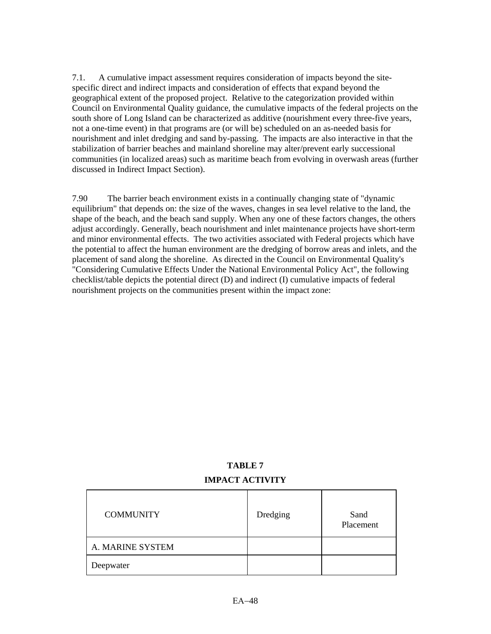7.1. A cumulative impact assessment requires consideration of impacts beyond the sitespecific direct and indirect impacts and consideration of effects that expand beyond the geographical extent of the proposed project. Relative to the categorization provided within Council on Environmental Quality guidance, the cumulative impacts of the federal projects on the south shore of Long Island can be characterized as additive (nourishment every three-five years, not a one-time event) in that programs are (or will be) scheduled on an as-needed basis for nourishment and inlet dredging and sand by-passing. The impacts are also interactive in that the stabilization of barrier beaches and mainland shoreline may alter/prevent early successional communities (in localized areas) such as maritime beach from evolving in overwash areas (further discussed in Indirect Impact Section).

7.90 The barrier beach environment exists in a continually changing state of "dynamic equilibrium" that depends on: the size of the waves, changes in sea level relative to the land, the shape of the beach, and the beach sand supply. When any one of these factors changes, the others adjust accordingly. Generally, beach nourishment and inlet maintenance projects have short-term and minor environmental effects. The two activities associated with Federal projects which have the potential to affect the human environment are the dredging of borrow areas and inlets, and the placement of sand along the shoreline. As directed in the Council on Environmental Quality's "Considering Cumulative Effects Under the National Environmental Policy Act", the following checklist/table depicts the potential direct (D) and indirect (I) cumulative impacts of federal nourishment projects on the communities present within the impact zone:

# **TABLE 7 IMPACT ACTIVITY**

| <b>COMMUNITY</b> | Dredging | Sand<br>Placement |
|------------------|----------|-------------------|
| A. MARINE SYSTEM |          |                   |
| Deepwater        |          |                   |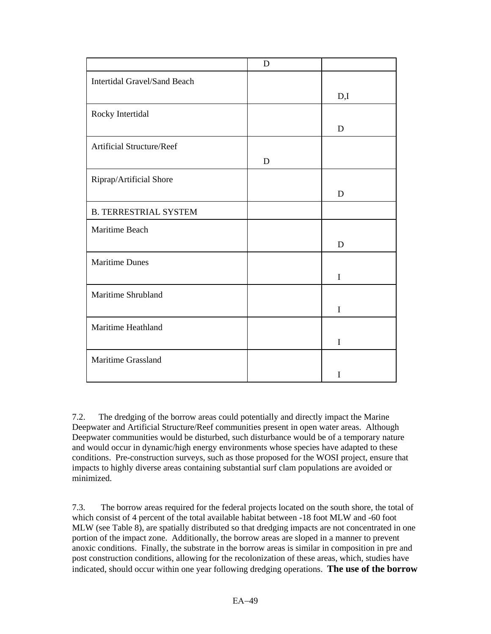|                                     | $\mathbf D$ |             |
|-------------------------------------|-------------|-------------|
| <b>Intertidal Gravel/Sand Beach</b> |             |             |
|                                     |             | D,I         |
| Rocky Intertidal                    |             |             |
|                                     |             | D           |
| <b>Artificial Structure/Reef</b>    |             |             |
|                                     | D           |             |
| Riprap/Artificial Shore             |             |             |
|                                     |             | D           |
| <b>B. TERRESTRIAL SYSTEM</b>        |             |             |
| Maritime Beach                      |             |             |
|                                     |             | D           |
| <b>Maritime Dunes</b>               |             |             |
|                                     |             | $\bf I$     |
| Maritime Shrubland                  |             |             |
|                                     |             | $\mathbf I$ |
| Maritime Heathland                  |             |             |
|                                     |             | I           |
| Maritime Grassland                  |             |             |
|                                     |             | I           |

7.2. The dredging of the borrow areas could potentially and directly impact the Marine Deepwater and Artificial Structure/Reef communities present in open water areas. Although Deepwater communities would be disturbed, such disturbance would be of a temporary nature and would occur in dynamic/high energy environments whose species have adapted to these conditions. Pre-construction surveys, such as those proposed for the WOSI project, ensure that impacts to highly diverse areas containing substantial surf clam populations are avoided or minimized.

7.3. The borrow areas required for the federal projects located on the south shore, the total of which consist of 4 percent of the total available habitat between -18 foot MLW and -60 foot MLW (see Table 8), are spatially distributed so that dredging impacts are not concentrated in one portion of the impact zone. Additionally, the borrow areas are sloped in a manner to prevent anoxic conditions. Finally, the substrate in the borrow areas is similar in composition in pre and post construction conditions, allowing for the recolonization of these areas, which, studies have indicated, should occur within one year following dredging operations. **The use of the borrow**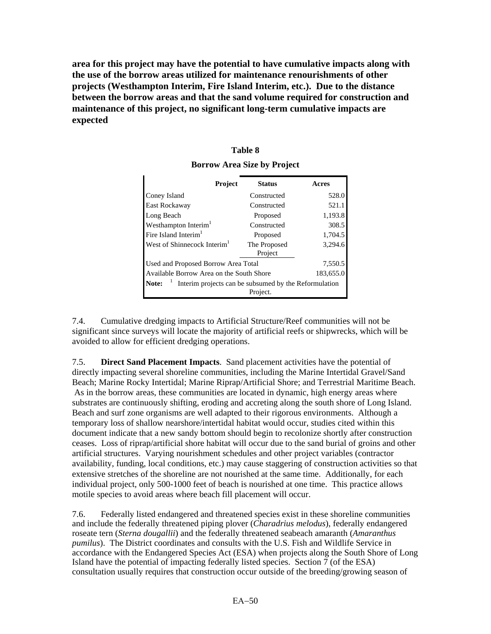**area for this project may have the potential to have cumulative impacts along with the use of the borrow areas utilized for maintenance renourishments of other projects (Westhampton Interim, Fire Island Interim, etc.). Due to the distance between the borrow areas and that the sand volume required for construction and maintenance of this project, no significant long-term cumulative impacts are expected** 

# **Table 8**

| Project                                                                      | <b>Status</b>           | Acres     |
|------------------------------------------------------------------------------|-------------------------|-----------|
| Coney Island                                                                 | Constructed             | 528.0     |
| East Rockaway                                                                | Constructed             | 521.1     |
| Long Beach                                                                   | Proposed                | 1,193.8   |
| Westhampton Interim <sup>1</sup>                                             | Constructed             | 308.5     |
| Fire Island Interim <sup>1</sup>                                             | Proposed                | 1,704.5   |
| West of Shinnecock Interim <sup>1</sup>                                      | The Proposed<br>Project | 3,294.6   |
| Used and Proposed Borrow Area Total                                          |                         | 7,550.5   |
| Available Borrow Area on the South Shore                                     |                         | 183,655.0 |
| Interim projects can be subsumed by the Reformulation<br>Note: $\frac{1}{1}$ | Project.                |           |

**Borrow Area Size by Project** 

7.4. Cumulative dredging impacts to Artificial Structure/Reef communities will not be significant since surveys will locate the majority of artificial reefs or shipwrecks, which will be avoided to allow for efficient dredging operations.

7.5. **Direct Sand Placement Impacts**. Sand placement activities have the potential of directly impacting several shoreline communities, including the Marine Intertidal Gravel/Sand Beach; Marine Rocky Intertidal; Marine Riprap/Artificial Shore; and Terrestrial Maritime Beach. As in the borrow areas, these communities are located in dynamic, high energy areas where substrates are continuously shifting, eroding and accreting along the south shore of Long Island. Beach and surf zone organisms are well adapted to their rigorous environments. Although a temporary loss of shallow nearshore/intertidal habitat would occur, studies cited within this document indicate that a new sandy bottom should begin to recolonize shortly after construction ceases. Loss of riprap/artificial shore habitat will occur due to the sand burial of groins and other artificial structures. Varying nourishment schedules and other project variables (contractor availability, funding, local conditions, etc.) may cause staggering of construction activities so that extensive stretches of the shoreline are not nourished at the same time. Additionally, for each individual project, only 500-1000 feet of beach is nourished at one time. This practice allows motile species to avoid areas where beach fill placement will occur.

7.6. Federally listed endangered and threatened species exist in these shoreline communities and include the federally threatened piping plover (*Charadrius melodus*), federally endangered roseate tern (*Sterna dougallii*) and the federally threatened seabeach amaranth (*Amaranthus pumilus*). The District coordinates and consults with the U.S. Fish and Wildlife Service in accordance with the Endangered Species Act (ESA) when projects along the South Shore of Long Island have the potential of impacting federally listed species. Section 7 (of the ESA) consultation usually requires that construction occur outside of the breeding/growing season of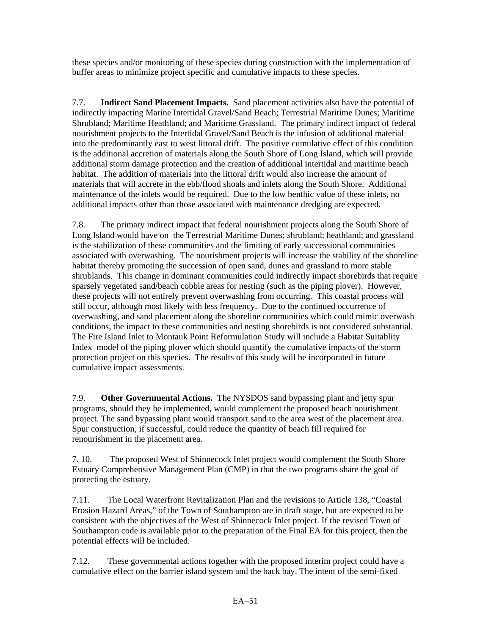these species and/or monitoring of these species during construction with the implementation of buffer areas to minimize project specific and cumulative impacts to these species.

7.7. **Indirect Sand Placement Impacts.** Sand placement activities also have the potential of indirectly impacting Marine Intertidal Gravel/Sand Beach; Terrestrial Maritime Dunes; Maritime Shrubland; Maritime Heathland; and Maritime Grassland. The primary indirect impact of federal nourishment projects to the Intertidal Gravel/Sand Beach is the infusion of additional material into the predominantly east to west littoral drift. The positive cumulative effect of this condition is the additional accretion of materials along the South Shore of Long Island, which will provide additional storm damage protection and the creation of additional intertidal and maritime beach habitat. The addition of materials into the littoral drift would also increase the amount of materials that will accrete in the ebb/flood shoals and inlets along the South Shore. Additional maintenance of the inlets would be required. Due to the low benthic value of these inlets, no additional impacts other than those associated with maintenance dredging are expected.

7.8. The primary indirect impact that federal nourishment projects along the South Shore of Long Island would have on the Terrestrial Maritime Dunes; shrubland; heathland; and grassland is the stabilization of these communities and the limiting of early successional communities associated with overwashing. The nourishment projects will increase the stability of the shoreline habitat thereby promoting the succession of open sand, dunes and grassland to more stable shrublands. This change in dominant communities could indirectly impact shorebirds that require sparsely vegetated sand/beach cobble areas for nesting (such as the piping plover). However, these projects will not entirely prevent overwashing from occurring. This coastal process will still occur, although most likely with less frequency. Due to the continued occurrence of overwashing, and sand placement along the shoreline communities which could mimic overwash conditions, the impact to these communities and nesting shorebirds is not considered substantial. The Fire Island Inlet to Montauk Point Reformulation Study will include a Habitat Suitablity Index model of the piping plover which should quantify the cumulative impacts of the storm protection project on this species. The results of this study will be incorporated in future cumulative impact assessments.

7.9. **Other Governmental Actions.** The NYSDOS sand bypassing plant and jetty spur programs, should they be implemented, would complement the proposed beach nourishment project. The sand bypassing plant would transport sand to the area west of the placement area. Spur construction, if successful, could reduce the quantity of beach fill required for renourishment in the placement area.

7. 10. The proposed West of Shinnecock Inlet project would complement the South Shore Estuary Comprehensive Management Plan (CMP) in that the two programs share the goal of protecting the estuary.

7.11. The Local Waterfront Revitalization Plan and the revisions to Article 138, "Coastal Erosion Hazard Areas," of the Town of Southampton are in draft stage, but are expected to be consistent with the objectives of the West of Shinnecock Inlet project. If the revised Town of Southampton code is available prior to the preparation of the Final EA for this project, then the potential effects will be included.

7.12. These governmental actions together with the proposed interim project could have a cumulative effect on the barrier island system and the back bay. The intent of the semi-fixed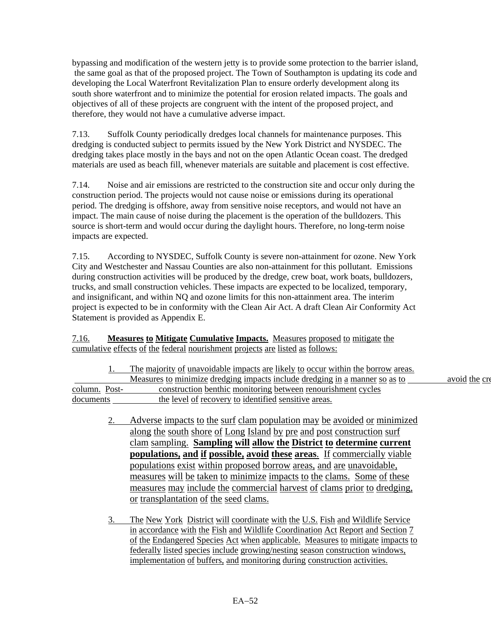bypassing and modification of the western jetty is to provide some protection to the barrier island, the same goal as that of the proposed project. The Town of Southampton is updating its code and developing the Local Waterfront Revitalization Plan to ensure orderly development along its south shore waterfront and to minimize the potential for erosion related impacts. The goals and objectives of all of these projects are congruent with the intent of the proposed project, and therefore, they would not have a cumulative adverse impact.

7.13. Suffolk County periodically dredges local channels for maintenance purposes. This dredging is conducted subject to permits issued by the New York District and NYSDEC. The dredging takes place mostly in the bays and not on the open Atlantic Ocean coast. The dredged materials are used as beach fill, whenever materials are suitable and placement is cost effective.

7.14. Noise and air emissions are restricted to the construction site and occur only during the construction period. The projects would not cause noise or emissions during its operational period. The dredging is offshore, away from sensitive noise receptors, and would not have an impact. The main cause of noise during the placement is the operation of the bulldozers. This source is short-term and would occur during the daylight hours. Therefore, no long-term noise impacts are expected.

7.15. According to NYSDEC, Suffolk County is severe non-attainment for ozone. New York City and Westchester and Nassau Counties are also non-attainment for this pollutant. Emissions during construction activities will be produced by the dredge, crew boat, work boats, bulldozers, trucks, and small construction vehicles. These impacts are expected to be localized, temporary, and insignificant, and within NQ and ozone limits for this non-attainment area. The interim project is expected to be in conformity with the Clean Air Act. A draft Clean Air Conformity Act Statement is provided as Appendix E.

# 7.16. **Measures to Mitigate Cumulative Impacts.** Measures proposed to mitigate the cumulative effects of the federal nourishment projects are listed as follows:

|               | The majority of unavoidable impacts are likely to occur within the borrow areas. |               |
|---------------|----------------------------------------------------------------------------------|---------------|
|               | Measures to minimize dredging impacts include dredging in a manner so as to      | avoid the cre |
| column. Post- | construction benthic monitoring between renourishment cycles                     |               |
| documents     | the level of recovery to identified sensitive areas.                             |               |

- 2. Adverse impacts to the surf clam population may be avoided or minimized along the south shore of Long Island by pre and post construction surf clam sampling. **Sampling will allow the District to determine current populations, and if possible, avoid these areas**. If commercially viable populations exist within proposed borrow areas, and are unavoidable, measures will be taken to minimize impacts to the clams. Some of these measures may include the commercial harvest of clams prior to dredging, or transplantation of the seed clams.
- 3. The New York District will coordinate with the U.S. Fish and Wildlife Service in accordance with the Fish and Wildlife Coordination Act Report and Section 7 of the Endangered Species Act when applicable. Measures to mitigate impacts to federally listed species include growing/nesting season construction windows, implementation of buffers, and monitoring during construction activities.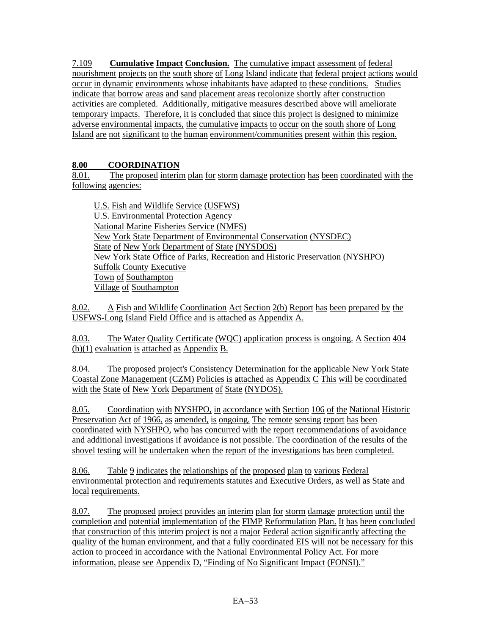7.109 **Cumulative Impact Conclusion.** The cumulative impact assessment of federal nourishment projects on the south shore of Long Island indicate that federal project actions would occur in dynamic environments whose inhabitants have adapted to these conditions. Studies indicate that borrow areas and sand placement areas recolonize shortly after construction activities are completed. Additionally, mitigative measures described above will ameliorate temporary impacts. Therefore, it is concluded that since this project is designed to minimize adverse environmental impacts, the cumulative impacts to occur on the south shore of Long Island are not significant to the human environment/communities present within this region.

# **8.00 COORDINATION**

8.01. The proposed interim plan for storm damage protection has been coordinated with the following agencies:

U.S. Fish and Wildlife Service (USFWS) U.S. Environmental Protection Agency National Marine Fisheries Service (NMFS) New York State Department of Environmental Conservation (NYSDEC) State of New York Department of State (NYSDOS) New York State Office of Parks, Recreation and Historic Preservation (NYSHPO) Suffolk County Executive Town of Southampton Village of Southampton

8.02. A Fish and Wildlife Coordination Act Section 2(b) Report has been prepared by the USFWS-Long Island Field Office and is attached as Appendix A.

8.03. The Water Quality Certificate (WQC) application process is ongoing. A Section 404 (b)(1) evaluation is attached as Appendix B.

8.04. The proposed project's Consistency Determination for the applicable New York State Coastal Zone Management (CZM) Policies is attached as Appendix C This will be coordinated with the State of New York Department of State (NYDOS).

8.05. Coordination with NYSHPO, in accordance with Section 106 of the National Historic Preservation Act of 1966, as amended, is ongoing. The remote sensing report has been coordinated with NYSHPO, who has concurred with the report recommendations of avoidance and additional investigations if avoidance is not possible. The coordination of the results of the shovel testing will be undertaken when the report of the investigations has been completed.

8.06. Table 9 indicates the relationships of the proposed plan to various Federal environmental protection and requirements statutes and Executive Orders, as well as State and local requirements.

8.07. The proposed project provides an interim plan for storm damage protection until the completion and potential implementation of the FIMP Reformulation Plan. It has been concluded that construction of this interim project is not a major Federal action significantly affecting the quality of the human environment, and that a fully coordinated EIS will not be necessary for this action to proceed in accordance with the National Environmental Policy Act. For more information, please see Appendix D, "Finding of No Significant Impact (FONSI)."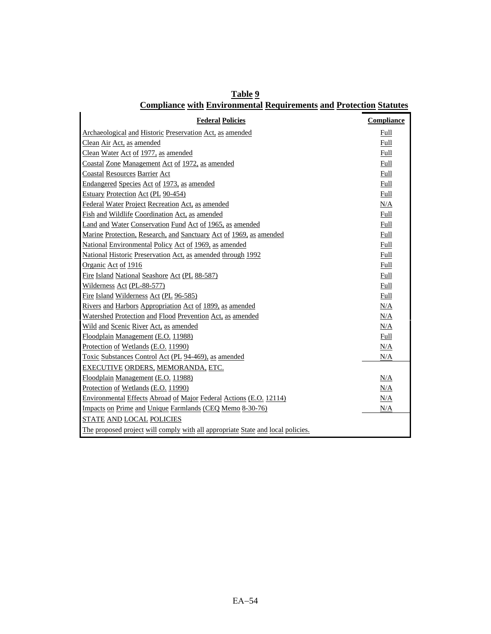| Table 9                                                                   |  |  |
|---------------------------------------------------------------------------|--|--|
| <b>Compliance with Environmental Requirements and Protection Statutes</b> |  |  |

| <b>Federal Policies</b>                                                         | <b>Compliance</b> |
|---------------------------------------------------------------------------------|-------------------|
| Archaeological and Historic Preservation Act, as amended                        | Full              |
| Clean Air Act, as amended                                                       | Full              |
| Clean Water Act of 1977, as amended                                             | Full              |
| Coastal Zone Management Act of 1972, as amended                                 | Full              |
| <b>Coastal Resources Barrier Act</b>                                            | Full              |
| Endangered Species Act of 1973, as amended                                      | Full              |
| Estuary Protection Act (PL 90-454)                                              | Full              |
| Federal Water Project Recreation Act, as amended                                | N/A               |
| Fish and Wildlife Coordination Act, as amended                                  | Full              |
| Land and Water Conservation Fund Act of 1965, as amended                        | Full              |
| Marine Protection, Research, and Sanctuary Act of 1969, as amended              | Full              |
| National Environmental Policy Act of 1969, as amended                           | Full              |
| National Historic Preservation Act, as amended through 1992                     | Full              |
| Organic Act of 1916                                                             | Full              |
| Fire Island National Seashore Act (PL 88-587)                                   | Full              |
| Wilderness Act (PL-88-577)                                                      | Full              |
| Fire Island Wilderness Act (PL 96-585)                                          | Full              |
| Rivers and Harbors Appropriation Act of 1899, as amended                        | N/A               |
| Watershed Protection and Flood Prevention Act, as amended                       | N/A               |
| Wild and Scenic River Act, as amended                                           | N/A               |
| Floodplain Management (E.O. 11988)                                              | Full              |
| Protection of Wetlands (E.O. 11990)                                             | N/A               |
| Toxic Substances Control Act (PL 94-469), as amended                            | N/A               |
| EXECUTIVE ORDERS, MEMORANDA, ETC.                                               |                   |
| Floodplain Management (E.O. 11988)                                              | N/A               |
| Protection of Wetlands (E.O. 11990)                                             | N/A               |
| Environmental Effects Abroad of Major Federal Actions (E.O. 12114)              | N/A               |
| Impacts on Prime and Unique Farmlands (CEQ Memo 8-30-76)                        | N/A               |
| STATE AND LOCAL POLICIES                                                        |                   |
| The proposed project will comply with all appropriate State and local policies. |                   |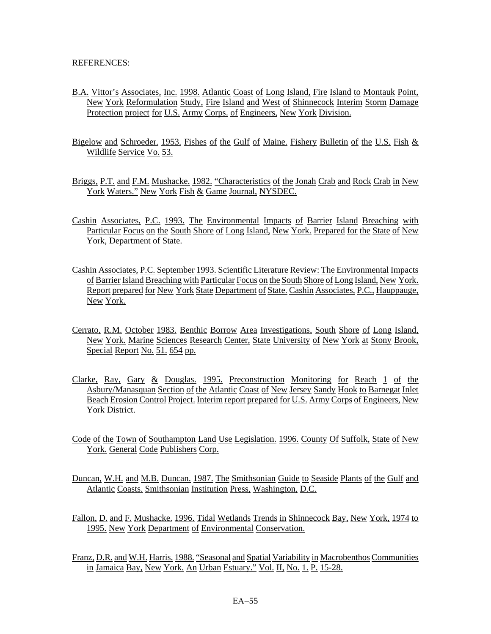#### REFERENCES:

- B.A. Vittor's Associates, Inc. 1998. Atlantic Coast of Long Island, Fire Island to Montauk Point, New York Reformulation Study, Fire Island and West of Shinnecock Interim Storm Damage Protection project for U.S. Army Corps. of Engineers, New York Division.
- Bigelow and Schroeder. 1953. Fishes of the Gulf of Maine. Fishery Bulletin of the U.S. Fish & Wildlife Service Vo. 53.
- Briggs, P.T. and F.M. Mushacke. 1982. "Characteristics of the Jonah Crab and Rock Crab in New York Waters." New York Fish & Game Journal, NYSDEC.
- Cashin Associates, P.C. 1993. The Environmental Impacts of Barrier Island Breaching with Particular Focus on the South Shore of Long Island, New York. Prepared for the State of New York, Department of State.
- Cashin Associates, P.C. September 1993. Scientific Literature Review: The Environmental Impacts of Barrier Island Breaching with Particular Focus on the South Shore of Long Island, New York. Report prepared for New York State Department of State. Cashin Associates, P.C., Hauppauge, New York.
- Cerrato, R.M. October 1983. Benthic Borrow Area Investigations, South Shore of Long Island, New York. Marine Sciences Research Center, State University of New York at Stony Brook, Special Report No. 51. 654 pp.
- Clarke, Ray, Gary & Douglas. 1995. Preconstruction Monitoring for Reach 1 of the Asbury/Manasquan Section of the Atlantic Coast of New Jersey Sandy Hook to Barnegat Inlet Beach Erosion Control Project. Interim report prepared for U.S. Army Corps of Engineers, New York District.
- Code of the Town of Southampton Land Use Legislation. 1996. County Of Suffolk, State of New York. General Code Publishers Corp.
- Duncan, W.H. and M.B. Duncan. 1987. The Smithsonian Guide to Seaside Plants of the Gulf and Atlantic Coasts. Smithsonian Institution Press, Washington, D.C.
- Fallon, D. and F. Mushacke. 1996. Tidal Wetlands Trends in Shinnecock Bay, New York, 1974 to 1995. New York Department of Environmental Conservation.
- Franz, D.R. and W.H. Harris. 1988. "Seasonal and Spatial Variability in Macrobenthos Communities in Jamaica Bay, New York. An Urban Estuary." Vol. II, No. 1. P. 15-28.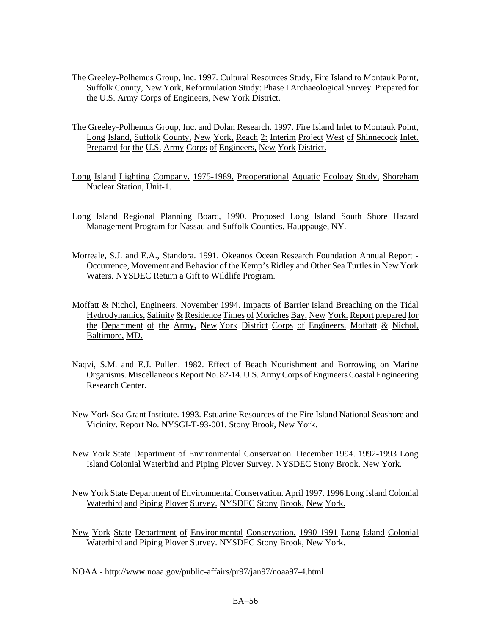- The Greeley-Polhemus Group, Inc. 1997. Cultural Resources Study, Fire Island to Montauk Point, Suffolk County, New York, Reformulation Study: Phase I Archaeological Survey. Prepared for the U.S. Army Corps of Engineers, New York District.
- The Greeley-Polhemus Group, Inc. and Dolan Research. 1997. Fire Island Inlet to Montauk Point, Long Island, Suffolk County, New York, Reach 2: Interim Project West of Shinnecock Inlet. Prepared for the U.S. Army Corps of Engineers, New York District.
- Long Island Lighting Company. 1975-1989. Preoperational Aquatic Ecology Study, Shoreham Nuclear Station, Unit-1.
- Long Island Regional Planning Board, 1990. Proposed Long Island South Shore Hazard Management Program for Nassau and Suffolk Counties. Hauppauge, NY.
- Morreale, S.J. and E.A., Standora. 1991. Okeanos Ocean Research Foundation Annual Report Occurrence, Movement and Behavior of the Kemp's Ridley and Other Sea Turtles in New York Waters. NYSDEC Return a Gift to Wildlife Program.
- Moffatt & Nichol, Engineers. November 1994. Impacts of Barrier Island Breaching on the Tidal Hydrodynamics, Salinity & Residence Times of Moriches Bay, New York. Report prepared for the Department of the Army, New York District Corps of Engineers. Moffatt & Nichol, Baltimore, MD.
- Naqvi, S.M. and E.J. Pullen. 1982. Effect of Beach Nourishment and Borrowing on Marine Organisms. Miscellaneous Report No. 82-14. U.S. Army Corps of Engineers Coastal Engineering Research Center.
- New York Sea Grant Institute. 1993. Estuarine Resources of the Fire Island National Seashore and Vicinity. Report No. NYSGI-T-93-001. Stony Brook, New York.
- New York State Department of Environmental Conservation. December 1994. 1992-1993 Long Island Colonial Waterbird and Piping Plover Survey. NYSDEC Stony Brook, New York.
- New York State Department of Environmental Conservation. April 1997. 1996 Long Island Colonial Waterbird and Piping Plover Survey. NYSDEC Stony Brook, New York.
- New York State Department of Environmental Conservation. 1990-1991 Long Island Colonial Waterbird and Piping Plover Survey. NYSDEC Stony Brook, New York.

NOAA - http://www.noaa.gov/public-affairs/pr97/jan97/noaa97-4.html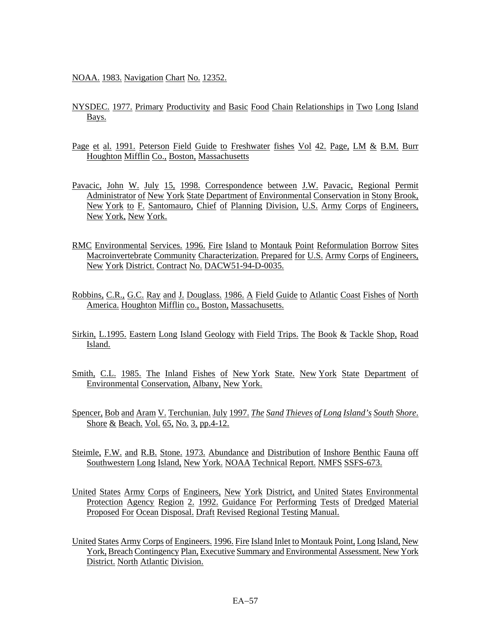NOAA. 1983. Navigation Chart No. 12352.

- NYSDEC. 1977. Primary Productivity and Basic Food Chain Relationships in Two Long Island Bays.
- Page et al. 1991. Peterson Field Guide to Freshwater fishes Vol 42. Page, LM & B.M. Burr Houghton Mifflin Co., Boston, Massachusetts
- Pavacic, John W. July 15, 1998. Correspondence between J.W. Pavacic, Regional Permit Administrator of New York State Department of Environmental Conservation in Stony Brook, New York to F. Santomauro, Chief of Planning Division, U.S. Army Corps of Engineers, New York, New York.
- RMC Environmental Services. 1996. Fire Island to Montauk Point Reformulation Borrow Sites Macroinvertebrate Community Characterization. Prepared for U.S. Army Corps of Engineers, New York District. Contract No. DACW51-94-D-0035.
- Robbins, C.R., G.C. Ray and J. Douglass. 1986. A Field Guide to Atlantic Coast Fishes of North America. Houghton Mifflin co., Boston, Massachusetts.
- Sirkin, L.1995. Eastern Long Island Geology with Field Trips. The Book & Tackle Shop, Road Island.
- Smith, C.L. 1985. The Inland Fishes of New York State. New York State Department of Environmental Conservation, Albany, New York.
- Spencer, Bob and Aram V. Terchunian. July 1997. *The Sand Thieves of Long Island's South Shore*. Shore & Beach. Vol. 65, No. 3, pp.4-12.
- Steimle, F.W. and R.B. Stone. 1973. Abundance and Distribution of Inshore Benthic Fauna off Southwestern Long Island, New York. NOAA Technical Report. NMFS SSFS-673.
- United States Army Corps of Engineers, New York District, and United States Environmental Protection Agency Region 2. 1992. Guidance For Performing Tests of Dredged Material Proposed For Ocean Disposal. Draft Revised Regional Testing Manual.
- United States Army Corps of Engineers. 1996. Fire Island Inlet to Montauk Point, Long Island, New York, Breach Contingency Plan, Executive Summary and Environmental Assessment. New York District. North Atlantic Division.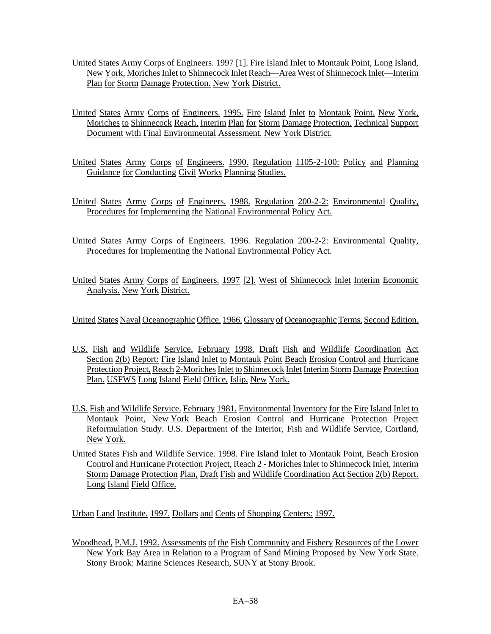- United States Army Corps of Engineers. 1997 [1]. Fire Island Inlet to Montauk Point, Long Island, New York, Moriches Inlet to Shinnecock Inlet Reach—Area West of Shinnecock Inlet—Interim Plan for Storm Damage Protection. New York District.
- United States Army Corps of Engineers. 1995. Fire Island Inlet to Montauk Point, New York, Moriches to Shinnecock Reach, Interim Plan for Storm Damage Protection, Technical Support Document with Final Environmental Assessment. New York District.
- United States Army Corps of Engineers. 1990. Regulation 1105-2-100: Policy and Planning Guidance for Conducting Civil Works Planning Studies.
- United States Army Corps of Engineers. 1988. Regulation 200-2-2: Environmental Quality, Procedures for Implementing the National Environmental Policy Act.
- United States Army Corps of Engineers. 1996. Regulation 200-2-2: Environmental Quality, Procedures for Implementing the National Environmental Policy Act.
- United States Army Corps of Engineers. 1997 [2]. West of Shinnecock Inlet Interim Economic Analysis. New York District.

United States Naval Oceanographic Office. 1966. Glossary of Oceanographic Terms. Second Edition.

- U.S. Fish and Wildlife Service, February 1998. Draft Fish and Wildlife Coordination Act Section 2(b) Report: Fire Island Inlet to Montauk Point Beach Erosion Control and Hurricane Protection Project, Reach 2-Moriches Inlet to Shinnecock Inlet Interim Storm Damage Protection Plan. USFWS Long Island Field Office, Islip, New York.
- U.S. Fish and Wildlife Service. February 1981. Environmental Inventory for the Fire Island Inlet to Montauk Point, New York Beach Erosion Control and Hurricane Protection Project Reformulation Study. U.S. Department of the Interior, Fish and Wildlife Service, Cortland, New York.
- United States Fish and Wildlife Service. 1998. Fire Island Inlet to Montauk Point, Beach Erosion Control and Hurricane Protection Project, Reach 2 - Moriches Inlet to Shinnecock Inlet, Interim Storm Damage Protection Plan, Draft Fish and Wildlife Coordination Act Section 2(b) Report. Long Island Field Office.

Urban Land Institute. 1997. Dollars and Cents of Shopping Centers: 1997.

Woodhead, P.M.J. 1992. Assessments of the Fish Community and Fishery Resources of the Lower New York Bay Area in Relation to a Program of Sand Mining Proposed by New York State. Stony Brook: Marine Sciences Research, SUNY at Stony Brook.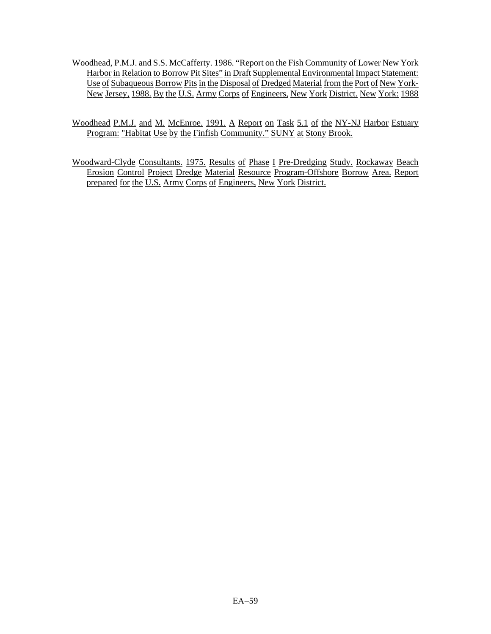- Woodhead, P.M.J. and S.S. McCafferty. 1986. "Report on the Fish Community of Lower New York Harbor in Relation to Borrow Pit Sites" in Draft Supplemental Environmental Impact Statement: Use of Subaqueous Borrow Pits in the Disposal of Dredged Material from the Port of New York-New Jersey, 1988. By the U.S. Army Corps of Engineers, New York District. New York: 1988
- Woodhead P.M.J. and M. McEnroe. 1991. A Report on Task 5.1 of the NY-NJ Harbor Estuary Program: "Habitat Use by the Finfish Community." SUNY at Stony Brook.
- Woodward-Clyde Consultants. 1975. Results of Phase I Pre-Dredging Study. Rockaway Beach Erosion Control Project Dredge Material Resource Program-Offshore Borrow Area. Report prepared for the U.S. Army Corps of Engineers, New York District.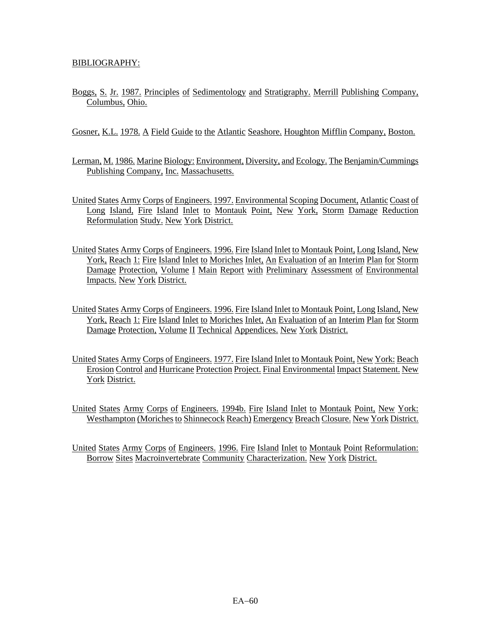### BIBLIOGRAPHY:

- Boggs, S. Jr. 1987. Principles of Sedimentology and Stratigraphy. Merrill Publishing Company, Columbus, Ohio.
- Gosner, K.L. 1978. A Field Guide to the Atlantic Seashore. Houghton Mifflin Company, Boston.
- Lerman, M. 1986. Marine Biology: Environment, Diversity, and Ecology. The Benjamin/Cummings Publishing Company, Inc. Massachusetts.
- United States Army Corps of Engineers. 1997. Environmental Scoping Document, Atlantic Coast of Long Island, Fire Island Inlet to Montauk Point, New York, Storm Damage Reduction Reformulation Study. New York District.
- United States Army Corps of Engineers. 1996. Fire Island Inlet to Montauk Point, Long Island, New York, Reach 1: Fire Island Inlet to Moriches Inlet, An Evaluation of an Interim Plan for Storm Damage Protection, Volume I Main Report with Preliminary Assessment of Environmental Impacts. New York District.
- United States Army Corps of Engineers. 1996. Fire Island Inlet to Montauk Point, Long Island, New York, Reach 1: Fire Island Inlet to Moriches Inlet, An Evaluation of an Interim Plan for Storm Damage Protection, Volume II Technical Appendices. New York District.
- United States Army Corps of Engineers. 1977. Fire Island Inlet to Montauk Point, New York: Beach Erosion Control and Hurricane Protection Project. Final Environmental Impact Statement. New York District.
- United States Army Corps of Engineers. 1994b. Fire Island Inlet to Montauk Point, New York: Westhampton (Moriches to Shinnecock Reach) Emergency Breach Closure. New York District.

United States Army Corps of Engineers. 1996. Fire Island Inlet to Montauk Point Reformulation: Borrow Sites Macroinvertebrate Community Characterization. New York District.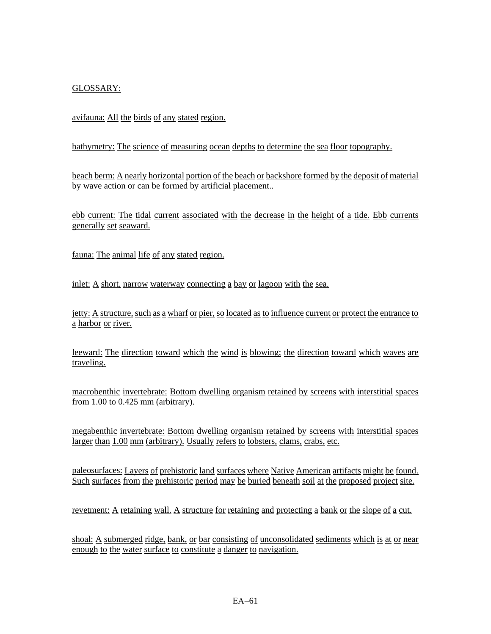# GLOSSARY:

avifauna: All the birds of any stated region.

bathymetry: The science of measuring ocean depths to determine the sea floor topography.

beach berm: A nearly horizontal portion of the beach or backshore formed by the deposit of material by wave action or can be formed by artificial placement..

ebb current: The tidal current associated with the decrease in the height of a tide. Ebb currents generally set seaward.

fauna: The animal life of any stated region.

inlet: A short, narrow waterway connecting a bay or lagoon with the sea.

jetty: A structure, such as a wharf or pier, so located as to influence current or protect the entrance to a harbor or river.

leeward: The direction toward which the wind is blowing; the direction toward which waves are traveling.

macrobenthic invertebrate: Bottom dwelling organism retained by screens with interstitial spaces from  $1.00$  to  $0.425$  mm (arbitrary).

megabenthic invertebrate: Bottom dwelling organism retained by screens with interstitial spaces larger than 1.00 mm (arbitrary). Usually refers to lobsters, clams, crabs, etc.

paleosurfaces: Layers of prehistoric land surfaces where Native American artifacts might be found. Such surfaces from the prehistoric period may be buried beneath soil at the proposed project site.

revetment: A retaining wall. A structure for retaining and protecting a bank or the slope of a cut.

shoal: A submerged ridge, bank, or bar consisting of unconsolidated sediments which is at or near enough to the water surface to constitute a danger to navigation.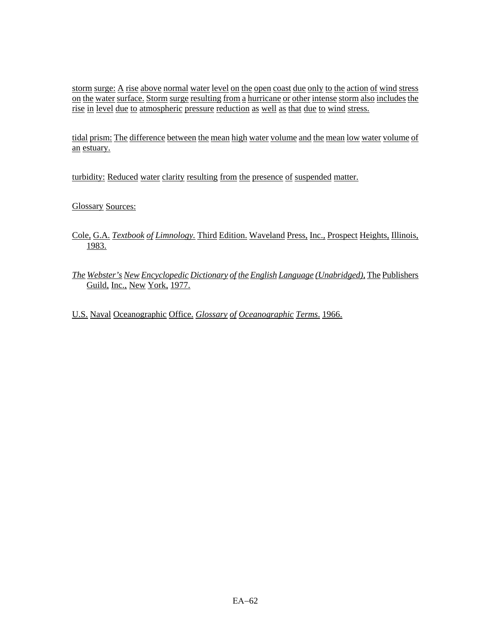storm surge: A rise above normal water level on the open coast due only to the action of wind stress on the water surface. Storm surge resulting from a hurricane or other intense storm also includes the rise in level due to atmospheric pressure reduction as well as that due to wind stress.

tidal prism: The difference between the mean high water volume and the mean low water volume of an estuary.

turbidity: Reduced water clarity resulting from the presence of suspended matter.

Glossary Sources:

- Cole, G.A*. Textbook of Limnology.* Third Edition. Waveland Press, Inc., Prospect Heights, Illinois, 1983.
- *The Webster's New Encyclopedic Dictionary of the English Language (Unabridged)*, The Publishers Guild, Inc., New York, 1977.

U.S. Naval Oceanographic Office. *Glossary of Oceanographic Terms*. 1966.